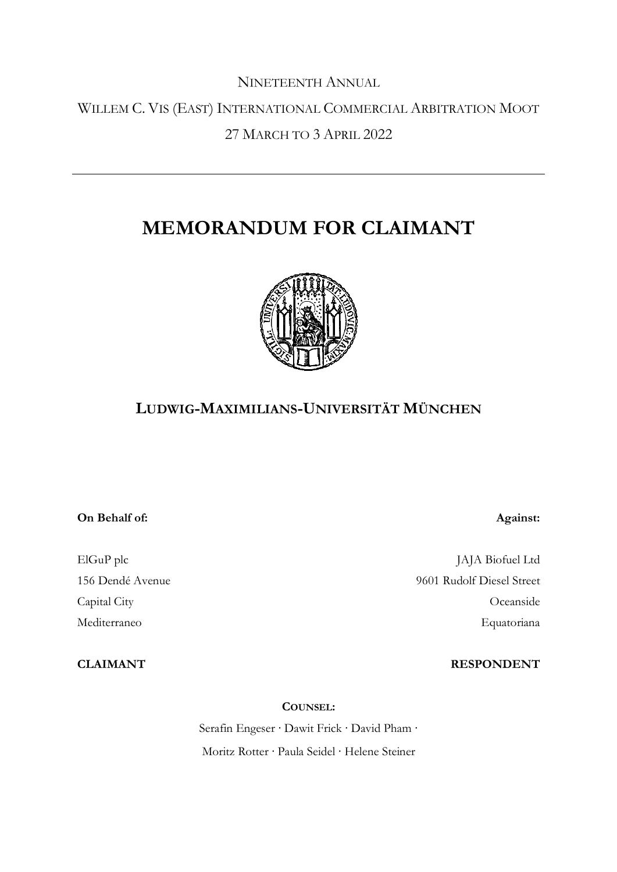# NINETEENTH ANNUAL WILLEM C. VIS (EAST) INTERNATIONAL COMMERCIAL ARBITRATION MOOT 27 MARCH TO 3 APRIL 2022

# **MEMORANDUM FOR CLAIMANT**



## **LUDWIG-MAXIMILIANS-UNIVERSITÄT MÜNCHEN**

#### **On Behalf of:**

ElGuP plc 156 Dendé Avenue Capital City Mediterraneo

**CLAIMANT**

JAJA Biofuel Ltd 9601 Rudolf Diesel Street Oceanside Equatoriana

#### **RESPONDENT**

**Against:**

**COUNSEL:**

Serafin Engeser ∙ Dawit Frick ∙ David Pham ∙ Moritz Rotter ∙ Paula Seidel ∙ Helene Steiner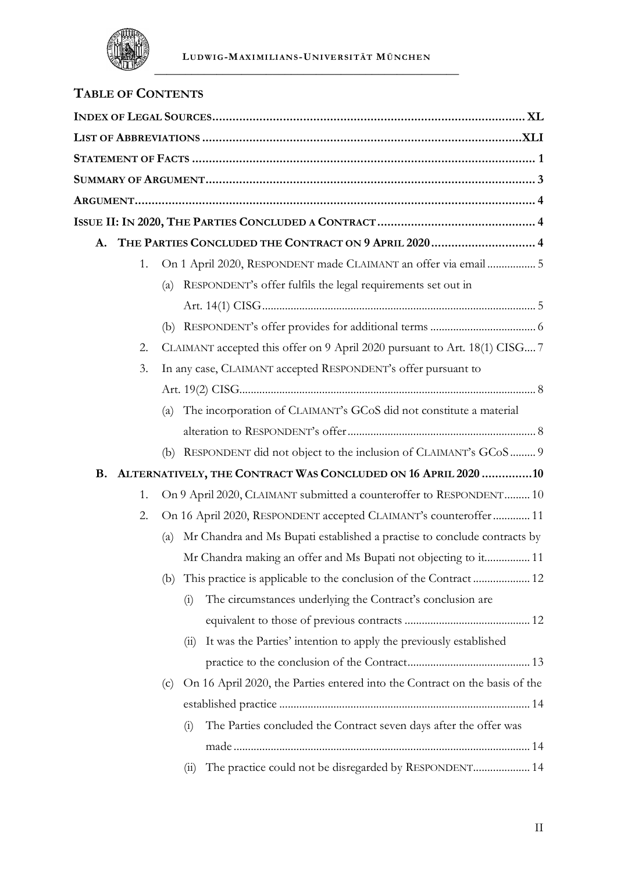

## **TABLE OF CONTENTS**

|                                                                     |    | A. THE PARTIES CONCLUDED THE CONTRACT ON 9 APRIL 2020 4                            |
|---------------------------------------------------------------------|----|------------------------------------------------------------------------------------|
|                                                                     | 1. | On 1 April 2020, RESPONDENT made CLAIMANT an offer via email  5                    |
|                                                                     |    | RESPONDENT's offer fulfils the legal requirements set out in<br>(a)                |
|                                                                     |    |                                                                                    |
|                                                                     |    |                                                                                    |
|                                                                     | 2. | CLAIMANT accepted this offer on 9 April 2020 pursuant to Art. 18(1) CISG 7         |
| In any case, CLAIMANT accepted RESPONDENT's offer pursuant to<br>3. |    |                                                                                    |
|                                                                     |    |                                                                                    |
|                                                                     |    | The incorporation of CLAIMANT's GCoS did not constitute a material<br>(a)          |
|                                                                     |    |                                                                                    |
|                                                                     |    | (b) RESPONDENT did not object to the inclusion of CLAIMANT's GCoS  9               |
|                                                                     |    | B. ALTERNATIVELY, THE CONTRACT WAS CONCLUDED ON 16 APRIL 2020 10                   |
|                                                                     | 1. | On 9 April 2020, CLAIMANT submitted a counteroffer to RESPONDENT 10                |
|                                                                     | 2. | On 16 April 2020, RESPONDENT accepted CLAIMANT's counteroffer  11                  |
|                                                                     |    | Mr Chandra and Ms Bupati established a practise to conclude contracts by<br>(a)    |
|                                                                     |    | Mr Chandra making an offer and Ms Bupati not objecting to it 11                    |
|                                                                     |    | (b)                                                                                |
|                                                                     |    | The circumstances underlying the Contract's conclusion are<br>(i)                  |
|                                                                     |    |                                                                                    |
|                                                                     |    | It was the Parties' intention to apply the previously established<br>(11)          |
|                                                                     |    |                                                                                    |
|                                                                     |    | On 16 April 2020, the Parties entered into the Contract on the basis of the<br>(c) |
|                                                                     |    |                                                                                    |
|                                                                     |    | The Parties concluded the Contract seven days after the offer was<br>(i)           |
|                                                                     |    |                                                                                    |
|                                                                     |    | The practice could not be disregarded by RESPONDENT 14<br>(i)                      |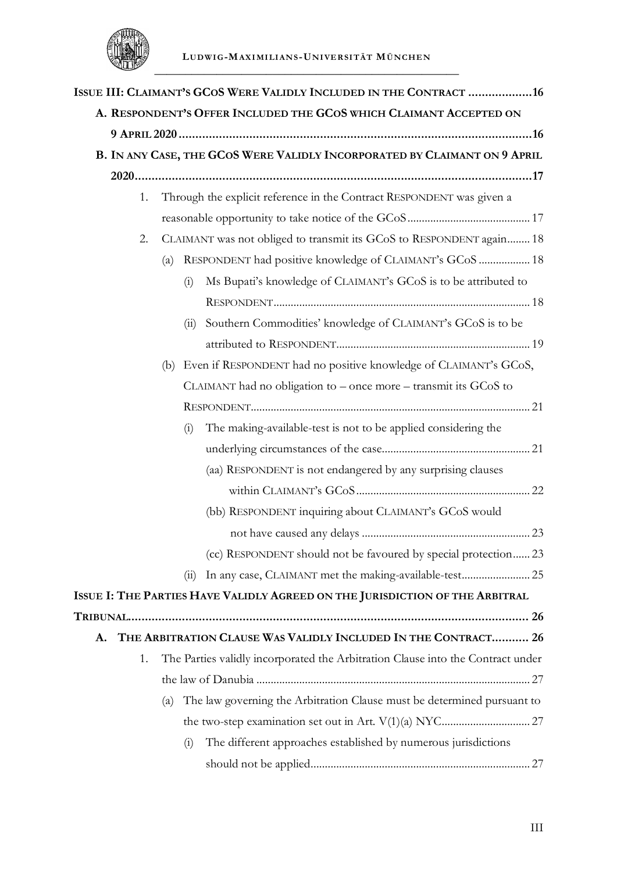

|    |     |     | ISSUE III: CLAIMANT'S GCOS WERE VALIDLY INCLUDED IN THE CONTRACT 16             |  |
|----|-----|-----|---------------------------------------------------------------------------------|--|
|    |     |     | A. RESPONDENT'S OFFER INCLUDED THE GCOS WHICH CLAIMANT ACCEPTED ON              |  |
|    |     |     |                                                                                 |  |
|    |     |     | B. IN ANY CASE, THE GCOS WERE VALIDLY INCORPORATED BY CLAIMANT ON 9 APRIL       |  |
|    |     |     |                                                                                 |  |
| 1. |     |     | Through the explicit reference in the Contract RESPONDENT was given a           |  |
|    |     |     |                                                                                 |  |
| 2. |     |     | CLAIMANT was not obliged to transmit its GCoS to RESPONDENT again 18            |  |
|    | (a) |     | RESPONDENT had positive knowledge of CLAIMANT's GCoS  18                        |  |
|    |     | (i) | Ms Bupati's knowledge of CLAIMANT's GCoS is to be attributed to                 |  |
|    |     |     |                                                                                 |  |
|    |     | (i) | Southern Commodities' knowledge of CLAIMANT's GCoS is to be                     |  |
|    |     |     |                                                                                 |  |
|    |     |     | (b) Even if RESPONDENT had no positive knowledge of CLAIMANT's GCoS,            |  |
|    |     |     | CLAIMANT had no obligation to – once more – transmit its GCoS to                |  |
|    |     |     |                                                                                 |  |
|    |     | (i) | The making-available-test is not to be applied considering the                  |  |
|    |     |     |                                                                                 |  |
|    |     |     | (aa) RESPONDENT is not endangered by any surprising clauses                     |  |
|    |     |     |                                                                                 |  |
|    |     |     | (bb) RESPONDENT inquiring about CLAIMANT's GCoS would                           |  |
|    |     |     |                                                                                 |  |
|    |     |     | (cc) RESPONDENT should not be favoured by special protection23                  |  |
|    |     | (i) | In any case, CLAIMANT met the making-available-test 25                          |  |
|    |     |     | ISSUE I: THE PARTIES HAVE VALIDLY AGREED ON THE JURISDICTION OF THE ARBITRAL    |  |
|    |     |     |                                                                                 |  |
| A. |     |     | THE ARBITRATION CLAUSE WAS VALIDLY INCLUDED IN THE CONTRACT 26                  |  |
| 1. |     |     | The Parties validly incorporated the Arbitration Clause into the Contract under |  |
|    |     |     |                                                                                 |  |
|    | (a) |     | The law governing the Arbitration Clause must be determined pursuant to         |  |
|    |     |     |                                                                                 |  |
|    |     | (i) | The different approaches established by numerous jurisdictions                  |  |
|    |     |     |                                                                                 |  |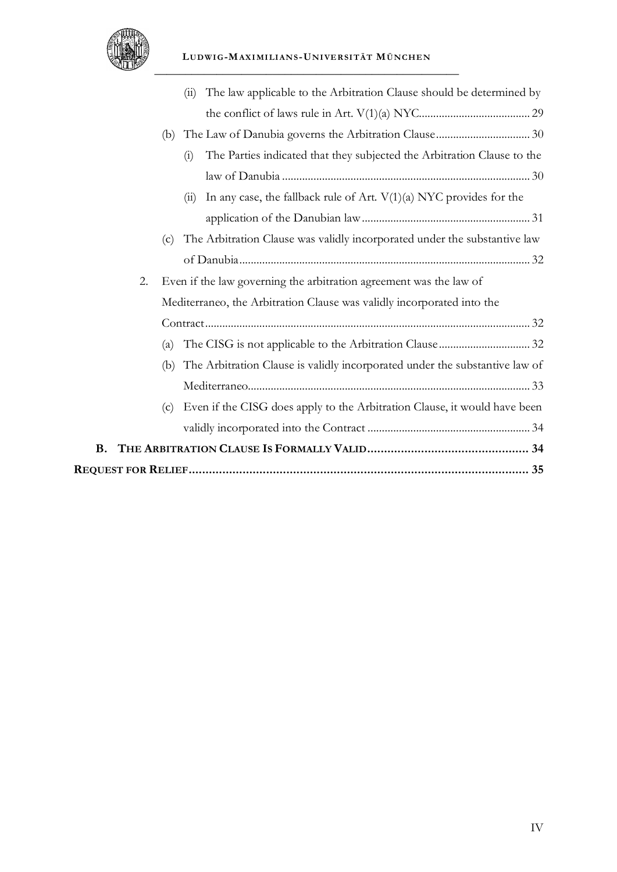

|    | The law applicable to the Arbitration Clause should be determined by<br>(11)       |  |
|----|------------------------------------------------------------------------------------|--|
|    |                                                                                    |  |
|    |                                                                                    |  |
|    | The Parties indicated that they subjected the Arbitration Clause to the<br>(i)     |  |
|    |                                                                                    |  |
|    | In any case, the fallback rule of Art. $V(1)(a)$ NYC provides for the<br>(11)      |  |
|    |                                                                                    |  |
|    | The Arbitration Clause was validly incorporated under the substantive law<br>(c)   |  |
|    |                                                                                    |  |
| 2. | Even if the law governing the arbitration agreement was the law of                 |  |
|    | Mediterraneo, the Arbitration Clause was validly incorporated into the             |  |
|    |                                                                                    |  |
|    | (a)                                                                                |  |
|    | The Arbitration Clause is validly incorporated under the substantive law of<br>(b) |  |
|    |                                                                                    |  |
|    | Even if the CISG does apply to the Arbitration Clause, it would have been<br>(c)   |  |
|    |                                                                                    |  |
| В. |                                                                                    |  |
|    |                                                                                    |  |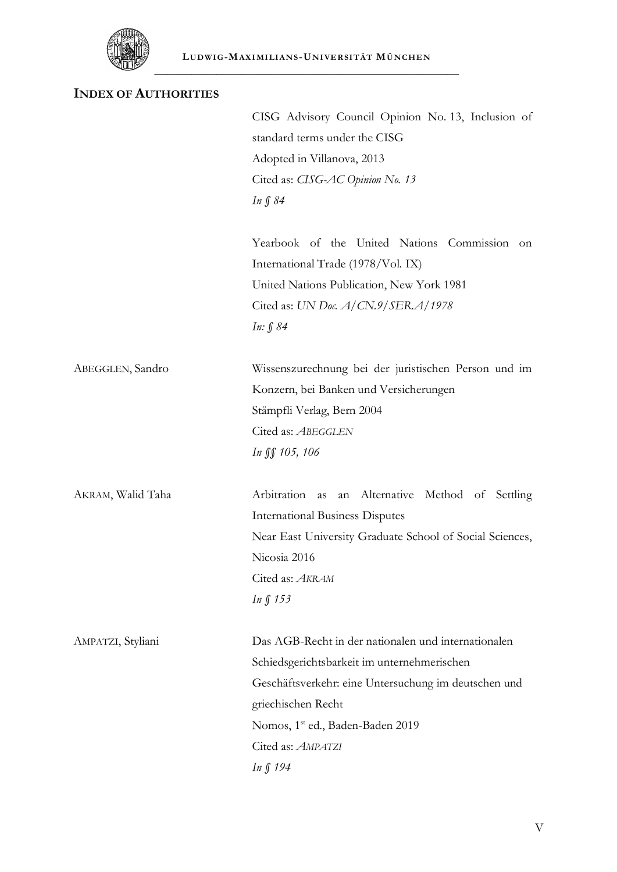

## **INDEX OF AUTHORITIES**

|                   | CISG Advisory Council Opinion No. 13, Inclusion of       |
|-------------------|----------------------------------------------------------|
|                   | standard terms under the CISG                            |
|                   | Adopted in Villanova, 2013                               |
|                   | Cited as: CISG-AC Opinion No. 13                         |
|                   | In $\int 84$                                             |
|                   | Yearbook of the United Nations Commission<br>on          |
|                   | International Trade (1978/Vol. IX)                       |
|                   | United Nations Publication, New York 1981                |
|                   | Cited as: UN Doc. A/CN.9/SER.A/1978                      |
|                   | In: § 84                                                 |
| ABEGGLEN, Sandro  | Wissenszurechnung bei der juristischen Person und im     |
|                   | Konzern, bei Banken und Versicherungen                   |
|                   | Stämpfli Verlag, Bern 2004                               |
|                   | Cited as: ABEGGLEN                                       |
|                   | In JS 105, 106                                           |
| AKRAM, Walid Taha | Arbitration as<br>an Alternative Method of Settling      |
|                   | <b>International Business Disputes</b>                   |
|                   | Near East University Graduate School of Social Sciences, |
|                   | Nicosia 2016                                             |
|                   | Cited as: AKRAM                                          |
|                   | In $\int$ 153                                            |
| AMPATZI, Styliani | Das AGB-Recht in der nationalen und internationalen      |
|                   | Schiedsgerichtsbarkeit im unternehmerischen              |
|                   | Geschäftsverkehr: eine Untersuchung im deutschen und     |
|                   | griechischen Recht                                       |
|                   | Nomos, 1 <sup>st</sup> ed., Baden-Baden 2019             |
|                   | Cited as: AMPATZI                                        |
|                   | In § 194                                                 |
|                   |                                                          |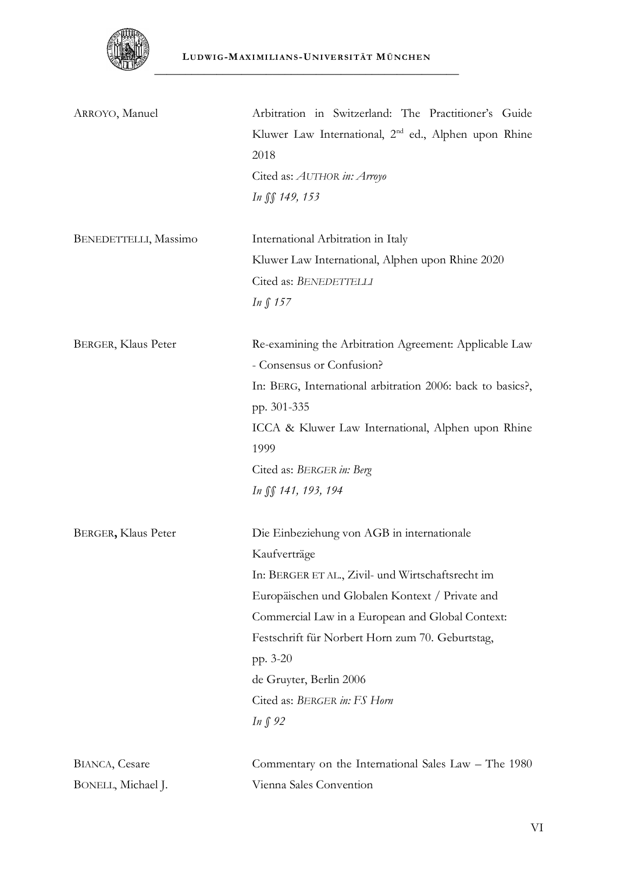

| ARROYO, Manuel                               | Arbitration in Switzerland: The Practitioner's Guide<br>Kluwer Law International, 2 <sup>nd</sup> ed., Alphen upon Rhine<br>2018<br>Cited as: AUTHOR in: Arroyo<br>In SS 149, 153                                                                                                                                                                                  |
|----------------------------------------------|--------------------------------------------------------------------------------------------------------------------------------------------------------------------------------------------------------------------------------------------------------------------------------------------------------------------------------------------------------------------|
| BENEDETTELLI, Massimo                        | International Arbitration in Italy<br>Kluwer Law International, Alphen upon Rhine 2020<br>Cited as: BENEDETTELLI<br>In § 157                                                                                                                                                                                                                                       |
| BERGER, Klaus Peter                          | Re-examining the Arbitration Agreement: Applicable Law<br>- Consensus or Confusion?<br>In: BERG, International arbitration 2006: back to basics?,<br>pp. 301-335<br>ICCA & Kluwer Law International, Alphen upon Rhine<br>1999<br>Cited as: BERGER in: Berg<br>In SS 141, 193, 194                                                                                 |
| BERGER, Klaus Peter                          | Die Einbeziehung von AGB in internationale<br>Kaufverträge<br>In: BERGER ET AL., Zivil- und Wirtschaftsrecht im<br>Europäischen und Globalen Kontext / Private and<br>Commercial Law in a European and Global Context:<br>Festschrift für Norbert Horn zum 70. Geburtstag,<br>pp. 3-20<br>de Gruyter, Berlin 2006<br>Cited as: BERGER in: FS Horn<br><i>In</i> ∫92 |
| <b>BIANCA</b> , Cesare<br>BONELL, Michael J. | Commentary on the International Sales Law – The 1980<br>Vienna Sales Convention                                                                                                                                                                                                                                                                                    |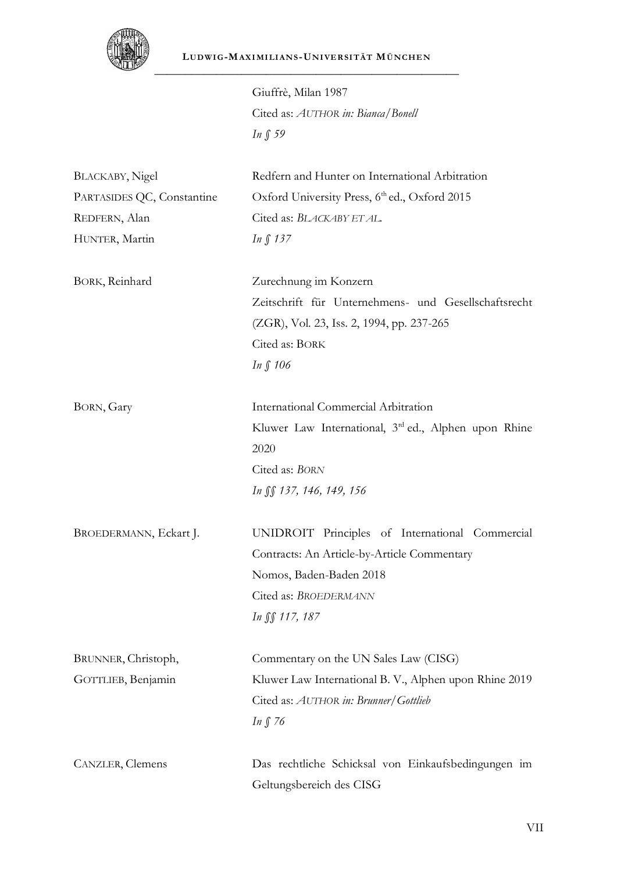

Giuffrè, Milan 1987 Cited as: *AUTHOR in: Bianca/Bonell In § 59*

| <b>BLACKABY</b> , Nigel    | Redfern and Hunter on International Arbitration        |
|----------------------------|--------------------------------------------------------|
| PARTASIDES QC, Constantine | Oxford University Press, 6th ed., Oxford 2015          |
| REDFERN, Alan              | Cited as: BLACKABY ET AL.                              |
| HUNTER, Martin             | $In \int 137$                                          |
|                            |                                                        |
| BORK, Reinhard             | Zurechnung im Konzern                                  |
|                            | Zeitschrift für Unternehmens- und Gesellschaftsrecht   |
|                            | (ZGR), Vol. 23, Iss. 2, 1994, pp. 237-265              |
|                            | Cited as: BORK                                         |
|                            | In $\int$ 106                                          |
| BORN, Gary                 | International Commercial Arbitration                   |
|                            | Kluwer Law International, 3rd ed., Alphen upon Rhine   |
|                            | 2020                                                   |
|                            | Cited as: BORN                                         |
|                            | In SS 137, 146, 149, 156                               |
| BROEDERMANN, Eckart J.     | UNIDROIT Principles of International Commercial        |
|                            | Contracts: An Article-by-Article Commentary            |
|                            | Nomos, Baden-Baden 2018                                |
|                            | Cited as: BROEDERMANN                                  |
|                            | In $\int$ 117, 187                                     |
| BRUNNER, Christoph,        | Commentary on the UN Sales Law (CISG)                  |
| GOTTLIEB, Benjamin         | Kluwer Law International B. V., Alphen upon Rhine 2019 |
|                            | Cited as: AUTHOR in: Brunner/Gottlieb                  |
|                            | In $\int$ 76                                           |
|                            |                                                        |
| CANZLER, Clemens           | Das rechtliche Schicksal von Einkaufsbedingungen im    |
|                            | Geltungsbereich des CISG                               |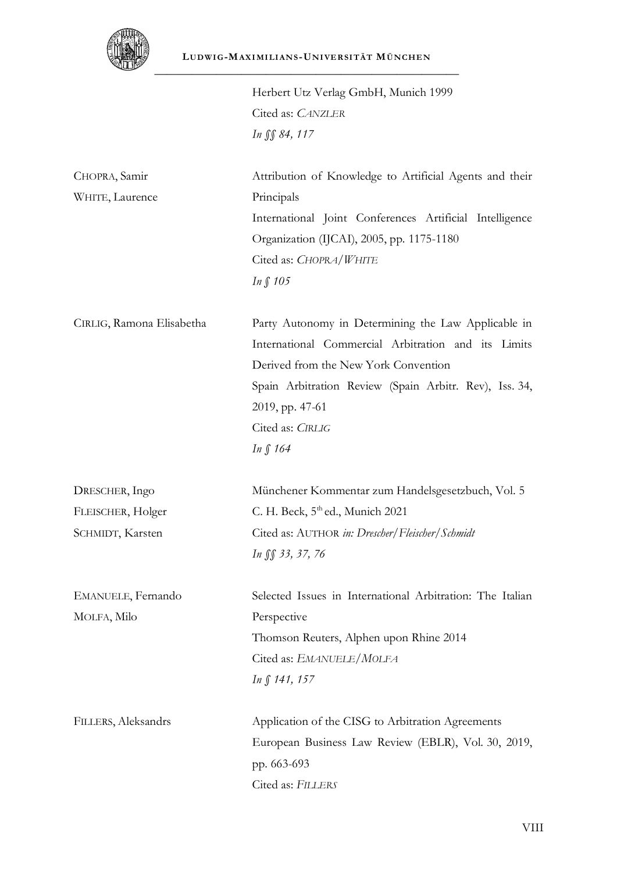

Herbert Utz Verlag GmbH, Munich 1999 Cited as: *CANZLER In §§ 84, 117*

| CHOPRA, Samir<br>WHITE, Laurence | Attribution of Knowledge to Artificial Agents and their<br>Principals<br>International Joint Conferences Artificial Intelligence |
|----------------------------------|----------------------------------------------------------------------------------------------------------------------------------|
|                                  | Organization (IJCAI), 2005, pp. 1175-1180                                                                                        |
|                                  | Cited as: CHOPRA/WHITE                                                                                                           |
|                                  | In $\int$ 105                                                                                                                    |
| CIRLIG, Ramona Elisabetha        | Party Autonomy in Determining the Law Applicable in                                                                              |
|                                  | International Commercial Arbitration and its Limits                                                                              |
|                                  | Derived from the New York Convention                                                                                             |
|                                  | Spain Arbitration Review (Spain Arbitr. Rev), Iss. 34,                                                                           |
|                                  | 2019, pp. 47-61                                                                                                                  |
|                                  | Cited as: CIRLIG                                                                                                                 |
|                                  | In $\int$ 164                                                                                                                    |
| DRESCHER, Ingo                   | Münchener Kommentar zum Handelsgesetzbuch, Vol. 5                                                                                |
| FLEISCHER, Holger                | C. H. Beck, 5 <sup>th</sup> ed., Munich 2021                                                                                     |
| SCHMIDT, Karsten                 | Cited as: AUTHOR in: Drescher/Fleischer/Schmidt                                                                                  |
|                                  | In SS 33, 37, 76                                                                                                                 |
| EMANUELE, Fernando               | Selected Issues in International Arbitration: The Italian                                                                        |
| MOLFA, Milo                      | Perspective                                                                                                                      |
|                                  | Thomson Reuters, Alphen upon Rhine 2014                                                                                          |
|                                  | Cited as: EMANUELE/MOLFA                                                                                                         |
|                                  | $In \int 141, 157$                                                                                                               |
| FILLERS, Aleksandrs              | Application of the CISG to Arbitration Agreements                                                                                |
|                                  | European Business Law Review (EBLR), Vol. 30, 2019,                                                                              |
|                                  | pp. 663-693                                                                                                                      |
|                                  | Cited as: FILLERS                                                                                                                |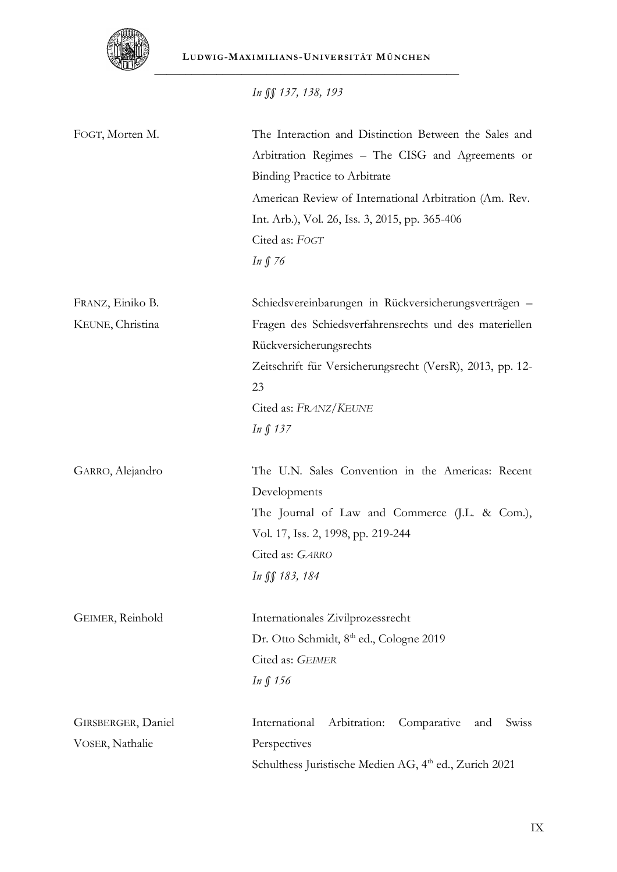

**LUDWI G-MAXI MI LI ANS -UNI VE RSI TÄT MÜNCHE N** \_\_\_\_\_\_\_\_\_\_\_\_\_\_\_\_\_\_\_\_\_\_\_\_\_\_\_\_\_\_\_\_\_\_\_\_\_\_\_\_\_\_\_\_\_\_\_\_\_

*In §§ 137, 138, 193*

| FOGT, Morten M.    | The Interaction and Distinction Between the Sales and<br>Arbitration Regimes - The CISG and Agreements or<br><b>Binding Practice to Arbitrate</b><br>American Review of International Arbitration (Am. Rev.<br>Int. Arb.), Vol. 26, Iss. 3, 2015, pp. 365-406<br>Cited as: FOGT<br>In $\int$ 76 |
|--------------------|-------------------------------------------------------------------------------------------------------------------------------------------------------------------------------------------------------------------------------------------------------------------------------------------------|
| FRANZ, Einiko B.   | Schiedsvereinbarungen in Rückversicherungsverträgen -                                                                                                                                                                                                                                           |
| KEUNE, Christina   | Fragen des Schiedsverfahrensrechts und des materiellen<br>Rückversicherungsrechts                                                                                                                                                                                                               |
|                    | Zeitschrift für Versicherungsrecht (VersR), 2013, pp. 12-<br>23                                                                                                                                                                                                                                 |
|                    | Cited as: FRANZ/KEUNE                                                                                                                                                                                                                                                                           |
|                    | In $\int$ 137                                                                                                                                                                                                                                                                                   |
| GARRO, Alejandro   | The U.N. Sales Convention in the Americas: Recent<br>Developments                                                                                                                                                                                                                               |
|                    | The Journal of Law and Commerce (J.L. & Com.),                                                                                                                                                                                                                                                  |
|                    | Vol. 17, Iss. 2, 1998, pp. 219-244                                                                                                                                                                                                                                                              |
|                    | Cited as: GARRO                                                                                                                                                                                                                                                                                 |
|                    | In SS 183, 184                                                                                                                                                                                                                                                                                  |
| GEIMER, Reinhold   | Internationales Zivilprozessrecht                                                                                                                                                                                                                                                               |
|                    | Dr. Otto Schmidt, 8 <sup>th</sup> ed., Cologne 2019                                                                                                                                                                                                                                             |
|                    | Cited as: GEIMER                                                                                                                                                                                                                                                                                |
|                    | $In \int 156$                                                                                                                                                                                                                                                                                   |
| GIRSBERGER, Daniel | International<br>Arbitration:<br>Comparative<br>and<br>Swiss                                                                                                                                                                                                                                    |
| VOSER, Nathalie    | Perspectives                                                                                                                                                                                                                                                                                    |
|                    | Schulthess Juristische Medien AG, 4 <sup>th</sup> ed., Zurich 2021                                                                                                                                                                                                                              |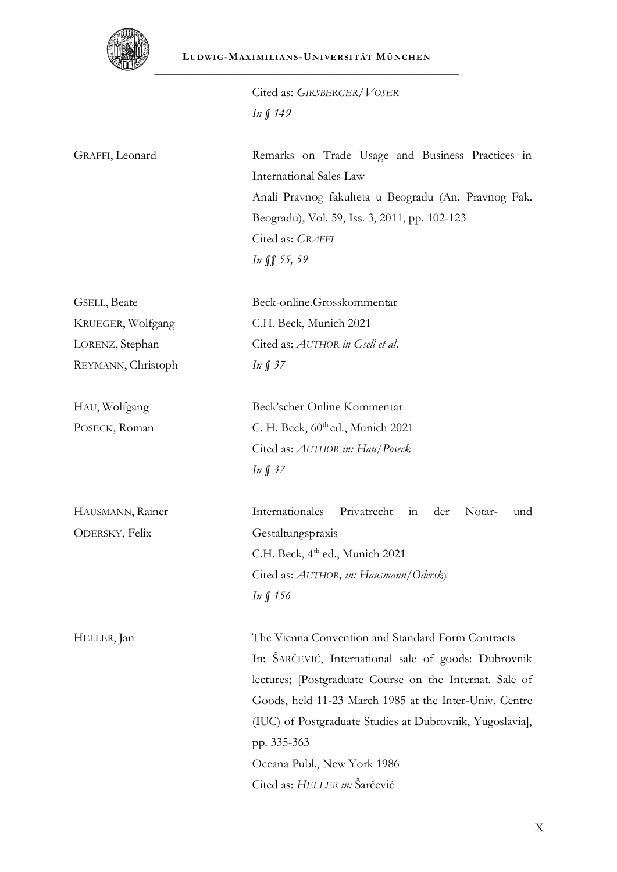

Cited as: *GIRSBERGER/VOSER In § 149*

GRAFFI, Leonard Remarks on Trade Usage and Business Practices in International Sales Law Anali Pravnog fakulteta u Beogradu (An. Pravnog Fak. Beogradu), Vol. 59, Iss. 3, 2011, pp. 102-123 Cited as: *GRAFFI In §§ 55, 59*

GSELL, Beate KRUEGER, Wolfgang LORENZ, Stephan REYMANN, Christoph

HAU, Wolfgang POSECK, Roman

HAUSMANN, Rainer ODERSKY, Felix

Beck'scher Online Kommentar C. H. Beck,  $60<sup>th</sup>$ ed., Munich 2021 Cited as: *AUTHOR in: Hau/Poseck*

Beck-online.Grosskommentar

Cited as: *AUTHOR in Gsell et al*.

C.H. Beck, Munich 2021

*In § 37*

*In § 37*

Internationales Privatrecht in der Notar- und Gestaltungspraxis C.H. Beck, 4<sup>th</sup> ed., Munich 2021 Cited as: *AUTHOR, in: Hausmann/Odersky In § 156*

HELLER, Jan The Vienna Convention and Standard Form Contracts In: ŠARČEVIĆ, International sale of goods: Dubrovnik lectures; [Postgraduate Course on the Internat. Sale of Goods, held 11-23 March 1985 at the Inter-Univ. Centre (IUC) of Postgraduate Studies at Dubrovnik, Yugoslavia], pp. 335-363 Oceana Publ., New York 1986 Cited as: *HELLER in:* Šarčević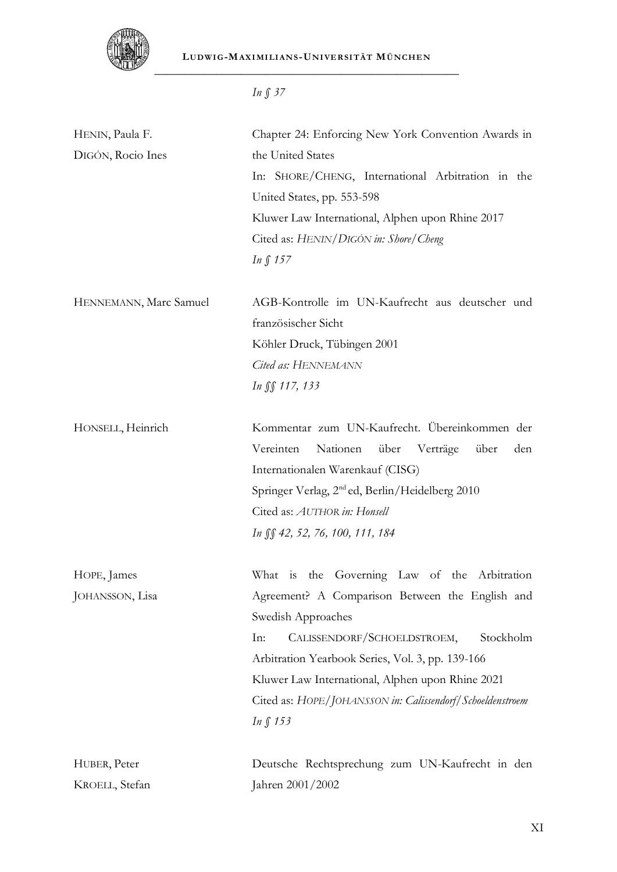

**LUDWI G-MAXI MI LI ANS -UNI VE RSI TÄT MÜNCHE N** \_\_\_\_\_\_\_\_\_\_\_\_\_\_\_\_\_\_\_\_\_\_\_\_\_\_\_\_\_\_\_\_\_\_\_\_\_\_\_\_\_\_\_\_\_\_\_\_\_

|                                      | In $\int$ 37                                                                                                                                                                                                                                                                                                                                                   |
|--------------------------------------|----------------------------------------------------------------------------------------------------------------------------------------------------------------------------------------------------------------------------------------------------------------------------------------------------------------------------------------------------------------|
| HENIN, Paula F.<br>DIGÓN, Rocio Ines | Chapter 24: Enforcing New York Convention Awards in<br>the United States<br>In: SHORE/CHENG, International Arbitration in the<br>United States, pp. 553-598<br>Kluwer Law International, Alphen upon Rhine 2017<br>Cited as: HENIN/DIGÓN in: Shore/Cheng<br>In $\int$ 157                                                                                      |
| HENNEMANN, Marc Samuel               | AGB-Kontrolle im UN-Kaufrecht aus deutscher und<br>französischer Sicht<br>Köhler Druck, Tübingen 2001<br>Cited as: HENNEMANN<br>In SS 117, 133                                                                                                                                                                                                                 |
| HONSELL, Heinrich                    | Kommentar zum UN-Kaufrecht. Übereinkommen der<br>Vereinten<br>Nationen<br>über<br>Verträge<br>über<br>den<br>Internationalen Warenkauf (CISG)<br>Springer Verlag, 2 <sup>nd</sup> ed, Berlin/Heidelberg 2010<br>Cited as: AUTHOR in: Honsell<br>In SS 42, 52, 76, 100, 111, 184                                                                                |
| HOPE, James<br>JOHANSSON, Lisa       | What is the Governing Law of the Arbitration<br>Agreement? A Comparison Between the English and<br>Swedish Approaches<br>CALISSENDORF/SCHOELDSTROEM,<br>Stockholm<br>In:<br>Arbitration Yearbook Series, Vol. 3, pp. 139-166<br>Kluwer Law International, Alphen upon Rhine 2021<br>Cited as: HOPE/JOHANSSON in: Calissendorf/Schoeldenstroem<br>$In \int 153$ |
| HUBER, Peter<br>KROELL, Stefan       | Deutsche Rechtsprechung zum UN-Kaufrecht in den<br>Jahren 2001/2002                                                                                                                                                                                                                                                                                            |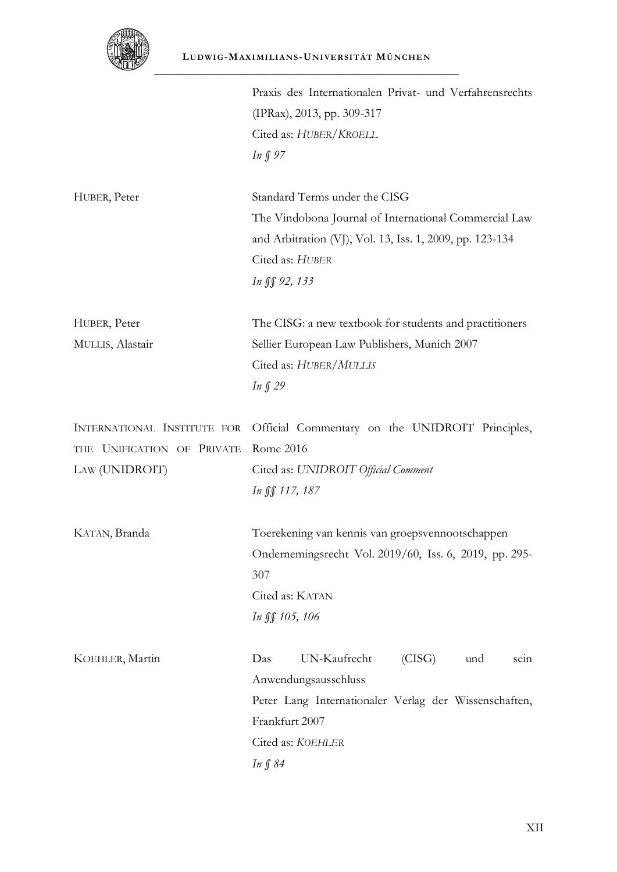

| ستطلعه                                                                      |                                                                                                                                                                                              |
|-----------------------------------------------------------------------------|----------------------------------------------------------------------------------------------------------------------------------------------------------------------------------------------|
|                                                                             | Praxis des Internationalen Privat- und Verfahrensrechts<br>(IPRax), 2013, pp. 309-317<br>Cited as: HUBER/KROELL<br>In $\int$ 97                                                              |
| HUBER, Peter                                                                | Standard Terms under the CISG<br>The Vindobona Journal of International Commercial Law<br>and Arbitration (VJ), Vol. 13, Iss. 1, 2009, pp. 123-134<br>Cited as: HUBER<br><i>In</i> ∬ 92, 133 |
| HUBER, Peter<br>MULLIS, Alastair                                            | The CISG: a new textbook for students and practitioners<br>Sellier European Law Publishers, Munich 2007<br>Cited as: HUBER/MULLIS<br>In $\int$ 29                                            |
| INTERNATIONAL INSTITUTE FOR<br>THE UNIFICATION OF PRIVATE<br>LAW (UNIDROIT) | Official Commentary on the UNIDROIT Principles,<br>Rome 2016<br>Cited as: UNIDROIT Official Comment<br>In SS 117, 187                                                                        |
| KATAN, Branda                                                               | Toerekening van kennis van groepsvennootschappen<br>Ondernemingsrecht Vol. 2019/60, Iss. 6, 2019, pp. 295-<br>307<br>Cited as: KATAN<br>In JS 105, 106                                       |
| KOEHLER, Martin                                                             | (CISG)<br>UN-Kaufrecht<br>Das<br>und<br>sein<br>Anwendungsausschluss<br>Peter Lang Internationaler Verlag der Wissenschaften,<br>Frankfurt 2007<br>Cited as: KOEHLER<br>In § 84              |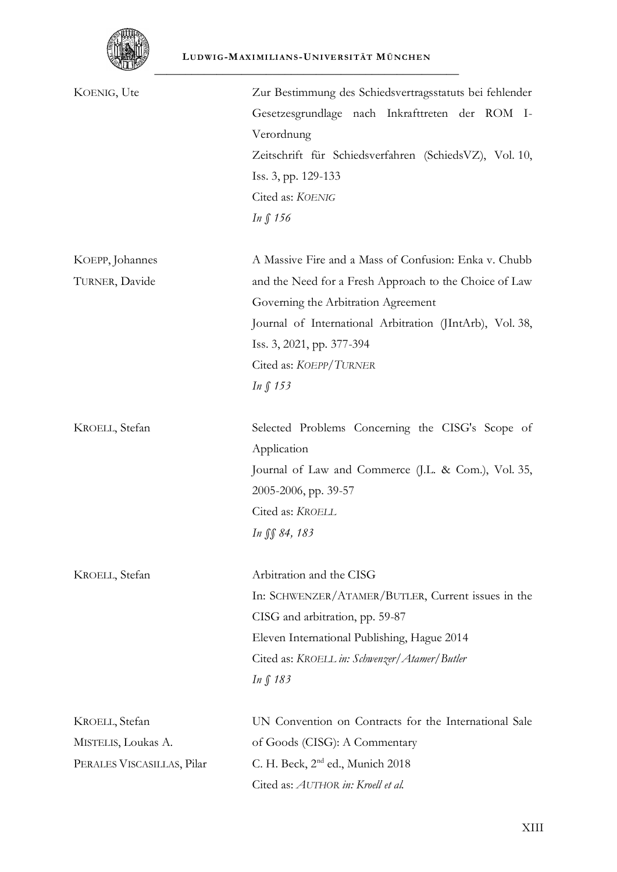

| KOENIG, Ute                | Zur Bestimmung des Schiedsvertragsstatuts bei fehlender  |
|----------------------------|----------------------------------------------------------|
|                            | Gesetzesgrundlage nach Inkrafttreten der ROM I-          |
|                            | Verordnung                                               |
|                            | Zeitschrift für Schiedsverfahren (SchiedsVZ), Vol. 10,   |
|                            | Iss. 3, pp. 129-133                                      |
|                            | Cited as: KOENIG                                         |
|                            | In $\int$ 156                                            |
| KOEPP, Johannes            | A Massive Fire and a Mass of Confusion: Enka v. Chubb    |
| TURNER, Davide             | and the Need for a Fresh Approach to the Choice of Law   |
|                            | Governing the Arbitration Agreement                      |
|                            | Journal of International Arbitration (JIntArb), Vol. 38, |
|                            | Iss. 3, 2021, pp. 377-394                                |
|                            | Cited as: KOEPP/TURNER                                   |
|                            | In $\int$ 153                                            |
| KROELL, Stefan             | Selected Problems Concerning the CISG's Scope of         |
|                            | Application                                              |
|                            | Journal of Law and Commerce (J.L. & Com.), Vol. 35,      |
|                            | 2005-2006, pp. 39-57                                     |
|                            | Cited as: KROELL                                         |
|                            | In SS 84, 183                                            |
| KROELL, Stefan             | Arbitration and the CISG                                 |
|                            | In: SCHWENZER/ATAMER/BUTLER, Current issues in the       |
|                            | CISG and arbitration, pp. 59-87                          |
|                            | Eleven International Publishing, Hague 2014              |
|                            | Cited as: KROELL in: Schwenzer/Atamer/Butler             |
|                            | $In \int 183$                                            |
| KROELL, Stefan             | UN Convention on Contracts for the International Sale    |
| MISTELIS, Loukas A.        | of Goods (CISG): A Commentary                            |
| PERALES VISCASILLAS, Pilar | C. H. Beck, 2 <sup>nd</sup> ed., Munich 2018             |
|                            | Cited as: AUTHOR in: Kroell et al.                       |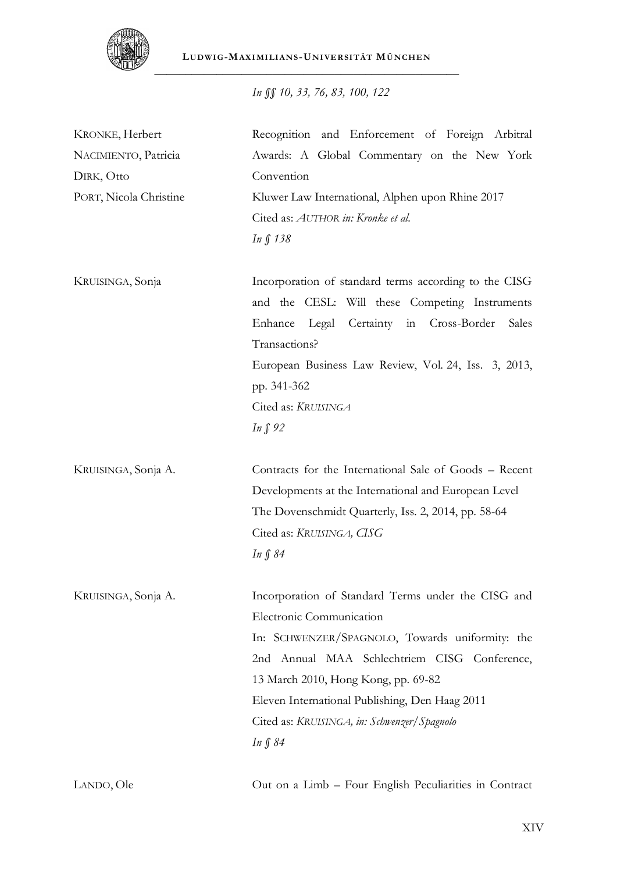

*In §§ 10, 33, 76, 83, 100, 122*

| KRONKE, Herbert        | Recognition and Enforcement of Foreign Arbitral        |
|------------------------|--------------------------------------------------------|
| NACIMIENTO, Patricia   | Awards: A Global Commentary on the New York            |
| DIRK, Otto             | Convention                                             |
| PORT, Nicola Christine | Kluwer Law International, Alphen upon Rhine 2017       |
|                        | Cited as: AUTHOR in: Kronke et al.                     |
|                        | In § 138                                               |
| KRUISINGA, Sonja       | Incorporation of standard terms according to the CISG  |
|                        | and the CESL: Will these Competing Instruments         |
|                        | Legal Certainty in Cross-Border<br>Enhance<br>Sales    |
|                        | Transactions?                                          |
|                        | European Business Law Review, Vol. 24, Iss. 3, 2013,   |
|                        | pp. 341-362                                            |
|                        | Cited as: KRUISINGA                                    |
|                        | In $\int$ 92                                           |
| KRUISINGA, Sonja A.    | Contracts for the International Sale of Goods - Recent |
|                        | Developments at the International and European Level   |
|                        | The Dovenschmidt Quarterly, Iss. 2, 2014, pp. 58-64    |
|                        | Cited as: KRUISINGA, CISG                              |
|                        | In $\int 84$                                           |
| KRUISINGA, Sonja A.    | Incorporation of Standard Terms under the CISG and     |
|                        | Electronic Communication                               |
|                        | In: SCHWENZER/SPAGNOLO, Towards uniformity: the        |
|                        | 2nd Annual MAA Schlechtriem CISG Conference,           |
|                        | 13 March 2010, Hong Kong, pp. 69-82                    |
|                        | Eleven International Publishing, Den Haag 2011         |
|                        | Cited as: KRUISINGA, in: Schwenzer/Spagnolo            |
|                        | <i>In</i> ∫ 84                                         |
| LANDO, Ole             | Out on a Limb – Four English Peculiarities in Contract |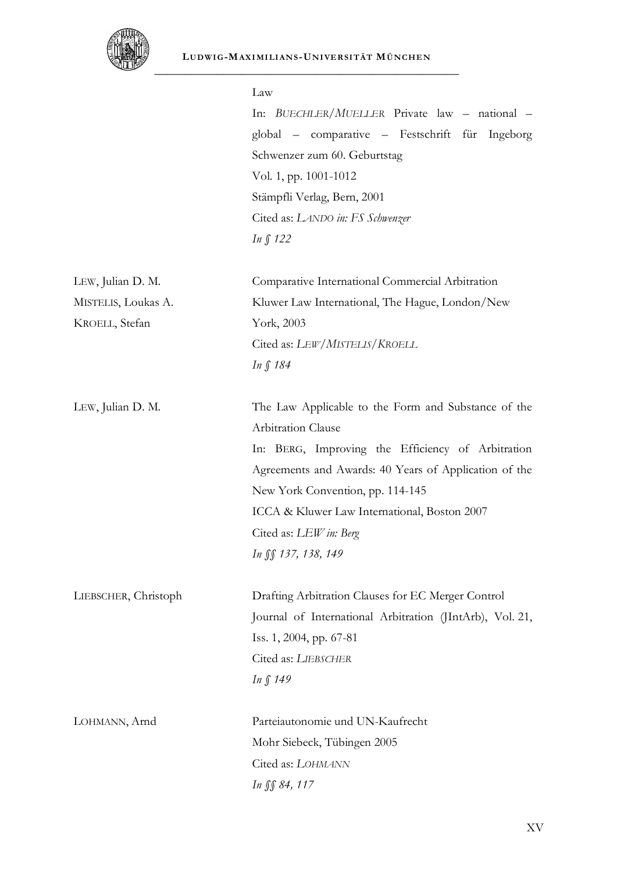

|                      | Law<br>In: BUECHLER/MUELLER Private law - national -<br>global - comparative - Festschrift für Ingeborg<br>Schwenzer zum 60. Geburtstag<br>Vol. 1, pp. 1001-1012<br>Stämpfli Verlag, Bern, 2001<br>Cited as: LANDO in: FS Schwenzer<br>In § 122                                                                              |
|----------------------|------------------------------------------------------------------------------------------------------------------------------------------------------------------------------------------------------------------------------------------------------------------------------------------------------------------------------|
| LEW, Julian D. M.    | Comparative International Commercial Arbitration                                                                                                                                                                                                                                                                             |
| MISTELIS, Loukas A.  | Kluwer Law International, The Hague, London/New                                                                                                                                                                                                                                                                              |
| KROELL, Stefan       | York, 2003                                                                                                                                                                                                                                                                                                                   |
|                      | Cited as: LEW/MISTELIS/KROELL                                                                                                                                                                                                                                                                                                |
|                      | In § 184                                                                                                                                                                                                                                                                                                                     |
| LEW, Julian D. M.    | The Law Applicable to the Form and Substance of the<br>Arbitration Clause<br>In: BERG, Improving the Efficiency of Arbitration<br>Agreements and Awards: 40 Years of Application of the<br>New York Convention, pp. 114-145<br>ICCA & Kluwer Law International, Boston 2007<br>Cited as: LEW in: Berg<br>In SS 137, 138, 149 |
| LIEBSCHER, Christoph | Drafting Arbitration Clauses for EC Merger Control<br>Journal of International Arbitration (JIntArb), Vol. 21,<br>Iss. 1, 2004, pp. 67-81<br>Cited as: LIEBSCHER<br><i>In</i> ∫ 149                                                                                                                                          |
| LOHMANN, Arnd        | Parteiautonomie und UN-Kaufrecht<br>Mohr Siebeck, Tübingen 2005                                                                                                                                                                                                                                                              |
|                      | Cited as: LOHMANN                                                                                                                                                                                                                                                                                                            |
|                      | In SS 84, 117                                                                                                                                                                                                                                                                                                                |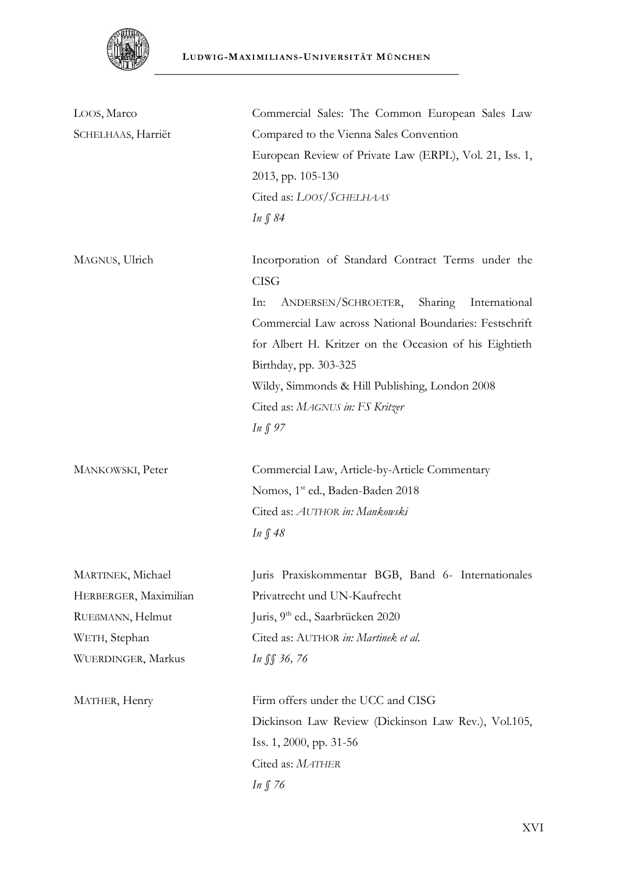

| LOOS, Marco           | Commercial Sales: The Common European Sales Law         |
|-----------------------|---------------------------------------------------------|
| SCHELHAAS, Harriët    | Compared to the Vienna Sales Convention                 |
|                       | European Review of Private Law (ERPL), Vol. 21, Iss. 1, |
|                       | 2013, pp. 105-130                                       |
|                       | Cited as: LOOS/SCHELHAAS                                |
|                       | $In \int 84$                                            |
|                       |                                                         |
| MAGNUS, Ulrich        | Incorporation of Standard Contract Terms under the      |
|                       | <b>CISG</b>                                             |
|                       | ANDERSEN/SCHROETER,<br>Sharing<br>In:<br>International  |
|                       | Commercial Law across National Boundaries: Festschrift  |
|                       | for Albert H. Kritzer on the Occasion of his Eightieth  |
|                       | Birthday, pp. 303-325                                   |
|                       | Wildy, Simmonds & Hill Publishing, London 2008          |
|                       | Cited as: MAGNUS in: FS Kritzer                         |
|                       | In $\int$ 97                                            |
|                       |                                                         |
| MANKOWSKI, Peter      | Commercial Law, Article-by-Article Commentary           |
|                       | Nomos, 1 <sup>st</sup> ed., Baden-Baden 2018            |
|                       |                                                         |
|                       | Cited as: AUTHOR in: Mankowski                          |
|                       | In $\int$ 48                                            |
|                       |                                                         |
| MARTINEK, Michael     | Juris Praxiskommentar BGB, Band 6- Internationales      |
| HERBERGER, Maximilian | Privatrecht und UN-Kaufrecht                            |
| RUEBMANN, Helmut      | Juris, 9 <sup>th</sup> ed., Saarbrücken 2020            |
| WETH, Stephan         | Cited as: AUTHOR in: Martinek et al.                    |
| WUERDINGER, Markus    | In SS 36, 76                                            |
| MATHER, Henry         | Firm offers under the UCC and CISG                      |
|                       | Dickinson Law Review (Dickinson Law Rev.), Vol.105,     |
|                       | Iss. 1, 2000, pp. 31-56                                 |
|                       | Cited as: MATHER                                        |
|                       | In $\int$ 76                                            |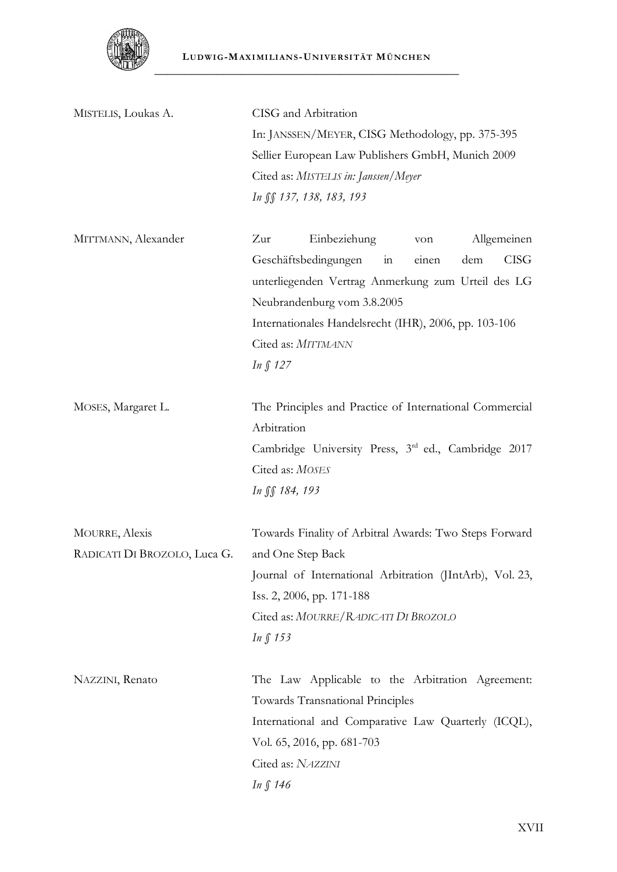

| MISTELIS, Loukas A.                                   | CISG and Arbitration<br>In: JANSSEN/MEYER, CISG Methodology, pp. 375-395<br>Sellier European Law Publishers GmbH, Munich 2009<br>Cited as: MISTELIS in: Janssen/Meyer<br>In SS 137, 138, 183, 193                                                                                           |
|-------------------------------------------------------|---------------------------------------------------------------------------------------------------------------------------------------------------------------------------------------------------------------------------------------------------------------------------------------------|
| MITTMANN, Alexander                                   | Einbeziehung<br>Allgemeinen<br>Zur<br>von<br>Geschäftsbedingungen<br>in<br><b>CISG</b><br>einen<br>dem<br>unterliegenden Vertrag Anmerkung zum Urteil des LG<br>Neubrandenburg vom 3.8.2005<br>Internationales Handelsrecht (IHR), 2006, pp. 103-106<br>Cited as: MITTMANN<br>In $\int$ 127 |
| MOSES, Margaret L.                                    | The Principles and Practice of International Commercial<br>Arbitration<br>Cambridge University Press, 3rd ed., Cambridge 2017<br>Cited as: MOSES<br>In SS 184, 193                                                                                                                          |
| <b>MOURRE, Alexis</b><br>RADICATI DI BROZOLO, Luca G. | Towards Finality of Arbitral Awards: Two Steps Forward<br>and One Step Back<br>Journal of International Arbitration (JIntArb), Vol. 23,<br>Iss. 2, 2006, pp. 171-188<br>Cited as: MOURRE/RADICATI DI BROZOLO<br>In $\int$ 153                                                               |
| NAZZINI, Renato                                       | The Law Applicable to the Arbitration Agreement:<br>Towards Transnational Principles<br>International and Comparative Law Quarterly (ICQL),<br>Vol. 65, 2016, pp. 681-703                                                                                                                   |

Cited as: *NAZZINI In § 146*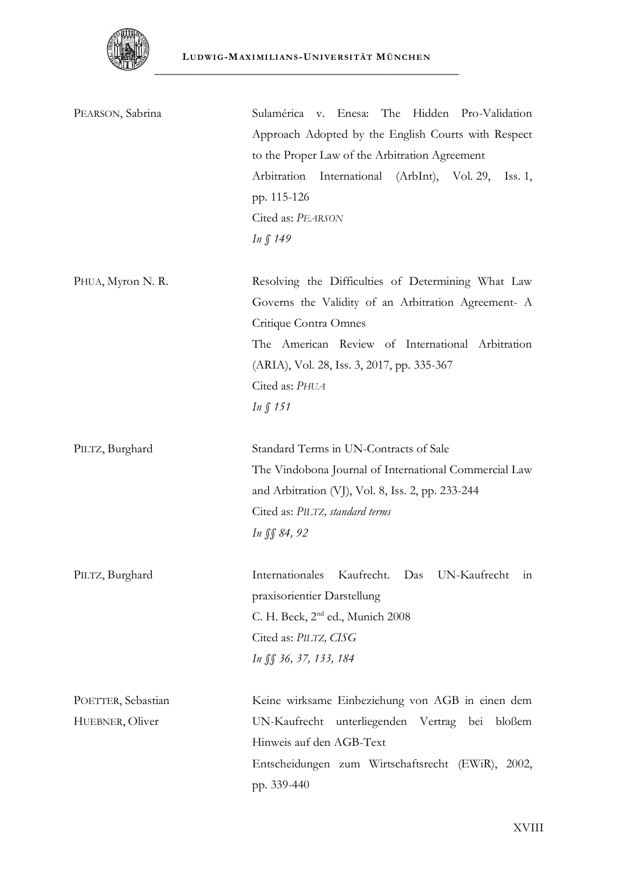

| PEARSON, Sabrina   | The Hidden Pro-Validation<br>Sulamérica v. Enesa:               |
|--------------------|-----------------------------------------------------------------|
|                    | Approach Adopted by the English Courts with Respect             |
|                    | to the Proper Law of the Arbitration Agreement                  |
|                    | Arbitration<br>International<br>(ArbInt), Vol. 29,<br>Iss. $1,$ |
|                    | pp. 115-126                                                     |
|                    | Cited as: PEARSON                                               |
|                    | <i>In</i> ∫ 149                                                 |
| PHUA, Myron N. R.  | Resolving the Difficulties of Determining What Law              |
|                    | Governs the Validity of an Arbitration Agreement- A             |
|                    | Critique Contra Omnes                                           |
|                    | The American Review of International Arbitration                |
|                    | (ARIA), Vol. 28, Iss. 3, 2017, pp. 335-367                      |
|                    | Cited as: PHUA                                                  |
|                    | In $\int$ 151                                                   |
| PILTZ, Burghard    | Standard Terms in UN-Contracts of Sale                          |
|                    | The Vindobona Journal of International Commercial Law           |
|                    | and Arbitration (VJ), Vol. 8, Iss. 2, pp. 233-244               |
|                    | Cited as: PILTZ, standard terms                                 |
|                    | In SS 84, 92                                                    |
| PILTZ, Burghard    | Internationales<br>Kaufrecht. Das<br>UN-Kaufrecht<br>111        |
|                    | praxisorientier Darstellung                                     |
|                    | C. H. Beck, 2 <sup>nd</sup> ed., Munich 2008                    |
|                    | Cited as: PILTZ, CISG                                           |
|                    | In SS 36, 37, 133, 184                                          |
| POETTER, Sebastian | Keine wirksame Einbeziehung von AGB in einen dem                |
| HUEBNER, Oliver    | UN-Kaufrecht<br>unterliegenden Vertrag bei<br>bloßem            |
|                    | Hinweis auf den AGB-Text                                        |
|                    | Entscheidungen zum Wirtschaftsrecht (EWiR), 2002,               |
|                    | pp. 339-440                                                     |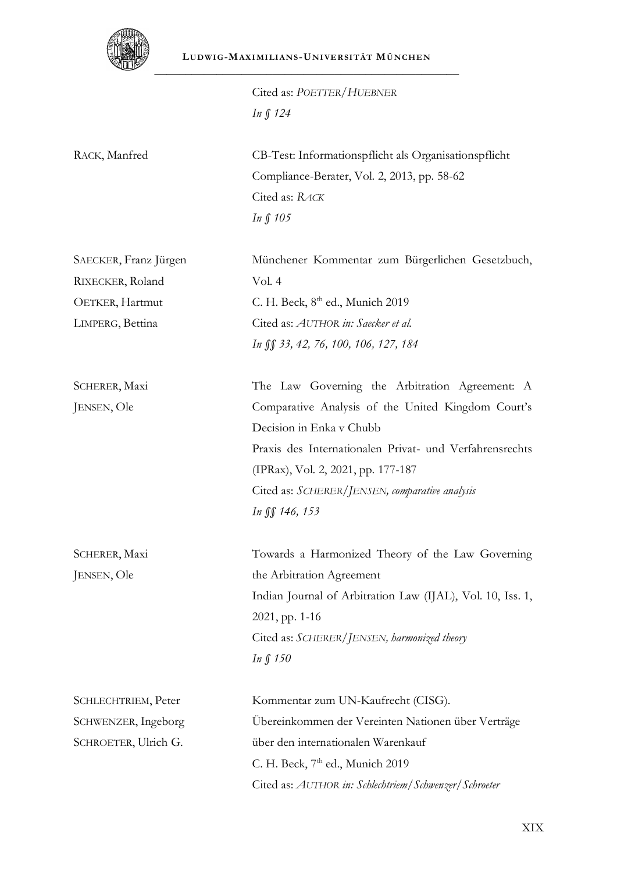

Cited as: *POETTER/HUEBNER In § 124*

RACK, Manfred CB-Test: Informationspflicht als Organisationspflicht Compliance-Berater, Vol. 2, 2013, pp. 58-62 Cited as: *RACK In § 105*

| SAECKER, Franz Jürgen | Münchener Kommentar zum Bürgerlichen Gesetzbuch, |
|-----------------------|--------------------------------------------------|
| RIXECKER, Roland      | Vol. 4                                           |
| OETKER, Hartmut       | C. H. Beck, $8th$ ed., Munich 2019               |
| LIMPERG, Bettina      | Cited as: AUTHOR in: Saecker et al.              |
|                       | In $\int$ 33, 42, 76, 100, 106, 127, 184         |
|                       |                                                  |

SCHERER, Maxi JENSEN, Ole

SCHERER, Maxi JENSEN, Ole

The Law Governing the Arbitration Agreement: A Comparative Analysis of the United Kingdom Court's Decision in Enka v Chubb Praxis des Internationalen Privat- und Verfahrensrechts (IPRax), Vol. 2, 2021, pp. 177-187 Cited as: *SCHERER/JENSEN, comparative analysis In §§ 146, 153*

Towards a Harmonized Theory of the Law Governing the Arbitration Agreement Indian Journal of Arbitration Law (IJAL), Vol. 10, Iss. 1, 2021, pp. 1-16 Cited as: *SCHERER/JENSEN, harmonized theory In § 150*

| SCHLECHTRIEM, Peter  | Kommentar zum UN-Kaufrecht (CISG).                    |
|----------------------|-------------------------------------------------------|
| SCHWENZER, Ingeborg  | Übereinkommen der Vereinten Nationen über Verträge    |
| SCHROETER, Ulrich G. | über den internationalen Warenkauf                    |
|                      | C. H. Beck, $7th$ ed., Munich 2019                    |
|                      | Cited as: AUTHOR in: Schlechtriem/Schwenzer/Schroeter |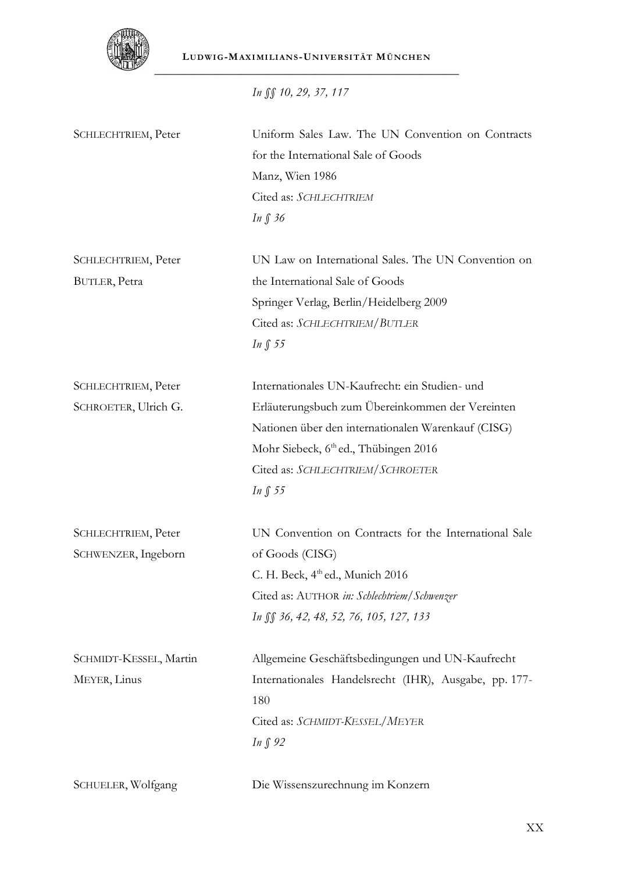

**LUDWI G-MAXI MI LI ANS -UNI VE RSI TÄT MÜNCHE N** \_\_\_\_\_\_\_\_\_\_\_\_\_\_\_\_\_\_\_\_\_\_\_\_\_\_\_\_\_\_\_\_\_\_\_\_\_\_\_\_\_\_\_\_\_\_\_\_\_

*In §§ 10, 29, 37, 117*

| SCHLECHTRIEM, Peter    | Uniform Sales Law. The UN Convention on Contracts     |
|------------------------|-------------------------------------------------------|
|                        | for the International Sale of Goods                   |
|                        | Manz, Wien 1986                                       |
|                        | Cited as: SCHLECHTRIEM                                |
|                        | In $\int$ 36                                          |
| SCHLECHTRIEM, Peter    | UN Law on International Sales. The UN Convention on   |
| BUTLER, Petra          | the International Sale of Goods                       |
|                        | Springer Verlag, Berlin/Heidelberg 2009               |
|                        | Cited as: SCHLECHTRIEM/BUTLER                         |
|                        | In $\int$ 55                                          |
| SCHLECHTRIEM, Peter    | Internationales UN-Kaufrecht: ein Studien- und        |
| SCHROETER, Ulrich G.   | Erläuterungsbuch zum Übereinkommen der Vereinten      |
|                        | Nationen über den internationalen Warenkauf (CISG)    |
|                        | Mohr Siebeck, 6 <sup>th</sup> ed., Thübingen 2016     |
|                        | Cited as: SCHLECHTRIEM/SCHROETER                      |
|                        | In $\int$ 55                                          |
| SCHLECHTRIEM, Peter    | UN Convention on Contracts for the International Sale |
| SCHWENZER, Ingeborn    | of Goods (CISG)                                       |
|                        | C. H. Beck, $4th$ ed., Munich 2016                    |
|                        | Cited as: AUTHOR in: Schlechtriem/Schwenzer           |
|                        | In §§ 36, 42, 48, 52, 76, 105, 127, 133               |
| SCHMIDT-KESSEL, Martin | Allgemeine Geschäftsbedingungen und UN-Kaufrecht      |
| MEYER, Linus           | Internationales Handelsrecht (IHR), Ausgabe, pp. 177- |
|                        | 180                                                   |
|                        | Cited as: SCHMIDT-KESSEL/MEYER                        |
|                        | In $\int$ 92                                          |
| SCHUELER, Wolfgang     | Die Wissenszurechnung im Konzern                      |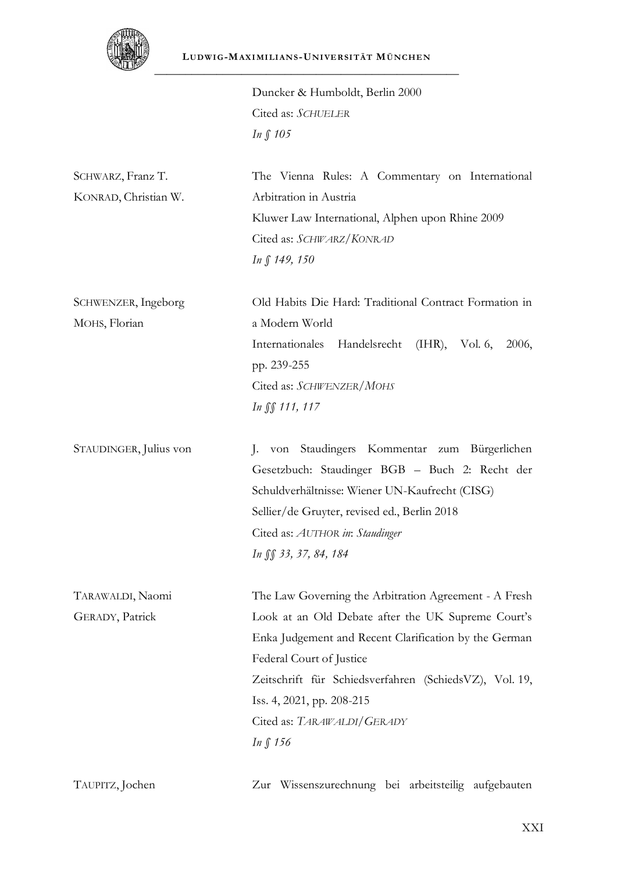

Duncker & Humboldt, Berlin 2000 Cited as: *SCHUELER In § 105*

SCHWARZ, Franz T. KONRAD, Christian W. The Vienna Rules: A Commentary on International Arbitration in Austria Kluwer Law International, Alphen upon Rhine 2009 Cited as: *SCHWARZ/KONRAD In § 149, 150*

SCHWENZER, Ingeborg MOHS, Florian

Old Habits Die Hard: Traditional Contract Formation in a Modern World Internationales Handelsrecht (IHR), Vol. 6, 2006, pp. 239-255 Cited as: *SCHWENZER/MOHS In §§ 111, 117*

STAUDINGER, Julius von J. von Staudingers Kommentar zum Bürgerlichen Gesetzbuch: Staudinger BGB – Buch 2: Recht der Schuldverhältnisse: Wiener UN-Kaufrecht (CISG) Sellier/de Gruyter, revised ed., Berlin 2018 Cited as: *AUTHOR in*: *Staudinger In §§ 33, 37, 84, 184*

TARAWALDI, Naomi GERADY, Patrick The Law Governing the Arbitration Agreement - A Fresh Look at an Old Debate after the UK Supreme Court's Enka Judgement and Recent Clarification by the German Federal Court of Justice Zeitschrift für Schiedsverfahren (SchiedsVZ), Vol. 19, Iss. 4, 2021, pp. 208-215 Cited as: *TARAWALDI/GERADY In § 156*

TAUPITZ, Jochen Zur Wissenszurechnung bei arbeitsteilig aufgebauten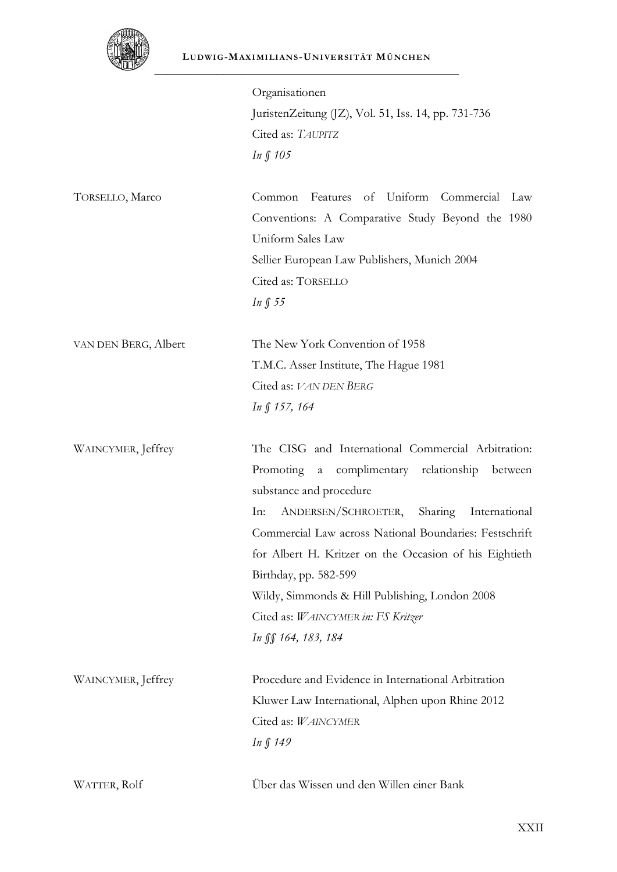

#### **LUDWI G-MAXI MI LI ANS -UNI VE RSI TÄT MÜNCHE N**

| ستطلقا               |                                                                       |
|----------------------|-----------------------------------------------------------------------|
|                      | Organisationen                                                        |
|                      | JuristenZeitung (JZ), Vol. 51, Iss. 14, pp. 731-736                   |
|                      | Cited as: TAUPITZ                                                     |
|                      | In $\int$ 105                                                         |
| TORSELLO, Marco      | of Uniform Commercial<br>Common<br>Features<br>Law                    |
|                      | Conventions: A Comparative Study Beyond the 1980<br>Uniform Sales Law |
|                      | Sellier European Law Publishers, Munich 2004                          |
|                      | Cited as: TORSELLO                                                    |
|                      | In $\int$ 55                                                          |
| VAN DEN BERG, Albert | The New York Convention of 1958                                       |
|                      | T.M.C. Asser Institute, The Hague 1981                                |
|                      | Cited as: VAN DEN BERG                                                |
|                      | In $\int$ 157, 164                                                    |
| WAINCYMER, Jeffrey   | The CISG and International Commercial Arbitration:                    |
|                      | complimentary relationship<br>Promoting<br>$\rm{a}$<br>between        |
|                      | substance and procedure                                               |
|                      | ANDERSEN/SCHROETER,<br>Sharing<br>International<br>In:                |
|                      | Commercial Law across National Boundaries: Festschrift                |
|                      | for Albert H. Kritzer on the Occasion of his Eightieth                |
|                      | Birthday, pp. 582-599                                                 |
|                      | Wildy, Simmonds & Hill Publishing, London 2008                        |
|                      | Cited as: WAINCYMER in: FS Kritzer                                    |
|                      | In SS 164, 183, 184                                                   |
| WAINCYMER, Jeffrey   | Procedure and Evidence in International Arbitration                   |
|                      | Kluwer Law International, Alphen upon Rhine 2012                      |
|                      | Cited as: WAINCYMER                                                   |
|                      | <i>In</i> ∫ 149                                                       |
| WATTER, Rolf         | Über das Wissen und den Willen einer Bank                             |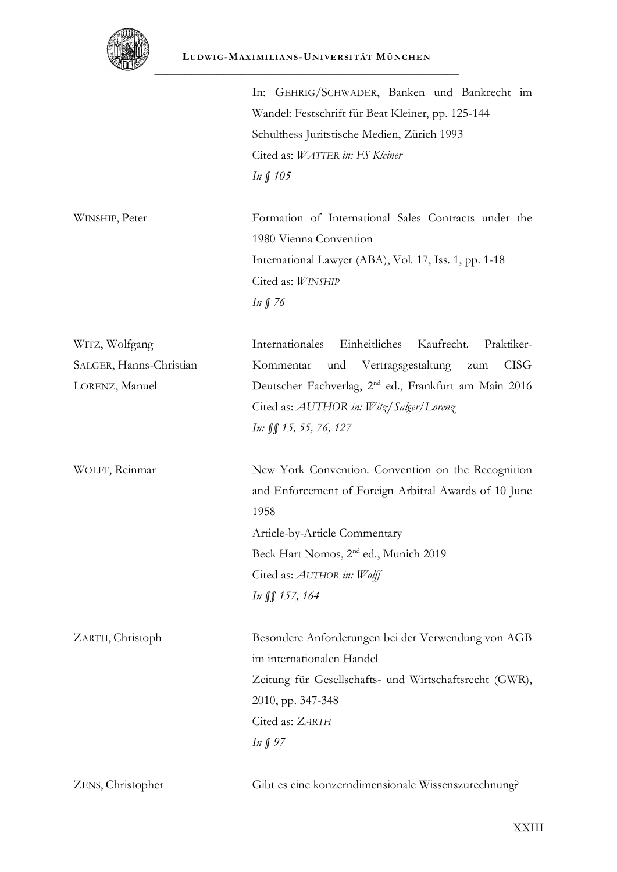

|                         | In: GEHRIG/SCHWADER, Banken und Bankrecht im<br>Wandel: Festschrift für Beat Kleiner, pp. 125-144<br>Schulthess Juritstische Medien, Zürich 1993<br>Cited as: WATTER in: FS Kleiner<br>In § 105                                                           |
|-------------------------|-----------------------------------------------------------------------------------------------------------------------------------------------------------------------------------------------------------------------------------------------------------|
| WINSHIP, Peter          | Formation of International Sales Contracts under the<br>1980 Vienna Convention<br>International Lawyer (ABA), Vol. 17, Iss. 1, pp. 1-18<br>Cited as: WINSHIP<br>In $\int$ 76                                                                              |
| WITZ, Wolfgang          | Einheitliches<br>Kaufrecht.<br>Internationales<br>Praktiker-                                                                                                                                                                                              |
| SALGER, Hanns-Christian | Vertragsgestaltung<br><b>CISG</b><br>Kommentar<br>und<br>zum                                                                                                                                                                                              |
| LORENZ, Manuel          | Deutscher Fachverlag, 2 <sup>nd</sup> ed., Frankfurt am Main 2016<br>Cited as: AUTHOR in: Witz/Salger/Lorenz<br>In: §§ 15, 55, 76, 127                                                                                                                    |
| WOLFF, Reinmar          | New York Convention. Convention on the Recognition<br>and Enforcement of Foreign Arbitral Awards of 10 June<br>1958<br>Article-by-Article Commentary<br>Beck Hart Nomos, 2 <sup>nd</sup> ed., Munich 2019<br>Cited as: AUTHOR in: Wolff<br>In SS 157, 164 |
| ZARTH, Christoph        | Besondere Anforderungen bei der Verwendung von AGB<br>im internationalen Handel<br>Zeitung für Gesellschafts- und Wirtschaftsrecht (GWR),<br>2010, pp. 347-348<br>Cited as: ZARTH<br>In $\int$ 97                                                         |
| ZENS, Christopher       | Gibt es eine konzerndimensionale Wissenszurechnung?                                                                                                                                                                                                       |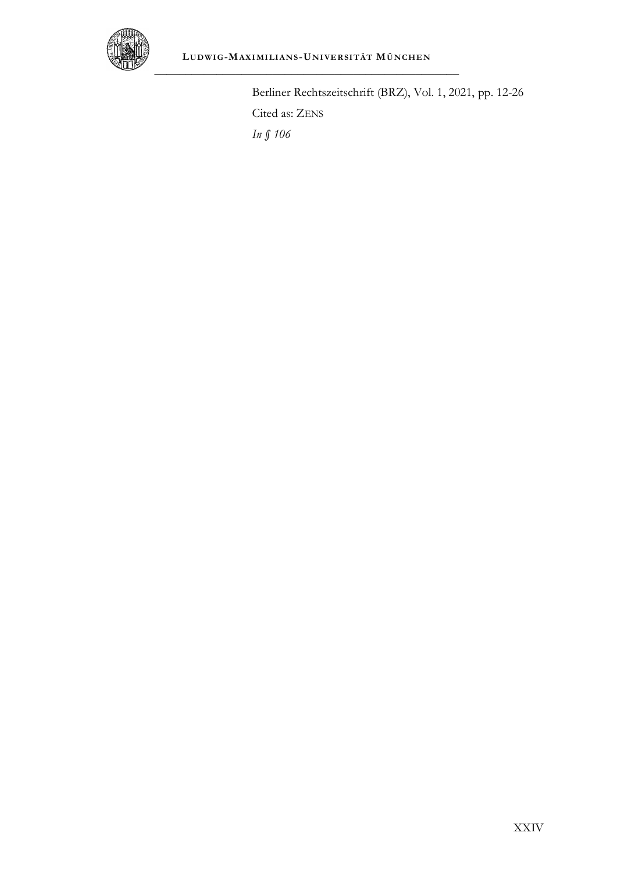

Berliner Rechtszeitschrift (BRZ), Vol. 1, 2021, pp. 12-26 Cited as: ZENS *In § 106*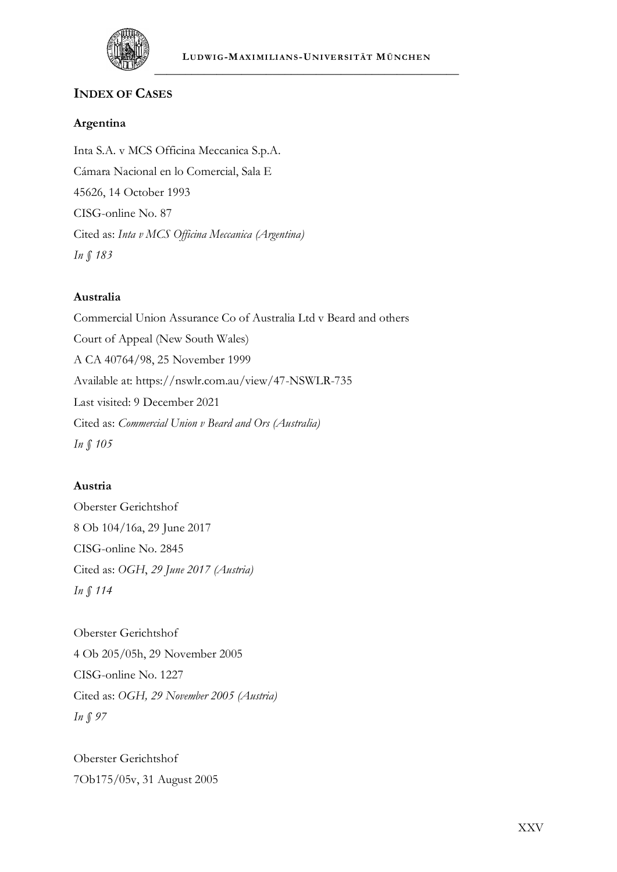

### **INDEX OF CASES**

#### **Argentina**

Inta S.A. v MCS Officina Meccanica S.p.A. Cámara Nacional en lo Comercial, Sala E 45626, 14 October 1993 CISG-online No. 87 Cited as: *Inta v MCS Officina Meccanica (Argentina) In § 183*

#### **Australia**

Commercial Union Assurance Co of Australia Ltd v Beard and others Court of Appeal (New South Wales) A CA 40764/98, 25 November 1999 Available at: https://nswlr.com.au/view/47-NSWLR-735 Last visited: 9 December 2021 Cited as: *Commercial Union v Beard and Ors (Australia) In § 105*

#### **Austria**

Oberster Gerichtshof 8 Ob 104/16a, 29 June 2017 CISG-online No. 2845 Cited as: *OGH*, *29 June 2017 (Austria) In § 114*

Oberster Gerichtshof 4 Ob 205/05h, 29 November 2005 CISG-online No. 1227 Cited as: *OGH, 29 November 2005 (Austria) In § 97*

Oberster Gerichtshof 7Ob175/05v, 31 August 2005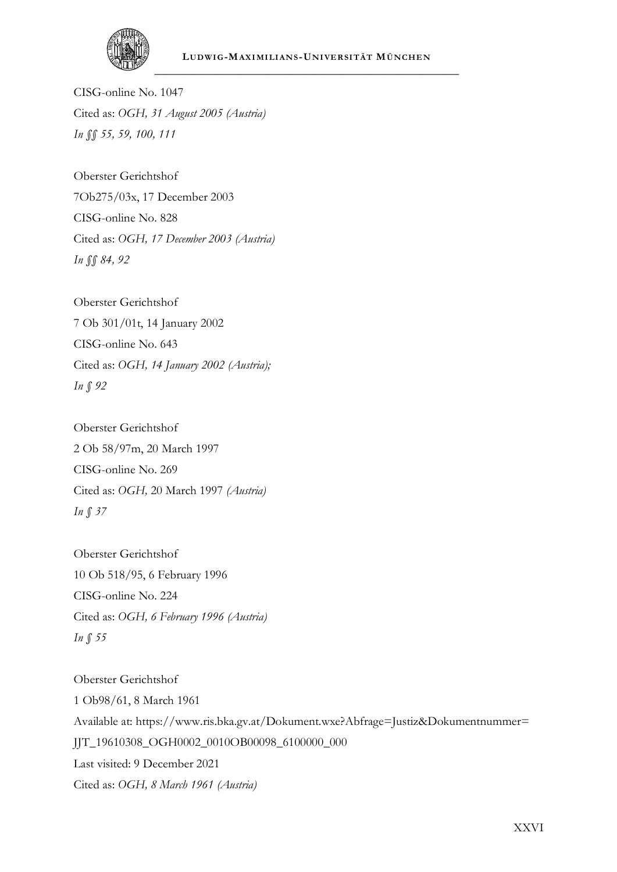

CISG-online No. 1047 Cited as: *OGH, 31 August 2005 (Austria) In §§ 55, 59, 100, 111*

Oberster Gerichtshof 7Ob275/03x, 17 December 2003 CISG-online No. 828 Cited as: *OGH, 17 December 2003 (Austria) In §§ 84, 92*

Oberster Gerichtshof 7 Ob 301/01t, 14 January 2002 CISG-online No. 643 Cited as: *OGH, 14 January 2002 (Austria); In § 92*

Oberster Gerichtshof 2 Ob 58/97m, 20 March 1997 CISG-online No. 269 Cited as: *OGH,* 20 March 1997 *(Austria) In § 37*

Oberster Gerichtshof 10 Ob 518/95, 6 February 1996 CISG-online No. 224 Cited as: *OGH, 6 February 1996 (Austria) In § 55*

Oberster Gerichtshof 1 Ob98/61, 8 March 1961 Available at: https://www.ris.bka.gv.at/Dokument.wxe?Abfrage=Justiz&Dokumentnummer= JJT\_19610308\_OGH0002\_0010OB00098\_6100000\_000 Last visited: 9 December 2021 Cited as: *OGH, 8 March 1961 (Austria)*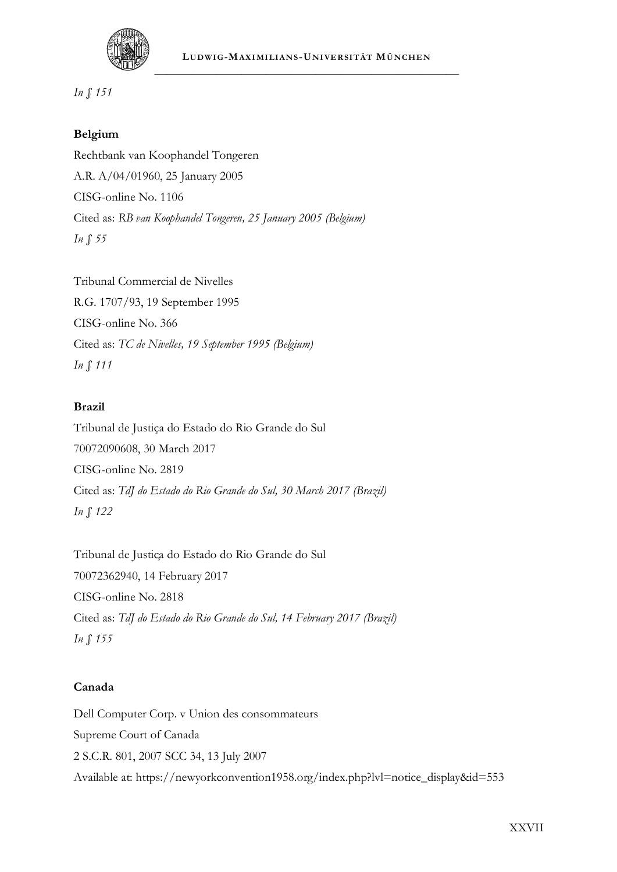

*In § 151*

#### **Belgium**

Rechtbank van Koophandel Tongeren A.R. A/04/01960, 25 January 2005 CISG-online No. 1106 Cited as: *RB van Koophandel Tongeren, 25 January 2005 (Belgium) In § 55*

Tribunal Commercial de Nivelles R.G. 1707/93, 19 September 1995 CISG-online No. 366 Cited as: *TC de Nivelles, 19 September 1995 (Belgium) In § 111*

#### **Brazil**

Tribunal de Justiça do Estado do Rio Grande do Sul 70072090608, 30 March 2017 CISG-online No. 2819 Cited as: *TdJ do Estado do Rio Grande do Sul, 30 March 2017 (Brazil) In § 122*

Tribunal de Justiça do Estado do Rio Grande do Sul 70072362940, 14 February 2017 CISG-online No. 2818 Cited as: *TdJ do Estado do Rio Grande do Sul, 14 February 2017 (Brazil) In § 155*

#### **Canada**

Dell Computer Corp. v Union des consommateurs Supreme Court of Canada 2 S.C.R. 801, 2007 SCC 34, 13 July 2007 Available at: https://newyorkconvention1958.org/index.php?lvl=notice\_display&id=553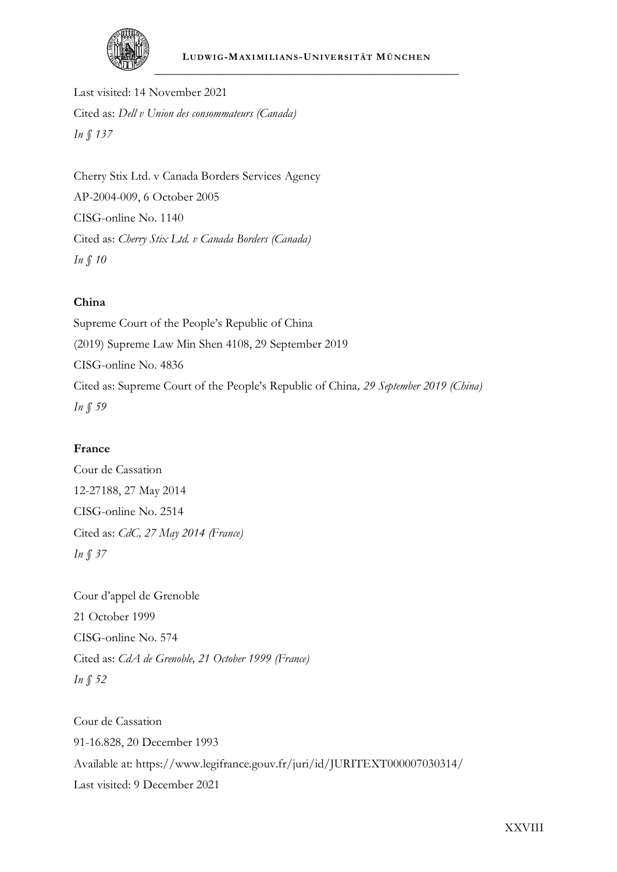

Last visited: 14 November 2021 Cited as: *Dell v Union des consommateurs (Canada) In § 137*

Cherry Stix Ltd. v Canada Borders Services Agency AP-2004-009, 6 October 2005 CISG-online No. 1140 Cited as: *Cherry Stix Ltd. v Canada Borders (Canada) In § 10*

#### **China**

Supreme Court of the People's Republic of China (2019) Supreme Law Min Shen 4108, 29 September 2019 CISG-online No. 4836 Cited as: Supreme Court of the People's Republic of China*, 29 September 2019 (China) In § 59*

#### **France**

Cour de Cassation 12-27188, 27 May 2014 CISG-online No. 2514 Cited as: *CdC, 27 May 2014 (France) In § 37*

Cour d'appel de Grenoble 21 October 1999 CISG-online No. 574 Cited as: *CdA de Grenoble, 21 October 1999 (France) In § 52*

Cour de Cassation 91-16.828, 20 December 1993 Available at: https://www.legifrance.gouv.fr/juri/id/JURITEXT000007030314/ Last visited: 9 December 2021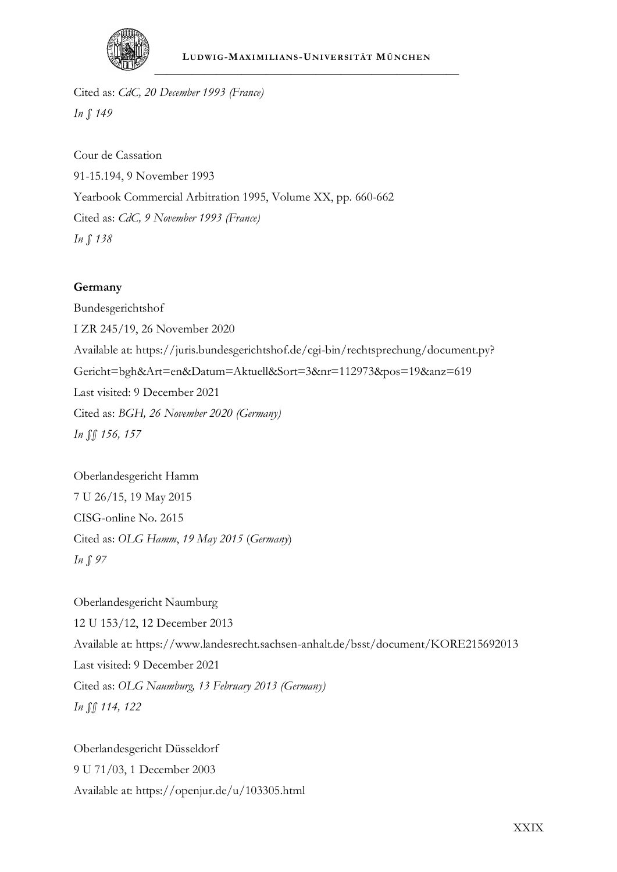

Cited as: *CdC, 20 December 1993 (France) In § 149*

Cour de Cassation 91-15.194, 9 November 1993 Yearbook Commercial Arbitration 1995, Volume XX, pp. 660-662 Cited as: *CdC, 9 November 1993 (France) In § 138*

#### **Germany**

Bundesgerichtshof I ZR 245/19, 26 November 2020 Available at: https://juris.bundesgerichtshof.de/cgi-bin/rechtsprechung/document.py? Gericht=bgh&Art=en&Datum=Aktuell&Sort=3&nr=112973&pos=19&anz=619 Last visited: 9 December 2021 Cited as: *BGH, 26 November 2020 (Germany) In §§ 156, 157*

Oberlandesgericht Hamm 7 U 26/15, 19 May 2015 CISG-online No. 2615 Cited as: *OLG Hamm*, *19 May 2015* (*Germany*) *In § 97*

Oberlandesgericht Naumburg 12 U 153/12, 12 December 2013 Available at: https://www.landesrecht.sachsen-anhalt.de/bsst/document/KORE215692013 Last visited: 9 December 2021 Cited as: *OLG Naumburg, 13 February 2013 (Germany) In §§ 114, 122*

Oberlandesgericht Düsseldorf 9 U 71/03, 1 December 2003 Available at: https://openjur.de/u/103305.html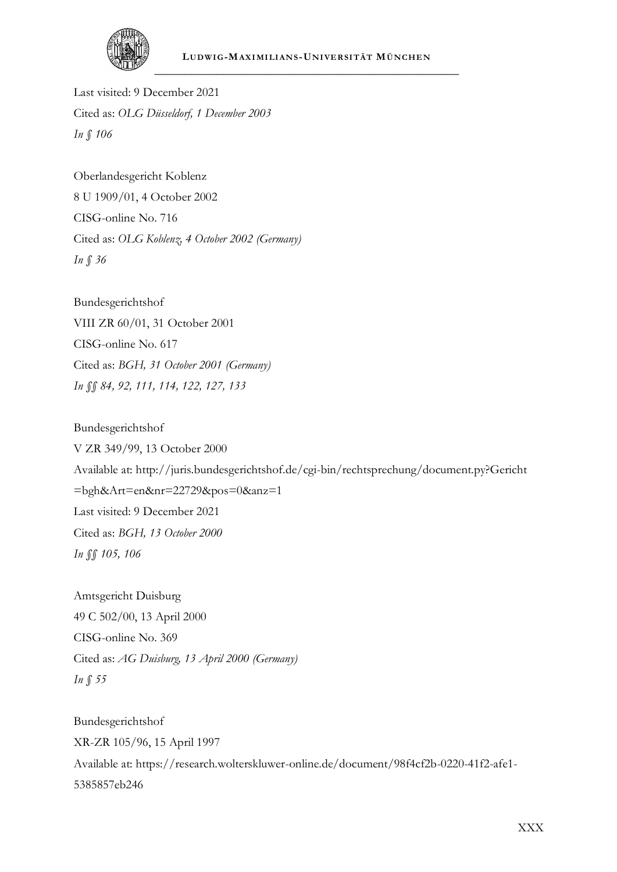

Last visited: 9 December 2021 Cited as: *OLG Düsseldorf, 1 December 2003 In § 106*

Oberlandesgericht Koblenz 8 U 1909/01, 4 October 2002 CISG-online No. 716 Cited as: *OLG Koblenz, 4 October 2002 (Germany) In § 36*

Bundesgerichtshof VIII ZR 60/01, 31 October 2001 CISG-online No. 617 Cited as: *BGH, 31 October 2001 (Germany) In §§ 84, 92, 111, 114, 122, 127, 133*

Bundesgerichtshof V ZR 349/99, 13 October 2000 Available at: http://juris.bundesgerichtshof.de/cgi-bin/rechtsprechung/document.py?Gericht =bgh&Art=en&nr=22729&pos=0&anz=1 Last visited: 9 December 2021 Cited as: *BGH, 13 October 2000 In §§ 105, 106*

Amtsgericht Duisburg 49 C 502/00, 13 April 2000 CISG-online No. 369 Cited as: *AG Duisburg, 13 April 2000 (Germany) In § 55*

Bundesgerichtshof XR-ZR 105/96, 15 April 1997 Available at: https://research.wolterskluwer-online.de/document/98f4cf2b-0220-41f2-afe1- 5385857eb246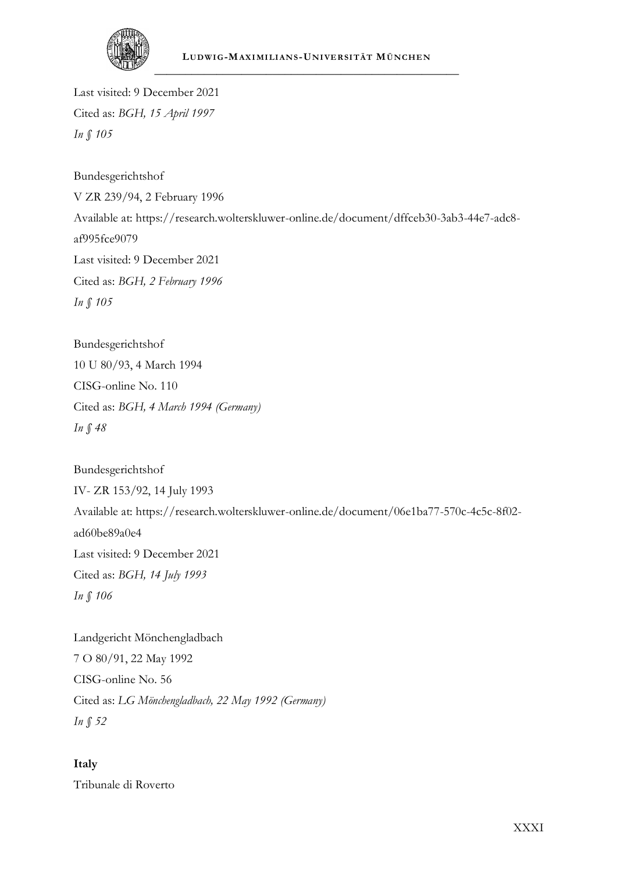

Last visited: 9 December 2021 Cited as: *BGH, 15 April 1997 In § 105*

Bundesgerichtshof V ZR 239/94, 2 February 1996 Available at: https://research.wolterskluwer-online.de/document/dffceb30-3ab3-44e7-adc8 af995fce9079 Last visited: 9 December 2021 Cited as: *BGH, 2 February 1996 In § 105*

Bundesgerichtshof 10 U 80/93, 4 March 1994 CISG-online No. 110 Cited as: *BGH, 4 March 1994 (Germany) In § 48*

Bundesgerichtshof IV- ZR 153/92, 14 July 1993 Available at: https://research.wolterskluwer-online.de/document/06e1ba77-570c-4c5c-8f02 ad60be89a0e4 Last visited: 9 December 2021 Cited as: *BGH, 14 July 1993 In § 106*

Landgericht Mönchengladbach 7 O 80/91, 22 May 1992 CISG-online No. 56 Cited as: *LG Mönchengladbach, 22 May 1992 (Germany) In § 52*

**Italy**

Tribunale di Roverto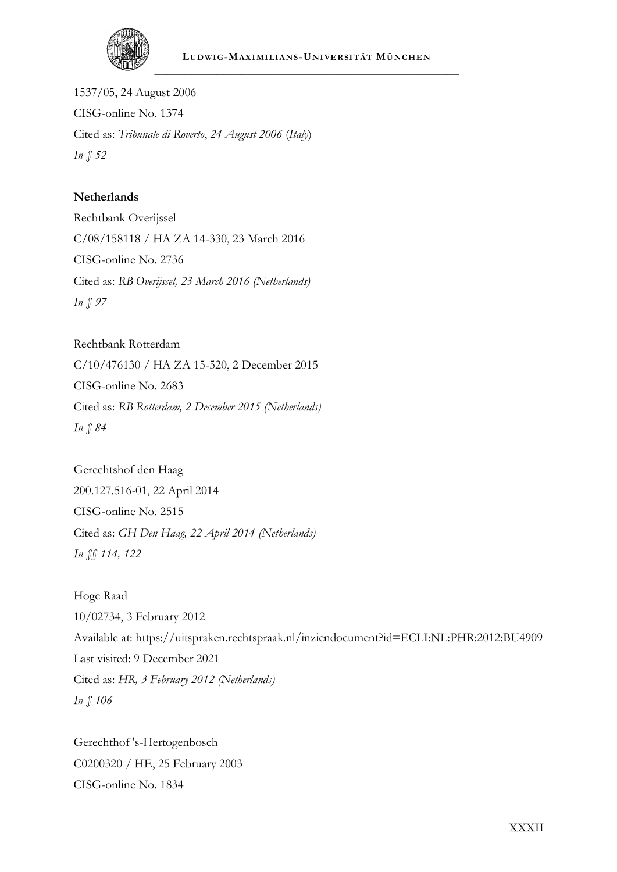

1537/05, 24 August 2006 CISG-online No. 1374 Cited as: *Tribunale di Roverto*, *24 August 2006* (*Italy*) *In § 52*

#### **Netherlands**

Rechtbank Overijssel C/08/158118 / HA ZA 14-330, 23 March 2016 CISG-online No. 2736 Cited as: *RB Overijssel, 23 March 2016 (Netherlands) In § 97*

Rechtbank Rotterdam C/10/476130 / HA ZA 15-520, 2 December 2015 CISG-online No. 2683 Cited as: *RB Rotterdam, 2 December 2015 (Netherlands) In § 84*

Gerechtshof den Haag 200.127.516-01, 22 April 2014 CISG-online No. 2515 Cited as: *GH Den Haag, 22 April 2014 (Netherlands) In §§ 114, 122*

Hoge Raad 10/02734, 3 February 2012 Available at: https://uitspraken.rechtspraak.nl/inziendocument?id=ECLI:NL:PHR:2012:BU4909 Last visited: 9 December 2021 Cited as: *HR, 3 February 2012 (Netherlands) In § 106*

Gerechthof 's-Hertogenbosch C0200320 / HE, 25 February 2003 CISG-online No. 1834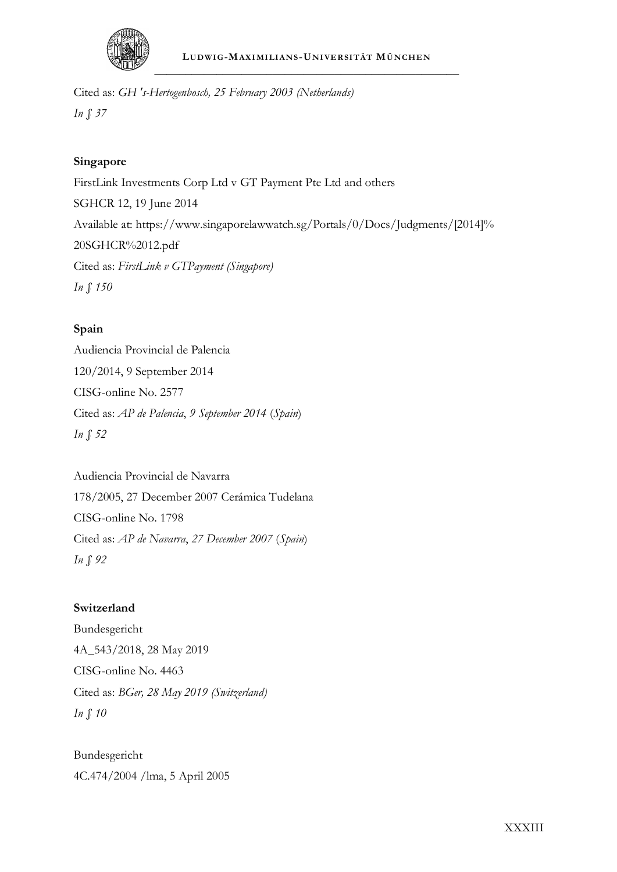

Cited as: *GH 's-Hertogenbosch, 25 February 2003 (Netherlands) In § 37*

#### **Singapore**

FirstLink Investments Corp Ltd v GT Payment Pte Ltd and others SGHCR 12, 19 June 2014 Available at: https://www.singaporelawwatch.sg/Portals/0/Docs/Judgments/[2014]% 20SGHCR%2012.pdf Cited as: *FirstLink v GTPayment (Singapore) In § 150*

#### **Spain**

Audiencia Provincial de Palencia 120/2014, 9 September 2014 CISG-online No. 2577 Cited as: *AP de Palencia*, *9 September 2014* (*Spain*) *In § 52*

Audiencia Provincial de Navarra 178/2005, 27 December 2007 Cerámica Tudelana CISG-online No. 1798 Cited as: *AP de Navarra*, *27 December 2007* (*Spain*) *In § 92*

#### **Switzerland**

Bundesgericht 4A\_543/2018, 28 May 2019 CISG-online No. 4463 Cited as: *BGer, 28 May 2019 (Switzerland) In § 10*

Bundesgericht 4C.474/2004 /lma, 5 April 2005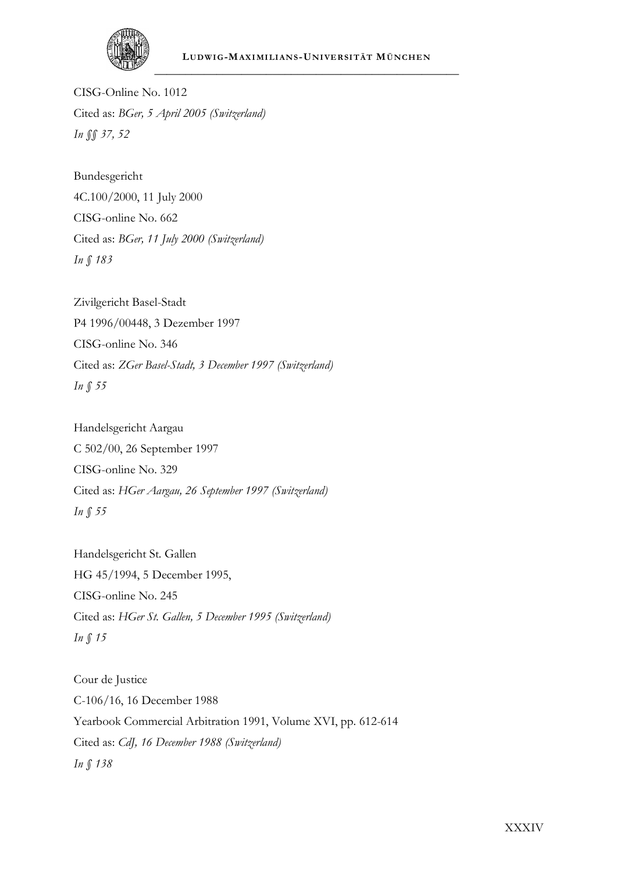

CISG-Online No. 1012 Cited as: *BGer, 5 April 2005 (Switzerland) In §§ 37, 52*

Bundesgericht 4C.100/2000, 11 July 2000 CISG-online No. 662 Cited as: *BGer, 11 July 2000 (Switzerland) In § 183*

Zivilgericht Basel-Stadt P4 1996/00448, 3 Dezember 1997 CISG-online No. 346 Cited as: *ZGer Basel-Stadt, 3 December 1997 (Switzerland) In § 55*

Handelsgericht Aargau C 502/00, 26 September 1997 CISG-online No. 329 Cited as: *HGer Aargau, 26 September 1997 (Switzerland) In § 55*

Handelsgericht St. Gallen HG 45/1994, 5 December 1995, CISG-online No. 245 Cited as: *HGer St. Gallen, 5 December 1995 (Switzerland) In § 15*

Cour de Justice C-106/16, 16 December 1988 Yearbook Commercial Arbitration 1991, Volume XVI, pp. 612-614 Cited as: *CdJ, 16 December 1988 (Switzerland) In § 138*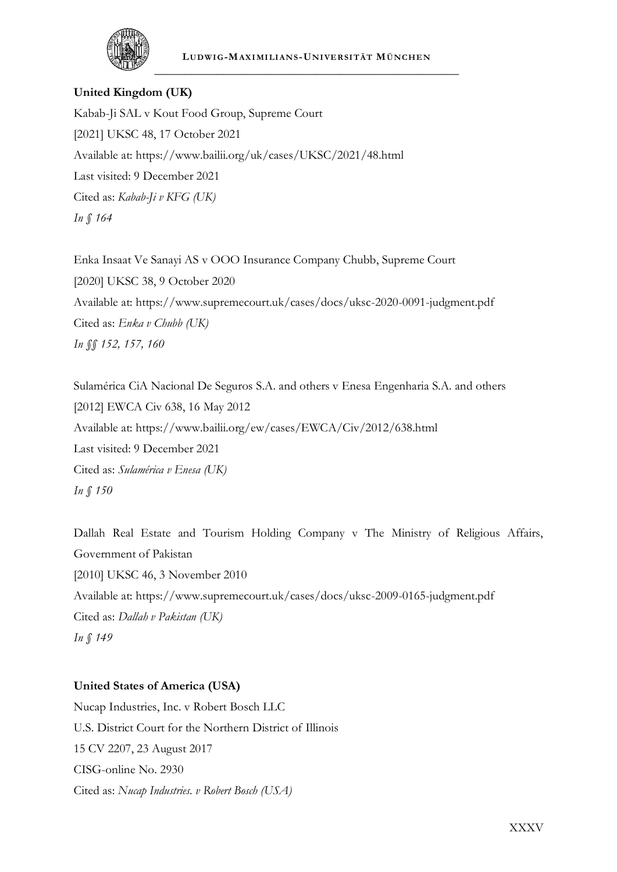

#### **LUDWI G-MAXI MI LI ANS -UNI VE RSI TÄT MÜNCHE N** \_\_\_\_\_\_\_\_\_\_\_\_\_\_\_\_\_\_\_\_\_\_\_\_\_\_\_\_\_\_\_\_\_\_\_\_\_\_\_\_\_\_\_\_\_\_\_\_\_

#### **United Kingdom (UK)**

Kabab-Ji SAL v Kout Food Group, Supreme Court [2021] UKSC 48, 17 October 2021 Available at: https://www.bailii.org/uk/cases/UKSC/2021/48.html Last visited: 9 December 2021 Cited as: *Kabab-Ji v KFG (UK) In § 164*

Enka Insaat Ve Sanayi AS v OOO Insurance Company Chubb, Supreme Court [2020] UKSC 38, 9 October 2020 Available at: https://www.supremecourt.uk/cases/docs/uksc-2020-0091-judgment.pdf Cited as: *Enka v Chubb (UK) In §§ 152, 157, 160*

Sulamérica CiA Nacional De Seguros S.A. and others v Enesa Engenharia S.A. and others [2012] EWCA Civ 638, 16 May 2012 Available at: https://www.bailii.org/ew/cases/EWCA/Civ/2012/638.html Last visited: 9 December 2021 Cited as: *Sulamérica v Enesa (UK) In § 150*

Dallah Real Estate and Tourism Holding Company v The Ministry of Religious Affairs, Government of Pakistan [2010] UKSC 46, 3 November 2010 Available at: https://www.supremecourt.uk/cases/docs/uksc-2009-0165-judgment.pdf Cited as: *Dallah v Pakistan (UK) In § 149*

#### **United States of America (USA)**

Nucap Industries, Inc. v Robert Bosch LLC U.S. District Court for the Northern District of Illinois 15 CV 2207, 23 August 2017 CISG-online No. 2930 Cited as: *Nucap Industries. v Robert Bosch (USA)*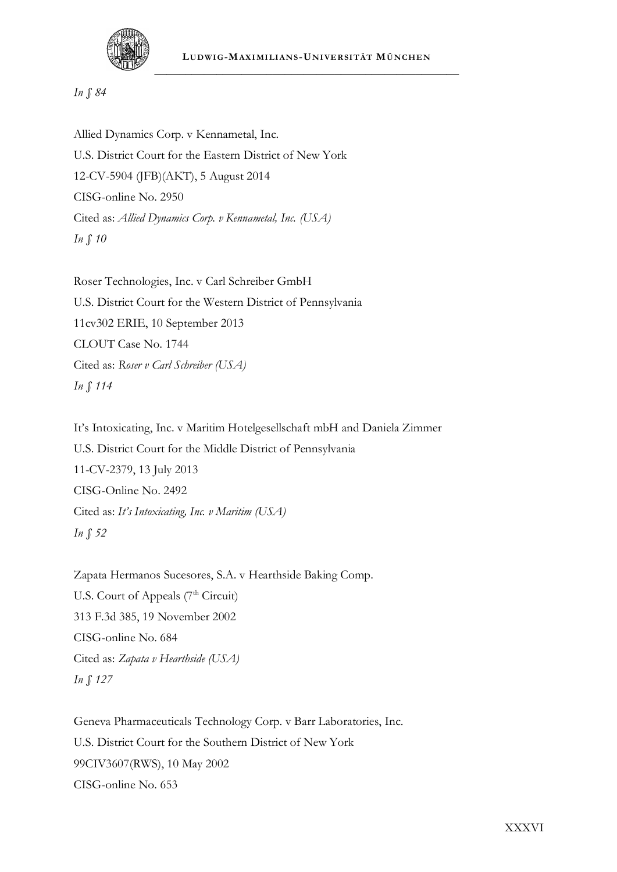

#### *In § 84*

Allied Dynamics Corp. v Kennametal, Inc. U.S. District Court for the Eastern District of New York 12-CV-5904 (JFB)(AKT), 5 August 2014 CISG-online No. 2950 Cited as: *Allied Dynamics Corp. v Kennametal, Inc. (USA) In § 10*

Roser Technologies, Inc. v Carl Schreiber GmbH U.S. District Court for the Western District of Pennsylvania 11cv302 ERIE, 10 September 2013 CLOUT Case No. 1744 Cited as: *Roser v Carl Schreiber (USA) In § 114*

It's Intoxicating, Inc. v Maritim Hotelgesellschaft mbH and Daniela Zimmer U.S. District Court for the Middle District of Pennsylvania 11-CV-2379, 13 July 2013 CISG-Online No. 2492 Cited as: *It's Intoxicating, Inc. v Maritim (USA) In § 52*

Zapata Hermanos Sucesores, S.A. v Hearthside Baking Comp. U.S. Court of Appeals (7<sup>th</sup> Circuit) 313 F.3d 385, 19 November 2002 CISG-online No. 684 Cited as: *Zapata v Hearthside (USA) In § 127*

Geneva Pharmaceuticals Technology Corp. v Barr Laboratories, Inc. U.S. District Court for the Southern District of New York 99CIV3607(RWS), 10 May 2002 CISG-online No. 653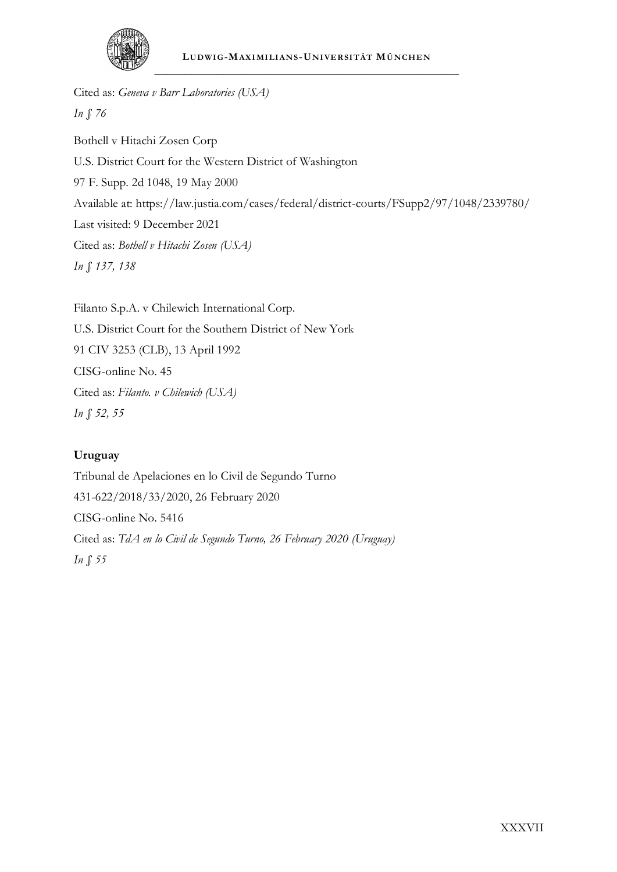

Cited as: *Geneva v Barr Laboratories (USA) In § 76* Bothell v Hitachi Zosen Corp U.S. District Court for the Western District of Washington 97 F. Supp. 2d 1048, 19 May 2000 Available at: https://law.justia.com/cases/federal/district-courts/FSupp2/97/1048/2339780/ Last visited: 9 December 2021 Cited as: *Bothell v Hitachi Zosen (USA) In § 137, 138*

Filanto S.p.A. v Chilewich International Corp. U.S. District Court for the Southern District of New York 91 CIV 3253 (CLB), 13 April 1992 CISG-online No. 45 Cited as: *Filanto. v Chilewich (USA) In § 52, 55*

# **Uruguay**

Tribunal de Apelaciones en lo Civil de Segundo Turno 431-622/2018/33/2020, 26 February 2020 CISG-online No. 5416 Cited as: *TdA en lo Civil de Segundo Turno, 26 February 2020 (Uruguay) In § 55*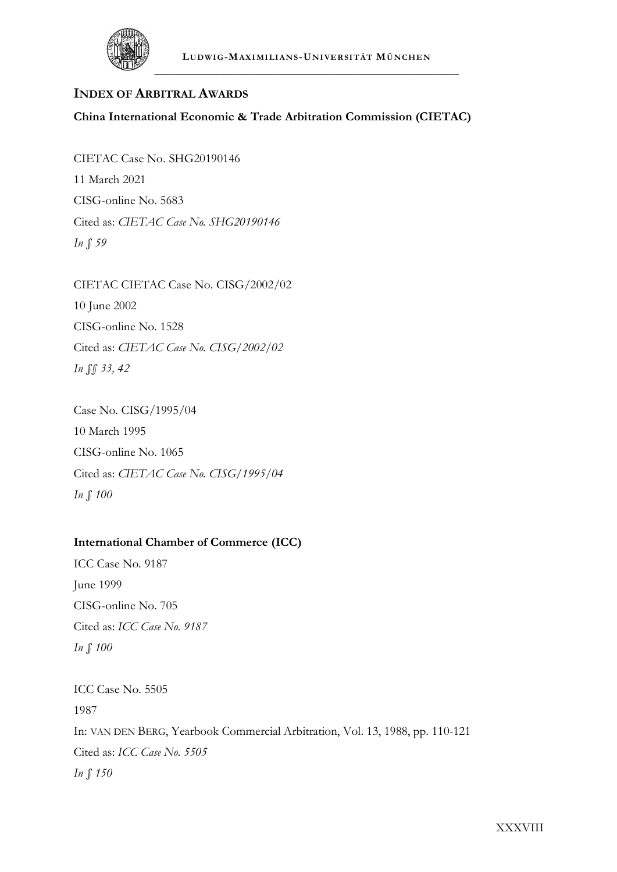

# **INDEX OF ARBITRAL AWARDS**

**China International Economic & Trade Arbitration Commission (CIETAC)**

CIETAC Case No. SHG20190146 11 March 2021 CISG-online No. 5683 Cited as: *CIETAC Case No. SHG20190146 In § 59*

CIETAC CIETAC Case No. CISG/2002/02 10 June 2002 CISG-online No. 1528 Cited as: *CIETAC Case No. CISG/2002/02 In §§ 33, 42*

Case No. CISG/1995/04 10 March 1995 CISG-online No. 1065 Cited as: *CIETAC Case No. CISG/1995/04 In § 100*

# **International Chamber of Commerce (ICC)**

ICC Case No. 9187 June 1999 CISG-online No. 705 Cited as: *ICC Case No. 9187 In § 100*

ICC Case No. 5505 1987 In: VAN DEN BERG, Yearbook Commercial Arbitration, Vol. 13, 1988, pp. 110-121 Cited as: *ICC Case No. 5505 In § 150*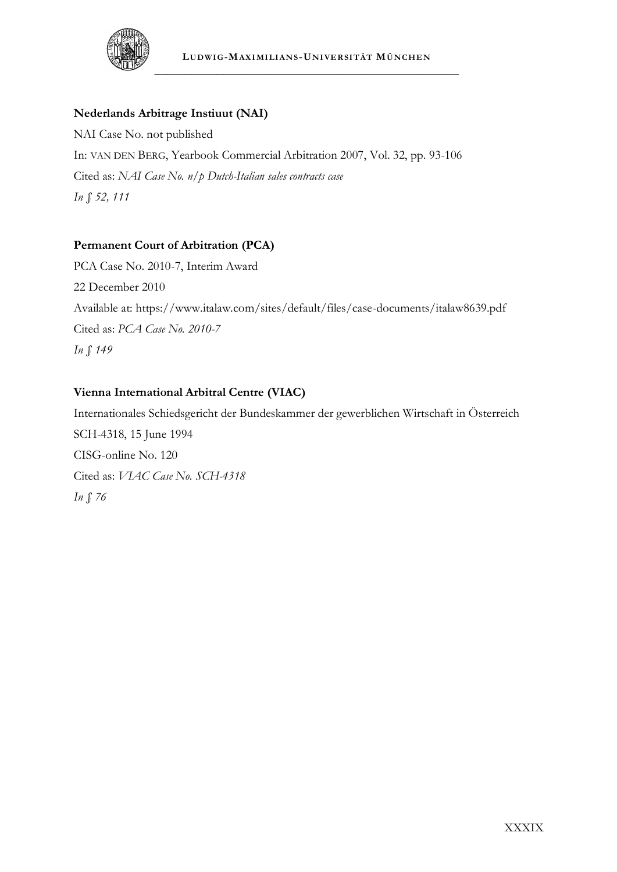

# **Nederlands Arbitrage Instiuut (NAI)**

NAI Case No. not published In: VAN DEN BERG, Yearbook Commercial Arbitration 2007, Vol. 32, pp. 93-106 Cited as: *NAI Case No. n/p Dutch-Italian sales contracts case In § 52, 111*

# **Permanent Court of Arbitration (PCA)**

PCA Case No. 2010-7, Interim Award 22 December 2010 Available at: https://www.italaw.com/sites/default/files/case-documents/italaw8639.pdf Cited as: *PCA Case No. 2010-7 In § 149*

# **Vienna International Arbitral Centre (VIAC)**

Internationales Schiedsgericht der Bundeskammer der gewerblichen Wirtschaft in Österreich SCH-4318, 15 June 1994 CISG-online No. 120 Cited as: *VIAC Case No. SCH-4318 In § 76*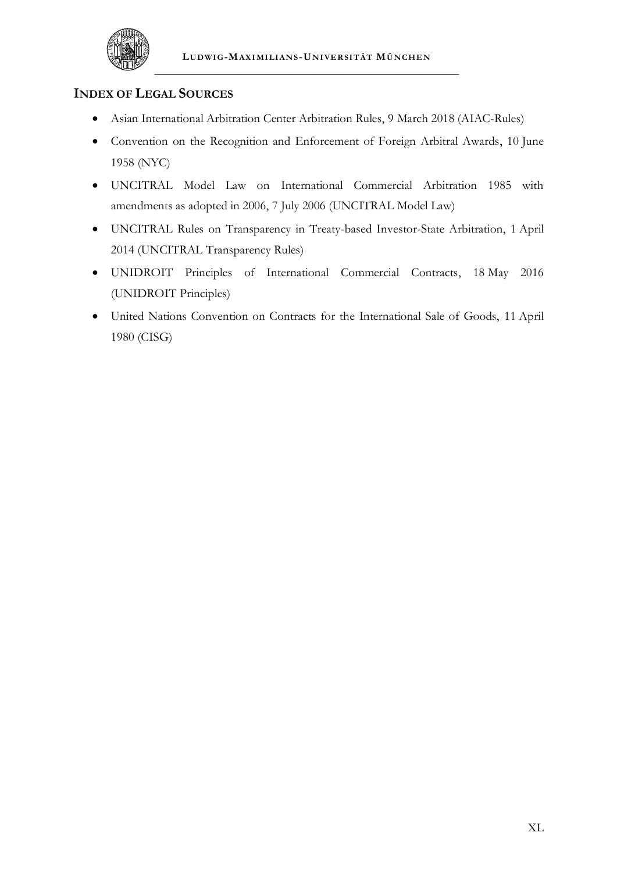

# **INDEX OF LEGAL SOURCES**

- Asian International Arbitration Center Arbitration Rules, 9 March 2018 (AIAC-Rules)
- Convention on the Recognition and Enforcement of Foreign Arbitral Awards, 10 June 1958 (NYC)
- UNCITRAL Model Law on International Commercial Arbitration 1985 with amendments as adopted in 2006, 7 July 2006 (UNCITRAL Model Law)
- UNCITRAL Rules on Transparency in Treaty-based Investor-State Arbitration, 1 April 2014 (UNCITRAL Transparency Rules)
- UNIDROIT Principles of International Commercial Contracts, 18 May 2016 (UNIDROIT Principles)
- United Nations Convention on Contracts for the International Sale of Goods, 11 April 1980 (CISG)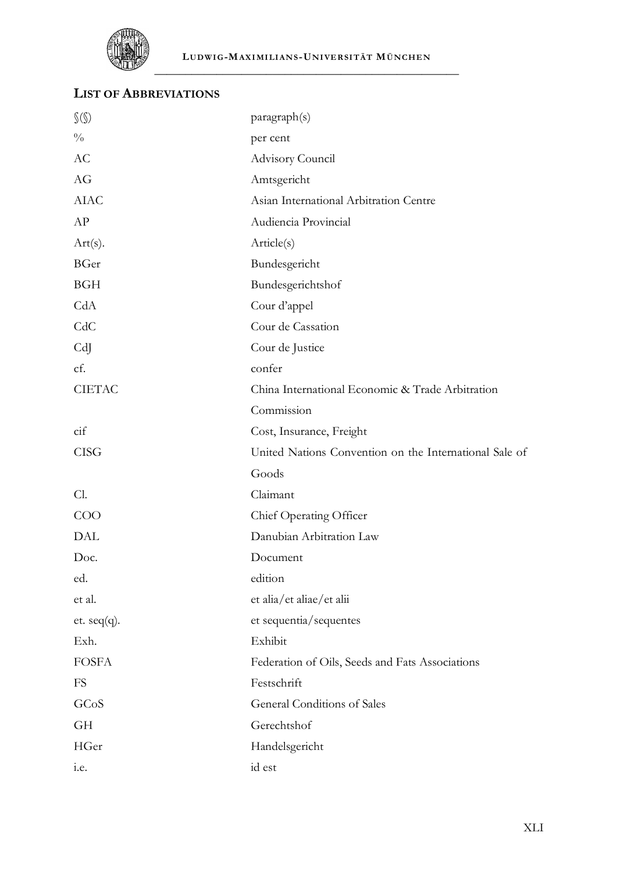

# **LIST OF ABBREVIATIONS**

| $\mathcal{S}(\mathcal{S})$ | paragraph(s)                                           |
|----------------------------|--------------------------------------------------------|
| $\frac{0}{0}$              | per cent                                               |
| AC                         | Advisory Council                                       |
| AG                         | Amtsgericht                                            |
| <b>AIAC</b>                | Asian International Arbitration Centre                 |
| AP                         | Audiencia Provincial                                   |
| Art(s).                    | Article(s)                                             |
| BGer                       | Bundesgericht                                          |
| <b>BGH</b>                 | Bundesgerichtshof                                      |
| CdA                        | Cour d'appel                                           |
| CdC                        | Cour de Cassation                                      |
| CdJ                        | Cour de Justice                                        |
| cf.                        | confer                                                 |
| <b>CIETAC</b>              | China International Economic & Trade Arbitration       |
|                            | Commission                                             |
| cif                        | Cost, Insurance, Freight                               |
| <b>CISG</b>                | United Nations Convention on the International Sale of |
|                            | Goods                                                  |
| Cl.                        | Claimant                                               |
| COO                        | Chief Operating Officer                                |
| DAL                        | Danubian Arbitration Law                               |
| Doc.                       | Document                                               |
| ed.                        | edition                                                |
| et al.                     | et alia/et aliae/et alii                               |
| et. $seq(q)$ .             | et sequentia/sequentes                                 |
| Exh.                       | Exhibit                                                |
| <b>FOSFA</b>               | Federation of Oils, Seeds and Fats Associations        |
| <b>FS</b>                  | Festschrift                                            |
| GCoS                       | General Conditions of Sales                            |
| <b>GH</b>                  | Gerechtshof                                            |
| HGer                       | Handelsgericht                                         |
| i.e.                       | id est                                                 |
|                            |                                                        |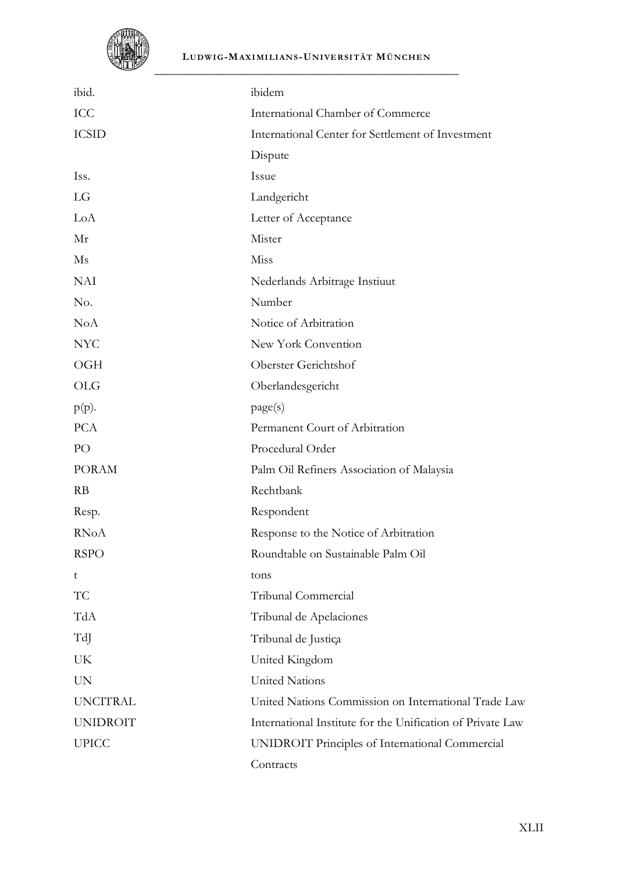

#### **LUDWI G-MAXI MI LI ANS -UNI VE RSI TÄT MÜNCHE N**

| ibid.           | ibidem                                                     |
|-----------------|------------------------------------------------------------|
| ICC             | International Chamber of Commerce                          |
| <b>ICSID</b>    | International Center for Settlement of Investment          |
|                 | Dispute                                                    |
| Iss.            | Issue                                                      |
| LG              | Landgericht                                                |
| LoA             | Letter of Acceptance                                       |
| Mr              | Mister                                                     |
| Ms              | Miss                                                       |
| <b>NAI</b>      | Nederlands Arbitrage Instiuut                              |
| No.             | Number                                                     |
| <b>NoA</b>      | Notice of Arbitration                                      |
| <b>NYC</b>      | New York Convention                                        |
| OGH             | Oberster Gerichtshof                                       |
| <b>OLG</b>      | Oberlandesgericht                                          |
| $p(p)$ .        | page(s)                                                    |
| <b>PCA</b>      | Permanent Court of Arbitration                             |
| PO              | Procedural Order                                           |
| <b>PORAM</b>    | Palm Oil Refiners Association of Malaysia                  |
| RB              | Rechtbank                                                  |
| Resp.           | Respondent                                                 |
| <b>RNoA</b>     | Response to the Notice of Arbitration                      |
| <b>RSPO</b>     | Roundtable on Sustainable Palm Oil                         |
| t               | tons                                                       |
| TC              | Tribunal Commercial                                        |
| TdA             | Tribunal de Apelaciones                                    |
| TdJ             | Tribunal de Justica                                        |
| UK              | United Kingdom                                             |
| <b>UN</b>       | <b>United Nations</b>                                      |
| <b>UNCITRAL</b> | United Nations Commission on International Trade Law       |
| <b>UNIDROIT</b> | International Institute for the Unification of Private Law |
| <b>UPICC</b>    | UNIDROIT Principles of International Commercial            |
|                 | Contracts                                                  |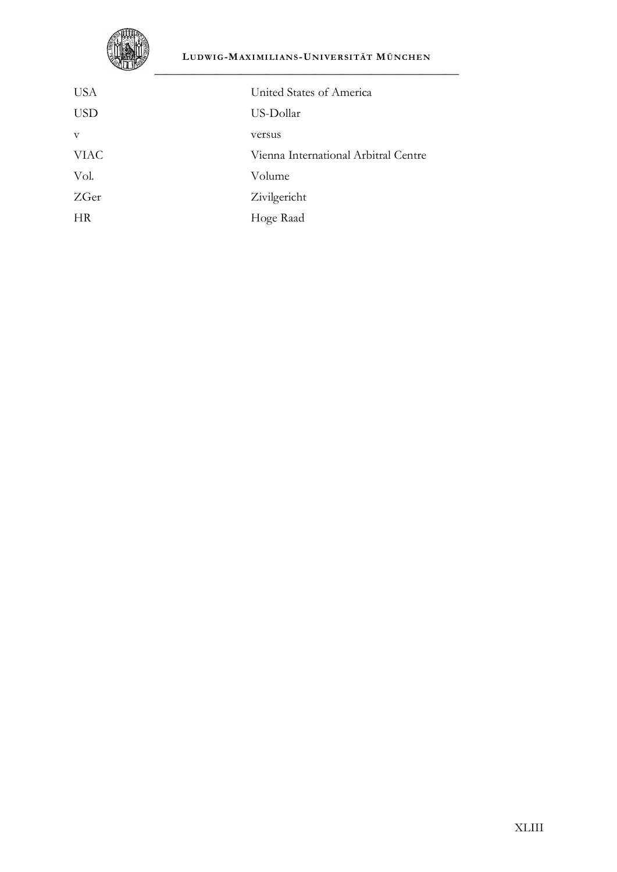

## **LUDWI G-MAXI MI LI ANS -UNI VE RSI TÄT MÜNCHE N**

| <b>USA</b>   | United States of America             |
|--------------|--------------------------------------|
| <b>USD</b>   | US-Dollar                            |
| $\mathbf{V}$ | versus                               |
| <b>VIAC</b>  | Vienna International Arbitral Centre |
| Vol.         | Volume                               |
| ZGer         | Zivilgericht                         |
| HR           | Hoge Raad                            |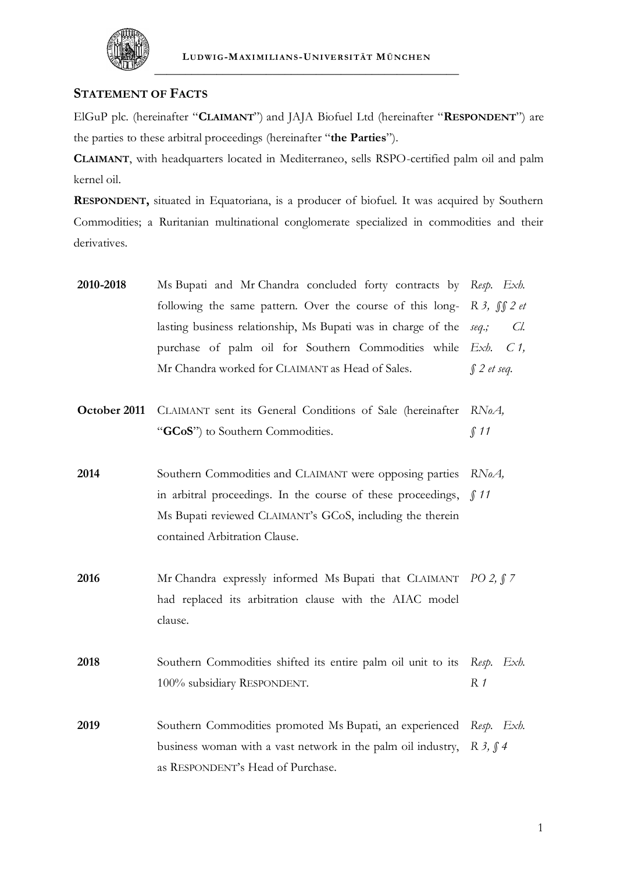

# **STATEMENT OF FACTS**

ElGuP plc. (hereinafter "**CLAIMANT**") and JAJA Biofuel Ltd (hereinafter "**RESPONDENT**") are the parties to these arbitral proceedings (hereinafter "**the Parties**").

**CLAIMANT**, with headquarters located in Mediterraneo, sells RSPO-certified palm oil and palm kernel oil.

**RESPONDENT,** situated in Equatoriana, is a producer of biofuel. It was acquired by Southern Commodities; a Ruritanian multinational conglomerate specialized in commodities and their derivatives.

| 2010-2018 | Ms Bupati and Mr Chandra concluded forty contracts by Resp. Exh.           |                  |
|-----------|----------------------------------------------------------------------------|------------------|
|           | following the same pattern. Over the course of this long- R 3, $\int$ 2 et |                  |
|           | lasting business relationship, Ms Bupati was in charge of the seq.;        | Cl.              |
|           | purchase of palm oil for Southern Commodities while $Exh$ . $C1$ ,         |                  |
|           | Mr Chandra worked for CLAIMANT as Head of Sales.                           | $\int$ 2 et seq. |

**October 2011** CLAIMANT sent its General Conditions of Sale (hereinafter RNoA, "**GCoS**") to Southern Commodities. *§ 11*

**2014** Southern Commodities and CLAIMANT were opposing parties *RNoA,*  in arbitral proceedings. In the course of these proceedings, *§ 11* Ms Bupati reviewed CLAIMANT's GCoS, including the therein contained Arbitration Clause.

**2016** Mr Chandra expressly informed Ms Bupati that CLAIMANT *PO 2, § 7* had replaced its arbitration clause with the AIAC model clause.

**2018** Southern Commodities shifted its entire palm oil unit to its *Resp. Exh.*  100% subsidiary RESPONDENT. *R 1*

**2019** Southern Commodities promoted Ms Bupati, an experienced *Resp. Exh.*  business woman with a vast network in the palm oil industry, *R 3, § 4*as RESPONDENT's Head of Purchase.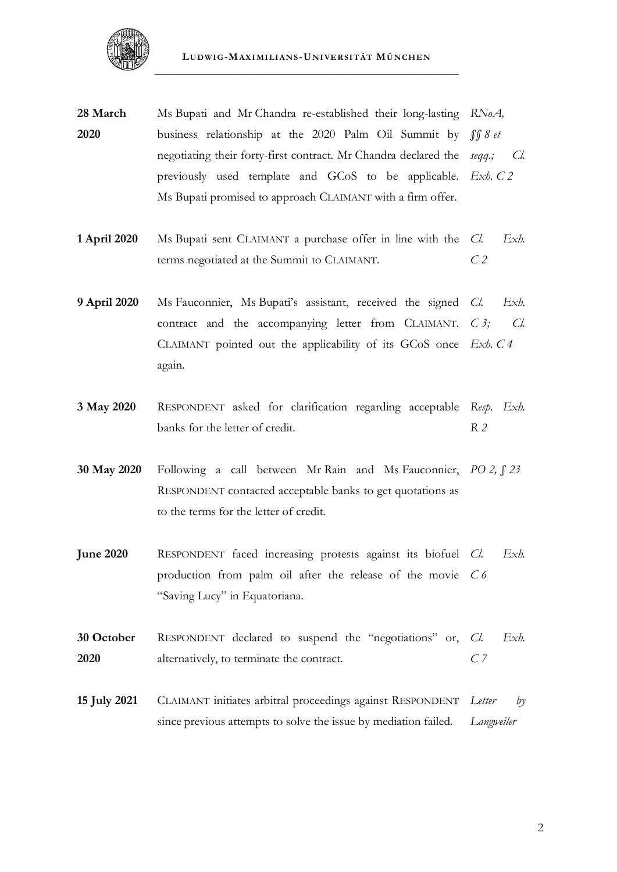

- **28 March 2020** Ms Bupati and Mr Chandra re-established their long-lasting *RNoA,*  business relationship at the 2020 Palm Oil Summit by negotiating their forty-first contract. Mr Chandra declared the *seqq.; Cl.*  previously used template and GCoS to be applicable. *Exh. C 2* Ms Bupati promised to approach CLAIMANT with a firm offer. *§§ 8 et*
- **1 April 2020** Ms Bupati sent CLAIMANT a purchase offer in line with the terms negotiated at the Summit to CLAIMANT. *Cl. Exh. C 2*
- **9 April 2020** Ms Fauconnier, Ms Bupati's assistant, received the signed *Cl*. contract and the accompanying letter from CLAIMANT. C 3; Cl. CLAIMANT pointed out the applicability of its GCoS once *Exh. C 4* again. *Cl. Exh.*
- **3 May 2020** RESPONDENT asked for clarification regarding acceptable *Resp. Exh.*  banks for the letter of credit. *R 2*
- **30 May 2020** Following a call between Mr Rain and Ms Fauconnier, *PO 2, § 23* RESPONDENT contacted acceptable banks to get quotations as to the terms for the letter of credit.
- **June 2020** RESPONDENT faced increasing protests against its biofuel *Cl*. production from palm oil after the release of the movie *C 6* "Saving Lucy" in Equatoriana. *Cl. Exh.*
- **30 October 2020** RESPONDENT declared to suspend the "negotiations" or, Cl. alternatively, to terminate the contract. *Cl. Exh. C 7*
- **15 July 2021** CLAIMANT initiates arbitral proceedings against RESPONDENT *Letter by*  since previous attempts to solve the issue by mediation failed. *Langweiler*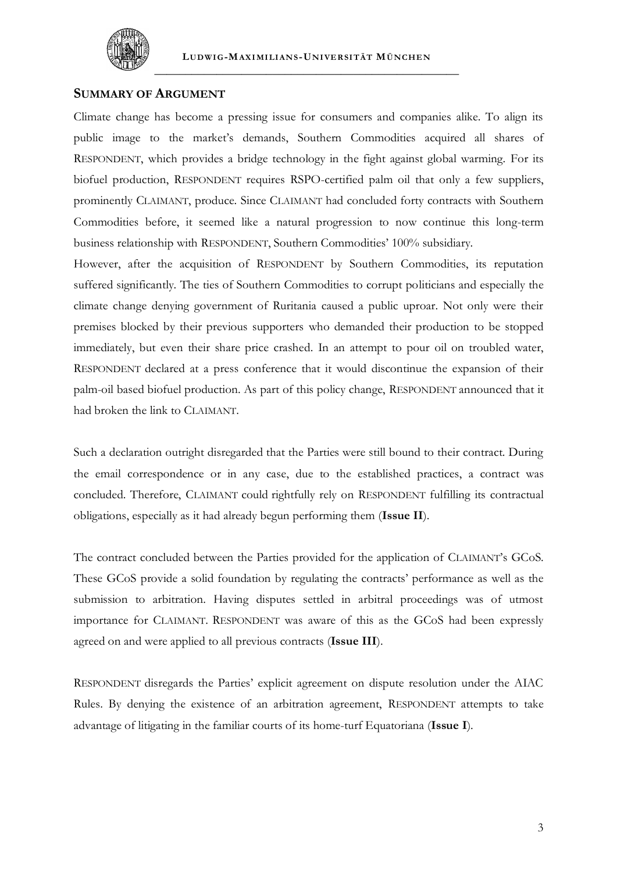

# **SUMMARY OF ARGUMENT**

Climate change has become a pressing issue for consumers and companies alike. To align its public image to the market's demands, Southern Commodities acquired all shares of RESPONDENT, which provides a bridge technology in the fight against global warming. For its biofuel production, RESPONDENT requires RSPO-certified palm oil that only a few suppliers, prominently CLAIMANT, produce. Since CLAIMANT had concluded forty contracts with Southern Commodities before, it seemed like a natural progression to now continue this long-term business relationship with RESPONDENT, Southern Commodities' 100% subsidiary.

However, after the acquisition of RESPONDENT by Southern Commodities, its reputation suffered significantly. The ties of Southern Commodities to corrupt politicians and especially the climate change denying government of Ruritania caused a public uproar. Not only were their premises blocked by their previous supporters who demanded their production to be stopped immediately, but even their share price crashed. In an attempt to pour oil on troubled water, RESPONDENT declared at a press conference that it would discontinue the expansion of their palm-oil based biofuel production. As part of this policy change, RESPONDENT announced that it had broken the link to CLAIMANT.

Such a declaration outright disregarded that the Parties were still bound to their contract. During the email correspondence or in any case, due to the established practices, a contract was concluded. Therefore, CLAIMANT could rightfully rely on RESPONDENT fulfilling its contractual obligations, especially as it had already begun performing them (**Issue II**).

The contract concluded between the Parties provided for the application of CLAIMANT's GCoS. These GCoS provide a solid foundation by regulating the contracts' performance as well as the submission to arbitration. Having disputes settled in arbitral proceedings was of utmost importance for CLAIMANT. RESPONDENT was aware of this as the GCoS had been expressly agreed on and were applied to all previous contracts (**Issue III**).

RESPONDENT disregards the Parties' explicit agreement on dispute resolution under the AIAC Rules. By denying the existence of an arbitration agreement, RESPONDENT attempts to take advantage of litigating in the familiar courts of its home-turf Equatoriana (**Issue I**).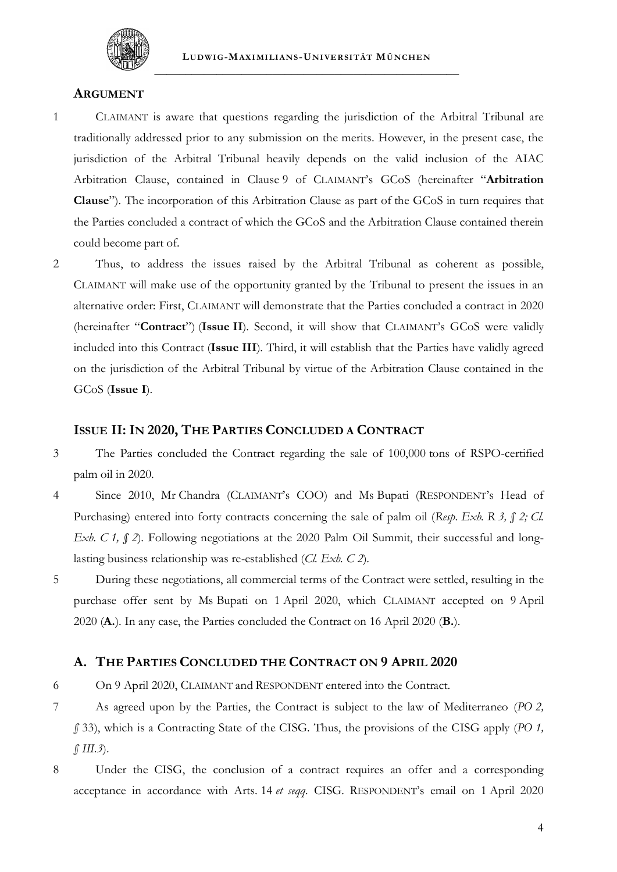

## **ARGUMENT**

- 1 CLAIMANT is aware that questions regarding the jurisdiction of the Arbitral Tribunal are traditionally addressed prior to any submission on the merits. However, in the present case, the jurisdiction of the Arbitral Tribunal heavily depends on the valid inclusion of the AIAC Arbitration Clause, contained in Clause 9 of CLAIMANT's GCoS (hereinafter "**Arbitration Clause**"). The incorporation of this Arbitration Clause as part of the GCoS in turn requires that the Parties concluded a contract of which the GCoS and the Arbitration Clause contained therein could become part of.
- 2 Thus, to address the issues raised by the Arbitral Tribunal as coherent as possible, CLAIMANT will make use of the opportunity granted by the Tribunal to present the issues in an alternative order: First, CLAIMANT will demonstrate that the Parties concluded a contract in 2020 (hereinafter "**Contract**") (**Issue II**). Second, it will show that CLAIMANT's GCoS were validly included into this Contract (**Issue III**). Third, it will establish that the Parties have validly agreed on the jurisdiction of the Arbitral Tribunal by virtue of the Arbitration Clause contained in the GCoS (**Issue I**).

## **ISSUE II: IN 2020, THE PARTIES CONCLUDED A CONTRACT**

- 3 The Parties concluded the Contract regarding the sale of 100,000 tons of RSPO-certified palm oil in 2020.
- 4 Since 2010, Mr Chandra (CLAIMANT's COO) and Ms Bupati (RESPONDENT's Head of Purchasing) entered into forty contracts concerning the sale of palm oil (*Resp. Exh. R 3, § 2; Cl. Exh. C 1, § 2*). Following negotiations at the 2020 Palm Oil Summit, their successful and longlasting business relationship was re-established (*Cl. Exh. C 2*).
- 5 During these negotiations, all commercial terms of the Contract were settled, resulting in the purchase offer sent by Ms Bupati on 1 April 2020, which CLAIMANT accepted on 9 April 2020 (**A.**). In any case, the Parties concluded the Contract on 16 April 2020 (**B.**).

# **A. THE PARTIES CONCLUDED THE CONTRACT ON 9 APRIL 2020**

6 On 9 April 2020, CLAIMANT and RESPONDENT entered into the Contract.

- <span id="page-46-0"></span>7 As agreed upon by the Parties, the Contract is subject to the law of Mediterraneo (*PO 2, §* 33), which is a Contracting State of the CISG. Thus, the provisions of the CISG apply (*PO 1, § III.3*).
- 8 Under the CISG, the conclusion of a contract requires an offer and a corresponding acceptance in accordance with Arts. 14 *et seqq.* CISG*.* RESPONDENT's email on 1 April 2020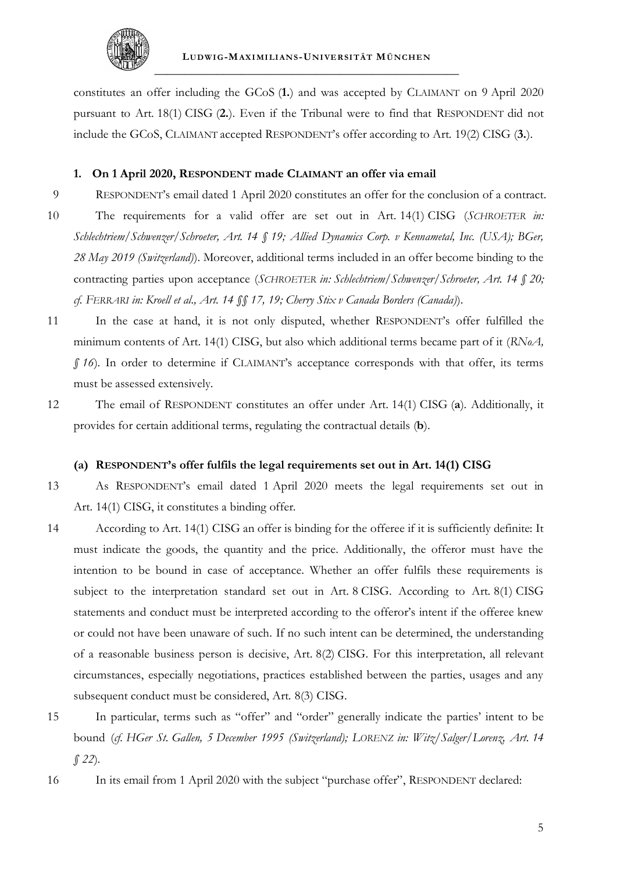

constitutes an offer including the GCoS (**1.**) and was accepted by CLAIMANT on 9 April 2020 pursuant to Art. 18(1) CISG (**2.**). Even if the Tribunal were to find that RESPONDENT did not include the GCoS, CLAIMANT accepted RESPONDENT's offer according to Art. 19(2) CISG (**3.**).

#### **1. On 1 April 2020, RESPONDENT made CLAIMANT an offer via email**

- 9 RESPONDENT's email dated 1 April 2020 constitutes an offer for the conclusion of a contract. 10 The requirements for a valid offer are set out in Art. 14(1) CISG (*SCHROETER in: Schlechtriem/Schwenzer/Schroeter, Art. 14 § 19; Allied Dynamics Corp. v Kennametal, Inc. (USA); BGer, 28 May 2019 (Switzerland)*). Moreover, additional terms included in an offer become binding to the contracting parties upon acceptance (*SCHROETER in: Schlechtriem/Schwenzer/Schroeter, Art. 14 § 20; cf. FERRARI in: Kroell et al., Art. 14 §§ 17, 19; Cherry Stix v Canada Borders (Canada)*).
- 11 In the case at hand, it is not only disputed, whether RESPONDENT's offer fulfilled the minimum contents of Art. 14(1) CISG, but also which additional terms became part of it (*RNoA, § 16*). In order to determine if CLAIMANT's acceptance corresponds with that offer, its terms must be assessed extensively.
- 12 The email of RESPONDENT constitutes an offer under Art. 14(1) CISG (**a**). Additionally, it provides for certain additional terms, regulating the contractual details (**b**).

#### **(a) RESPONDENT's offer fulfils the legal requirements set out in Art. 14(1) CISG**

13 As RESPONDENT's email dated 1 April 2020 meets the legal requirements set out in Art. 14(1) CISG, it constitutes a binding offer.

- <span id="page-47-0"></span>14 According to Art. 14(1) CISG an offer is binding for the offeree if it is sufficiently definite: It must indicate the goods, the quantity and the price. Additionally, the offeror must have the intention to be bound in case of acceptance. Whether an offer fulfils these requirements is subject to the interpretation standard set out in Art. 8 CISG. According to Art. 8(1) CISG statements and conduct must be interpreted according to the offeror's intent if the offeree knew or could not have been unaware of such. If no such intent can be determined, the understanding of a reasonable business person is decisive, Art. 8(2) CISG. For this interpretation, all relevant circumstances, especially negotiations, practices established between the parties, usages and any subsequent conduct must be considered, Art. 8(3) CISG.
- 15 In particular, terms such as "offer" and "order" generally indicate the parties' intent to be bound (*cf. HGer St. Gallen, 5 December 1995 (Switzerland); LORENZ in: Witz/Salger/Lorenz, Art. 14 § 22*).
- 16 In its email from 1 April 2020 with the subject "purchase offer", RESPONDENT declared: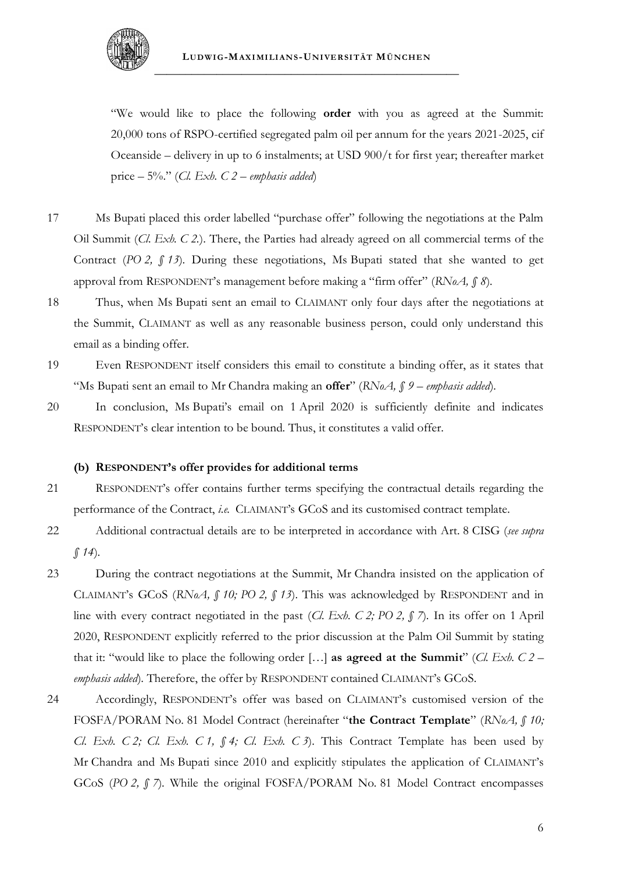

"We would like to place the following **order** with you as agreed at the Summit: 20,000 tons of RSPO-certified segregated palm oil per annum for the years 2021-2025, cif Oceanside – delivery in up to 6 instalments; at USD 900/t for first year; thereafter market price  $-5\%$ ." (*Cl. Exh. C 2 – emphasis added*)

- 17 Ms Bupati placed this order labelled "purchase offer" following the negotiations at the Palm Oil Summit (*Cl. Exh. C 2.*). There, the Parties had already agreed on all commercial terms of the Contract (*PO 2, § 13*). During these negotiations, Ms Bupati stated that she wanted to get approval from RESPONDENT's management before making a "firm offer" (*RNoA, § 8*).
- 18 Thus, when Ms Bupati sent an email to CLAIMANT only four days after the negotiations at the Summit, CLAIMANT as well as any reasonable business person, could only understand this email as a binding offer.
- 19 Even RESPONDENT itself considers this email to constitute a binding offer, as it states that "Ms Bupati sent an email to Mr Chandra making an **offer**" (*RNoA, § 9 – emphasis added*).
- 20 In conclusion, Ms Bupati's email on 1 April 2020 is sufficiently definite and indicates RESPONDENT's clear intention to be bound. Thus, it constitutes a valid offer.

#### **(b) RESPONDENT's offer provides for additional terms**

- 21 RESPONDENT's offer contains further terms specifying the contractual details regarding the performance of the Contract, *i.e.* CLAIMANT's GCoS and its customised contract template.
- 22 Additional contractual details are to be interpreted in accordance with Art. 8 CISG (*see supra § [14](#page-47-0)*).
- 23 During the contract negotiations at the Summit, Mr Chandra insisted on the application of CLAIMANT's GCoS (*RNoA, § 10; PO 2, § 13*). This was acknowledged by RESPONDENT and in line with every contract negotiated in the past (*Cl. Exh. C 2; PO 2, § 7*). In its offer on 1 April 2020, RESPONDENT explicitly referred to the prior discussion at the Palm Oil Summit by stating that it: "would like to place the following order […] **as agreed at the Summit**" (*Cl. Exh. C 2* – *emphasis added*). Therefore, the offer by RESPONDENT contained CLAIMANT's GCoS.
- <span id="page-48-0"></span>24 Accordingly, RESPONDENT's offer was based on CLAIMANT's customised version of the FOSFA/PORAM No. 81 Model Contract (hereinafter "**the Contract Template**" (*RNoA, § 10; Cl. Exh. C 2; Cl. Exh. C 1, § 4; Cl. Exh. C 3*). This Contract Template has been used by Mr Chandra and Ms Bupati since 2010 and explicitly stipulates the application of CLAIMANT's GCoS (*PO 2, § 7*). While the original FOSFA/PORAM No. 81 Model Contract encompasses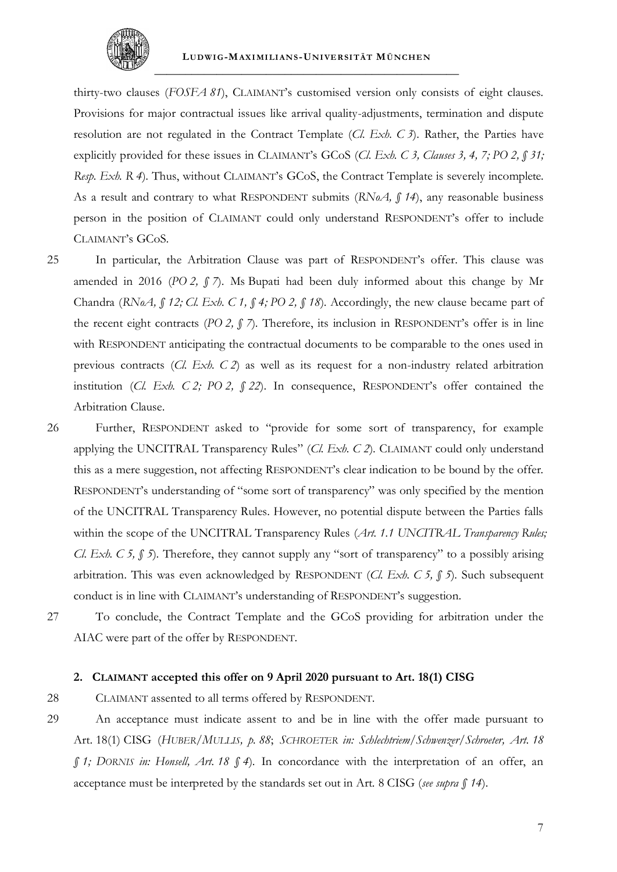

thirty-two clauses (*FOSFA 81*), CLAIMANT's customised version only consists of eight clauses. Provisions for major contractual issues like arrival quality-adjustments, termination and dispute resolution are not regulated in the Contract Template (*Cl. Exh. C 3*). Rather, the Parties have explicitly provided for these issues in CLAIMANT's GCoS (*Cl. Exh. C 3, Clauses 3, 4, 7; PO 2, § 31; Resp. Exh. R 4*). Thus, without CLAIMANT's GCoS, the Contract Template is severely incomplete. As a result and contrary to what RESPONDENT submits (*RNoA, § 14*), any reasonable business person in the position of CLAIMANT could only understand RESPONDENT's offer to include CLAIMANT's GCoS.

- 25 In particular, the Arbitration Clause was part of RESPONDENT's offer. This clause was amended in 2016 (*PO 2*,  $\int$  *7*). Ms Bupati had been duly informed about this change by Mr Chandra (*RNoA, § 12; Cl. Exh. C 1, § 4; PO 2, § 18*). Accordingly, the new clause became part of the recent eight contracts (*PO 2, § 7*). Therefore, its inclusion in RESPONDENT's offer is in line with RESPONDENT anticipating the contractual documents to be comparable to the ones used in previous contracts (*Cl. Exh. C 2*) as well as its request for a non-industry related arbitration institution (*Cl. Exh. C 2; PO 2, § 22*). In consequence, RESPONDENT's offer contained the Arbitration Clause.
- 26 Further, RESPONDENT asked to "provide for some sort of transparency, for example applying the UNCITRAL Transparency Rules" (*Cl. Exh. C 2*). CLAIMANT could only understand this as a mere suggestion, not affecting RESPONDENT's clear indication to be bound by the offer. RESPONDENT's understanding of "some sort of transparency" was only specified by the mention of the UNCITRAL Transparency Rules. However, no potential dispute between the Parties falls within the scope of the UNCITRAL Transparency Rules (*Art. 1.1 UNCITRAL Transparency Rules; Cl. Exh. C 5,* § *5*). Therefore, they cannot supply any "sort of transparency" to a possibly arising arbitration. This was even acknowledged by RESPONDENT (*Cl. Exh. C 5, § 5*). Such subsequent conduct is in line with CLAIMANT's understanding of RESPONDENT's suggestion.
- 

27 To conclude, the Contract Template and the GCoS providing for arbitration under the AIAC were part of the offer by RESPONDENT.

### <span id="page-49-0"></span>**2. CLAIMANT accepted this offer on 9 April 2020 pursuant to Art. 18(1) CISG**

28 CLAIMANT assented to all terms offered by RESPONDENT.

29 An acceptance must indicate assent to and be in line with the offer made pursuant to Art. 18(1) CISG (*HUBER/MULLIS, p. 88*; *SCHROETER in: Schlechtriem/Schwenzer/Schroeter, Art. 18 § 1; DORNIS in: Honsell, Art. 18 § 4*). In concordance with the interpretation of an offer, an acceptance must be interpreted by the standards set out in Art. 8 CISG (*see supra § [14](#page-47-0)*).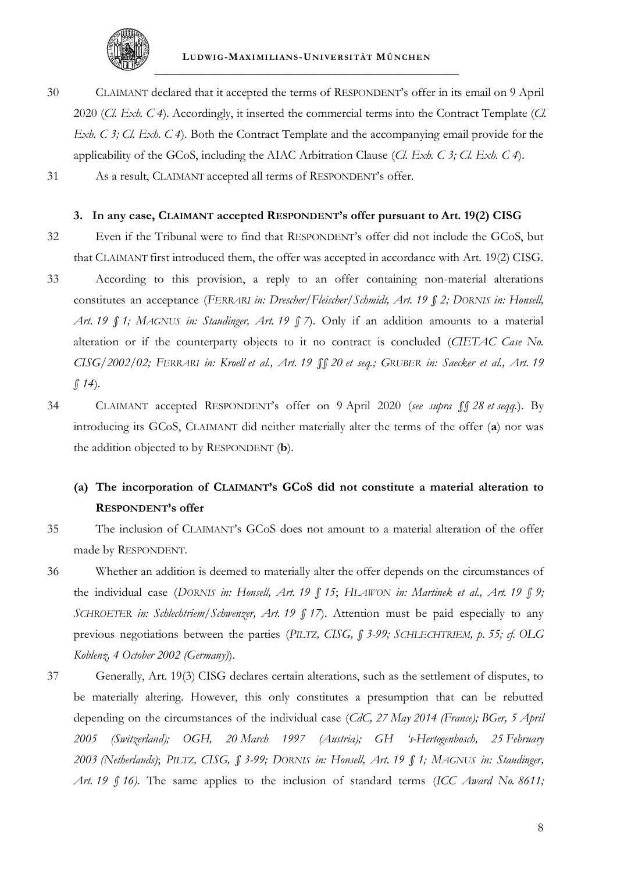

30 CLAIMANT declared that it accepted the terms of RESPONDENT's offer in its email on 9 April 2020 (*Cl. Exh. C 4*). Accordingly, it inserted the commercial terms into the Contract Template (*Cl. Exh. C 3; Cl. Exh. C 4*). Both the Contract Template and the accompanying email provide for the applicability of the GCoS, including the AIAC Arbitration Clause (*Cl. Exh. C 3; Cl. Exh. C 4*).

**3. In any case, CLAIMANT accepted RESPONDENT's offer pursuant to Art. 19(2) CISG**

31 As a result, CLAIMANT accepted all terms of RESPONDENT's offer.

- 32 Even if the Tribunal were to find that RESPONDENT's offer did not include the GCoS, but that CLAIMANT first introduced them, the offer was accepted in accordance with Art. 19(2) CISG. 33 According to this provision, a reply to an offer containing non-material alterations constitutes an acceptance (*FERRARI in: Drescher/Fleischer/Schmidt, Art. 19 § 2; DORNIS in: Honsell, Art. 19 § 1; MAGNUS in: Staudinger, Art. 19 § 7*). Only if an addition amounts to a material alteration or if the counterparty objects to it no contract is concluded (*CIETAC Case No. CISG/2002/02; FERRARI in: Kroell et al., Art. 19 §§ 20 et seq.; GRUBER in: Saecker et al., Art. 19 § 14*).
- 34 CLAIMANT accepted RESPONDENT's offer on 9 April 2020 (*see supra §§ [28](#page-49-0) et seqq.*). By introducing its GCoS, CLAIMANT did neither materially alter the terms of the offer (**a**) nor was the addition objected to by RESPONDENT (**b**).

# **(a) The incorporation of CLAIMANT's GCoS did not constitute a material alteration to RESPONDENT's offer**

- 35 The inclusion of CLAIMANT's GCoS does not amount to a material alteration of the offer made by RESPONDENT.
- 36 Whether an addition is deemed to materially alter the offer depends on the circumstances of the individual case (*DORNIS in: Honsell, Art. 19 § 15*; *HLAWON in: Martinek et al., Art. 19 § 9; SCHROETER in: Schlechtriem/Schwenzer, Art. 19 § 17*). Attention must be paid especially to any previous negotiations between the parties (*PILTZ, CISG, § 3-99; SCHLECHTRIEM, p. 55; cf. OLG Koblenz, 4 October 2002 (Germany)*).
- 37 Generally, Art. 19(3) CISG declares certain alterations, such as the settlement of disputes, to be materially altering. However, this only constitutes a presumption that can be rebutted depending on the circumstances of the individual case (*CdC, 27 May 2014 (France); BGer, 5 April 2005 (Switzerland); OGH, 20 March 1997 (Austria); GH 's-Hertogenbosch, 25 February 2003 (Netherlands)*; *PILTZ, CISG, § 3-99; DORNIS in: Honsell, Art. 19 § 1; MAGNUS in: Staudinger, Art. 19 § 16)*. The same applies to the inclusion of standard terms (*ICC Award No. 8611;*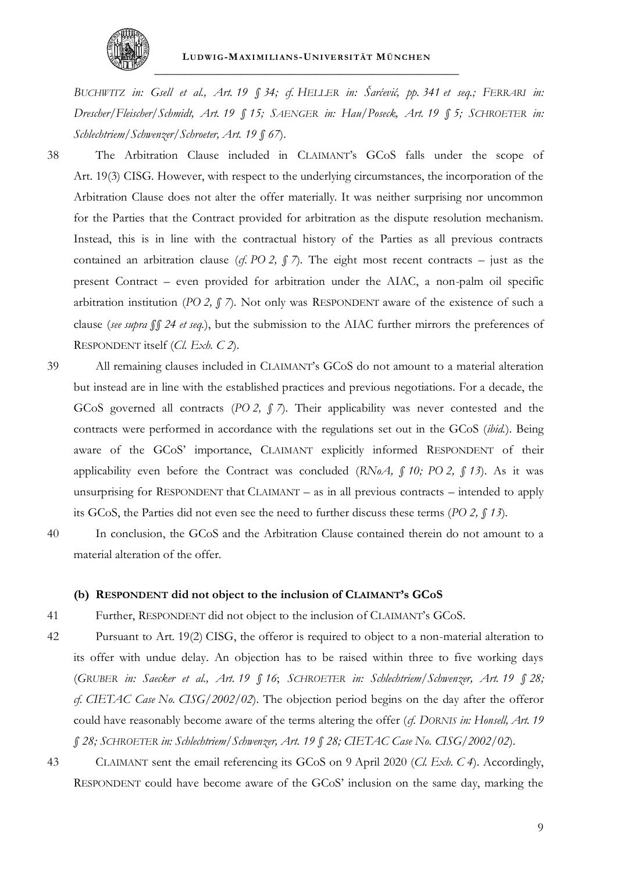

*BUCHWITZ in: Gsell et al., Art. 19 § 34; cf. HELLER in: Šarćević, pp. 341 et seq.; FERRARI in: Drescher/Fleischer/Schmidt, Art. 19 § 15; SAENGER in: Hau/Poseck, Art. 19 § 5; SCHROETER in: Schlechtriem/Schwenzer/Schroeter, Art. 19 § 67*).

- <span id="page-51-0"></span>38 The Arbitration Clause included in CLAIMANT's GCoS falls under the scope of Art. 19(3) CISG. However, with respect to the underlying circumstances, the incorporation of the Arbitration Clause does not alter the offer materially. It was neither surprising nor uncommon for the Parties that the Contract provided for arbitration as the dispute resolution mechanism. Instead, this is in line with the contractual history of the Parties as all previous contracts contained an arbitration clause (*cf.* PO 2,  $\int$  *7*). The eight most recent contracts – just as the present Contract – even provided for arbitration under the AIAC, a non-palm oil specific arbitration institution (*PO 2, § 7*). Not only was RESPONDENT aware of the existence of such a clause (*see supra §§ [24](#page-48-0) et seq.*), but the submission to the AIAC further mirrors the preferences of RESPONDENT itself (*Cl. Exh. C 2*).
- 39 All remaining clauses included in CLAIMANT's GCoS do not amount to a material alteration but instead are in line with the established practices and previous negotiations. For a decade, the GCoS governed all contracts (*PO 2, § 7*). Their applicability was never contested and the contracts were performed in accordance with the regulations set out in the GCoS (*ibid.*). Being aware of the GCoS' importance, CLAIMANT explicitly informed RESPONDENT of their applicability even before the Contract was concluded (*RNoA, § 10; PO 2, § 13*). As it was unsurprising for RESPONDENT that CLAIMANT – as in all previous contracts – intended to apply its GCoS, the Parties did not even see the need to further discuss these terms (*PO 2, § 13*).
- 40 In conclusion, the GCoS and the Arbitration Clause contained therein do not amount to a material alteration of the offer.

#### **(b) RESPONDENT did not object to the inclusion of CLAIMANT's GCoS**

- 41 Further, RESPONDENT did not object to the inclusion of CLAIMANT's GCoS.
- 42 Pursuant to Art. 19(2) CISG, the offeror is required to object to a non-material alteration to its offer with undue delay. An objection has to be raised within three to five working days (*GRUBER in: Saecker et al., Art. 19 § 16*; *SCHROETER in: Schlechtriem/Schwenzer, Art. 19 § 28; cf. CIETAC Case No. CISG/2002/02*). The objection period begins on the day after the offeror could have reasonably become aware of the terms altering the offer (*cf. DORNIS in: Honsell, Art. 19 § 28; SCHROETER in: Schlechtriem/Schwenzer, Art. 19 § 28; CIETAC Case No. CISG/2002/02*).
- 43 CLAIMANT sent the email referencing its GCoS on 9 April 2020 (*Cl. Exh. C 4*). Accordingly, RESPONDENT could have become aware of the GCoS' inclusion on the same day, marking the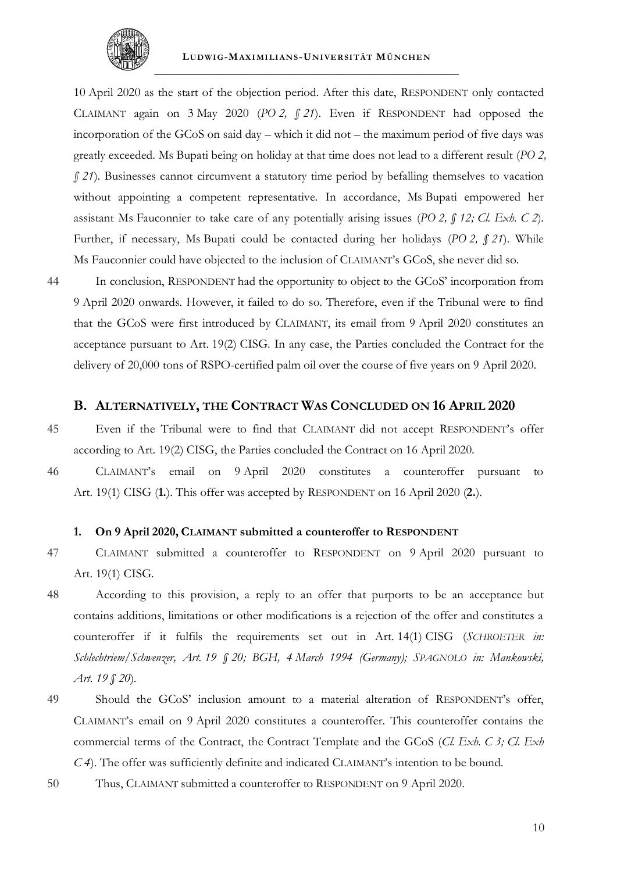

10 April 2020 as the start of the objection period. After this date, RESPONDENT only contacted CLAIMANT again on 3 May 2020 (*PO 2, § 21*). Even if RESPONDENT had opposed the incorporation of the GCoS on said day – which it did not – the maximum period of five days was greatly exceeded. Ms Bupati being on holiday at that time does not lead to a different result (*PO 2, § 21*). Businesses cannot circumvent a statutory time period by befalling themselves to vacation without appointing a competent representative. In accordance, Ms Bupati empowered her assistant Ms Fauconnier to take care of any potentially arising issues (*PO 2, § 12; Cl. Exh. C 2*). Further, if necessary, Ms Bupati could be contacted during her holidays (*PO 2, § 21*). While Ms Fauconnier could have objected to the inclusion of CLAIMANT's GCoS, she never did so.

44 In conclusion, RESPONDENT had the opportunity to object to the GCoS' incorporation from 9 April 2020 onwards. However, it failed to do so. Therefore, even if the Tribunal were to find that the GCoS were first introduced by CLAIMANT, its email from 9 April 2020 constitutes an acceptance pursuant to Art. 19(2) CISG. In any case, the Parties concluded the Contract for the delivery of 20,000 tons of RSPO-certified palm oil over the course of five years on 9 April 2020.

## **B. ALTERNATIVELY, THE CONTRACT WAS CONCLUDED ON 16 APRIL 2020**

45 Even if the Tribunal were to find that CLAIMANT did not accept RESPONDENT's offer according to Art. 19(2) CISG, the Parties concluded the Contract on 16 April 2020.

46 CLAIMANT's email on 9 April 2020 constitutes a counteroffer pursuant to Art. 19(1) CISG (**1.**). This offer was accepted by RESPONDENT on 16 April 2020 (**2.**).

#### <span id="page-52-0"></span>**1. On 9 April 2020, CLAIMANT submitted a counteroffer to RESPONDENT**

- 47 CLAIMANT submitted a counteroffer to RESPONDENT on 9 April 2020 pursuant to Art. 19(1) CISG.
- 48 According to this provision, a reply to an offer that purports to be an acceptance but contains additions, limitations or other modifications is a rejection of the offer and constitutes a counteroffer if it fulfils the requirements set out in Art. 14(1) CISG (*SCHROETER in: Schlechtriem/Schwenzer, Art. 19 § 20; BGH, 4 March 1994 (Germany); SPAGNOLO in: Mankowski, Art. 19 § 20*).
- 49 Should the GCoS' inclusion amount to a material alteration of RESPONDENT's offer, CLAIMANT's email on 9 April 2020 constitutes a counteroffer. This counteroffer contains the commercial terms of the Contract, the Contract Template and the GCoS (*Cl. Exh. C 3; Cl. Exh C 4*). The offer was sufficiently definite and indicated CLAIMANT's intention to be bound.
- 50 Thus, CLAIMANT submitted a counteroffer to RESPONDENT on 9 April 2020.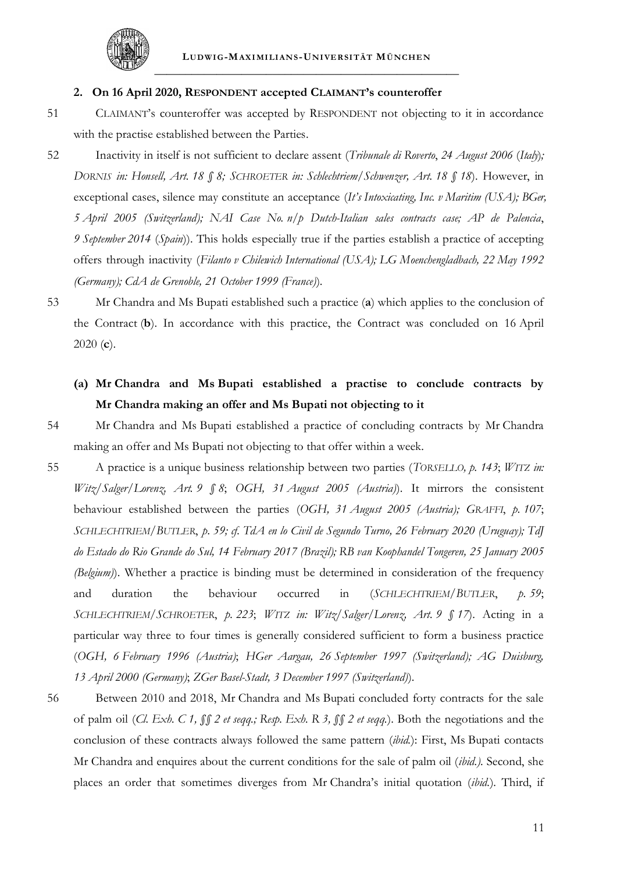

#### **2. On 16 April 2020, RESPONDENT accepted CLAIMANT's counteroffer**

- 51 CLAIMANT's counteroffer was accepted by RESPONDENT not objecting to it in accordance with the practise established between the Parties.
- 52 Inactivity in itself is not sufficient to declare assent (*Tribunale di Roverto*, *24 August 2006* (*Italy*)*; DORNIS in: Honsell, Art. 18 § 8; SCHROETER in: Schlechtriem/Schwenzer, Art. 18 § 18*). However, in exceptional cases, silence may constitute an acceptance (*It's Intoxicating, Inc. v Maritim (USA); BGer, 5 April 2005 (Switzerland); NAI Case No. n/p Dutch-Italian sales contracts case; AP de Palencia*, *9 September 2014* (*Spain*)). This holds especially true if the parties establish a practice of accepting offers through inactivity (*Filanto v Chilewich International (USA); LG Moenchengladbach, 22 May 1992 (Germany); CdA de Grenoble, 21 October 1999 (France)*).
- 53 Mr Chandra and Ms Bupati established such a practice (**a**) which applies to the conclusion of the Contract (**b**). In accordance with this practice, the Contract was concluded on 16 April 2020 (**c**).
	- **(a) Mr Chandra and Ms Bupati established a practise to conclude contracts by Mr Chandra making an offer and Ms Bupati not objecting to it**
- 

<span id="page-53-1"></span>54 Mr Chandra and Ms Bupati established a practice of concluding contracts by Mr Chandra making an offer and Ms Bupati not objecting to that offer within a week.

- 55 A practice is a unique business relationship between two parties (*TORSELLO, p. 143*; *WITZ in: Witz/Salger/Lorenz, Art. 9 § 8*; *OGH, 31 August 2005 (Austria)*). It mirrors the consistent behaviour established between the parties (*OGH, 31 August 2005 (Austria); GRAFFI*, *p. 107*; *SCHLECHTRIEM/BUTLER*, *p. 59; cf. TdA en lo Civil de Segundo Turno, 26 February 2020 (Uruguay); TdJ do Estado do Rio Grande do Sul, 14 February 2017 (Brazil); RB van Koophandel Tongeren, 25 January 2005 (Belgium)*). Whether a practice is binding must be determined in consideration of the frequency and duration the behaviour occurred in (*SCHLECHTRIEM/BUTLER*, *p. 59*; *SCHLECHTRIEM/SCHROETER*, *p. 223*; *WITZ in: Witz/Salger/Lorenz, Art. 9 § 17*). Acting in a particular way three to four times is generally considered sufficient to form a business practice (*OGH, 6 February 1996 (Austria)*; *HGer Aargau, 26 September 1997 (Switzerland); AG Duisburg, 13 April 2000 (Germany)*; *ZGer Basel-Stadt, 3 December 1997 (Switzerland)*).
- <span id="page-53-0"></span>56 Between 2010 and 2018, Mr Chandra and Ms Bupati concluded forty contracts for the sale of palm oil (*Cl. Exh. C 1, §§ 2 et seqq.; Resp. Exh. R 3, §§ 2 et seqq.*). Both the negotiations and the conclusion of these contracts always followed the same pattern (*ibid.*): First, Ms Bupati contacts Mr Chandra and enquires about the current conditions for the sale of palm oil (*ibid.)*. Second, she places an order that sometimes diverges from Mr Chandra's initial quotation (*ibid.*). Third, if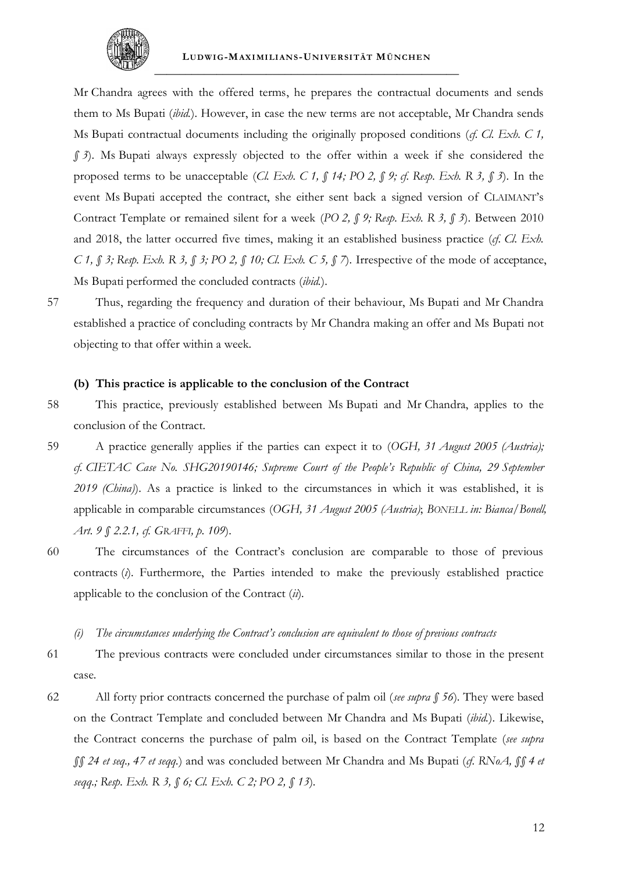

Mr Chandra agrees with the offered terms, he prepares the contractual documents and sends them to Ms Bupati (*ibid.*). However, in case the new terms are not acceptable, Mr Chandra sends Ms Bupati contractual documents including the originally proposed conditions (*cf. Cl. Exh. C 1, § 3*). Ms Bupati always expressly objected to the offer within a week if she considered the proposed terms to be unacceptable (*Cl. Exh. C 1, § 14; PO 2, § 9; cf. Resp. Exh. R 3, § 3*). In the event Ms Bupati accepted the contract, she either sent back a signed version of CLAIMANT's Contract Template or remained silent for a week (*PO 2, § 9; Resp. Exh. R 3, § 3*). Between 2010 and 2018, the latter occurred five times, making it an established business practice (*cf. Cl. Exh. C 1, § 3; Resp. Exh. R 3, § 3; PO 2, § 10; Cl. Exh. C 5, § 7*). Irrespective of the mode of acceptance, Ms Bupati performed the concluded contracts (*ibid.*).

57 Thus, regarding the frequency and duration of their behaviour, Ms Bupati and Mr Chandra established a practice of concluding contracts by Mr Chandra making an offer and Ms Bupati not objecting to that offer within a week.

#### **(b) This practice is applicable to the conclusion of the Contract**

58 This practice, previously established between Ms Bupati and Mr Chandra, applies to the conclusion of the Contract.

- 59 A practice generally applies if the parties can expect it to (*OGH, 31 August 2005 (Austria); cf. CIETAC Case No. SHG20190146; Supreme Court of the People's Republic of China, 29 September 2019 (China)*). As a practice is linked to the circumstances in which it was established, it is applicable in comparable circumstances (*OGH, 31 August 2005 (Austria)*; *BONELL in: Bianca/Bonell, Art. 9 § 2.2.1, cf. GRAFFI, p. 109*).
- 60 The circumstances of the Contract's conclusion are comparable to those of previous contracts (*i*). Furthermore, the Parties intended to make the previously established practice applicable to the conclusion of the Contract (*ii*).
	- *(i) The circumstances underlying the Contract's conclusion are equivalent to those of previous contracts*
- 61 The previous contracts were concluded under circumstances similar to those in the present case.
- 62 All forty prior contracts concerned the purchase of palm oil (*see supra § [56](#page-53-0)*). They were based on the Contract Template and concluded between Mr Chandra and Ms Bupati (*ibid.*). Likewise, the Contract concerns the purchase of palm oil, is based on the Contract Template (*see supra §§ [24](#page-48-0) et seq., [47](#page-52-0) et seqq.*) and was concluded between Mr Chandra and Ms Bupati (*cf. RNoA, §§ 4 et seqq.; Resp. Exh. R 3, § 6; Cl. Exh. C 2; PO 2, § 13*).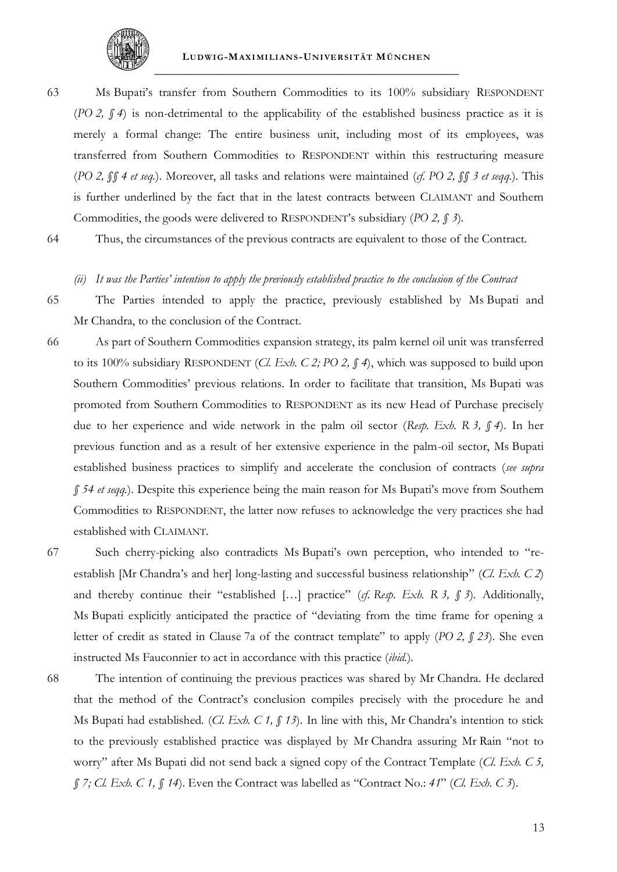

63 Ms Bupati's transfer from Southern Commodities to its 100% subsidiary RESPONDENT (*PO 2, § 4*) is non-detrimental to the applicability of the established business practice as it is merely a formal change: The entire business unit, including most of its employees, was transferred from Southern Commodities to RESPONDENT within this restructuring measure (*PO 2, §§ 4 et seq.*). Moreover, all tasks and relations were maintained (*cf. PO 2, §§ 3 et seqq.*). This is further underlined by the fact that in the latest contracts between CLAIMANT and Southern Commodities, the goods were delivered to RESPONDENT's subsidiary (*PO 2, § 3*).

64 Thus, the circumstances of the previous contracts are equivalent to those of the Contract.

#### <span id="page-55-0"></span>*(ii) It was the Parties' intention to apply the previously established practice to the conclusion of the Contract*

65 The Parties intended to apply the practice, previously established by Ms Bupati and Mr Chandra, to the conclusion of the Contract.

- <span id="page-55-1"></span>66 As part of Southern Commodities expansion strategy, its palm kernel oil unit was transferred to its 100% subsidiary RESPONDENT (*Cl. Exh. C 2; PO 2, § 4*), which was supposed to build upon Southern Commodities' previous relations. In order to facilitate that transition, Ms Bupati was promoted from Southern Commodities to RESPONDENT as its new Head of Purchase precisely due to her experience and wide network in the palm oil sector (*Resp. Exh. R 3, § 4*). In her previous function and as a result of her extensive experience in the palm-oil sector, Ms Bupati established business practices to simplify and accelerate the conclusion of contracts (*see supra § [54](#page-53-1) et seqq.*). Despite this experience being the main reason for Ms Bupati's move from Southern Commodities to RESPONDENT, the latter now refuses to acknowledge the very practices she had established with CLAIMANT.
- 67 Such cherry-picking also contradicts Ms Bupati's own perception, who intended to "reestablish [Mr Chandra's and her] long-lasting and successful business relationship" (*Cl. Exh. C 2*) and thereby continue their "established […] practice" (*cf. Resp. Exh. R 3, § 3*). Additionally, Ms Bupati explicitly anticipated the practice of "deviating from the time frame for opening a letter of credit as stated in Clause 7a of the contract template" to apply (*PO 2, § 23*). She even instructed Ms Fauconnier to act in accordance with this practice (*ibid.*).
- 68 The intention of continuing the previous practices was shared by Mr Chandra. He declared that the method of the Contract's conclusion compiles precisely with the procedure he and Ms Bupati had established. (*Cl. Exh. C 1, § 13*). In line with this, Mr Chandra's intention to stick to the previously established practice was displayed by Mr Chandra assuring Mr Rain "not to worry" after Ms Bupati did not send back a signed copy of the Contract Template (*Cl. Exh. C 5, § 7; Cl. Exh. C 1, § 14*). Even the Contract was labelled as "Contract No.: *41*" (*Cl. Exh. C 3*).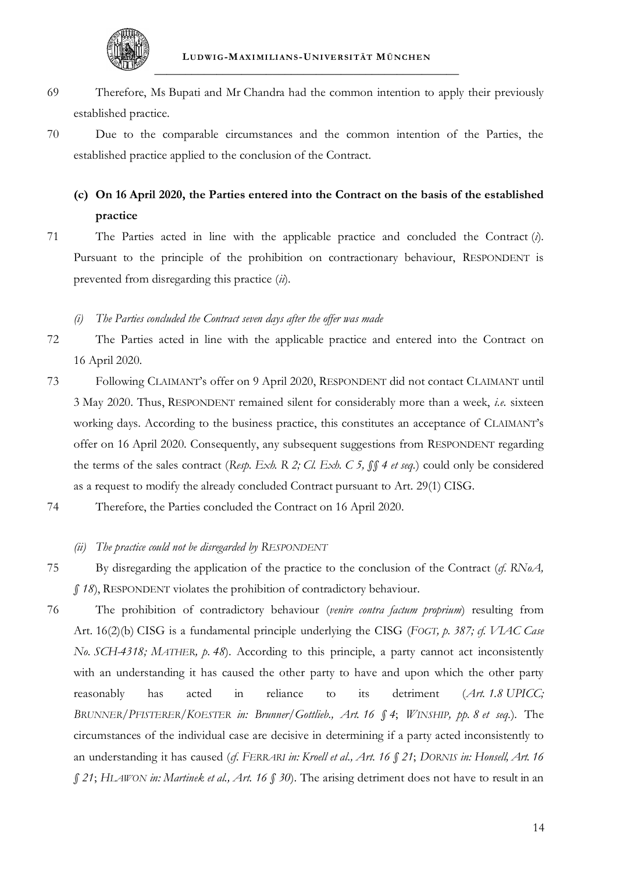

- 69 Therefore, Ms Bupati and Mr Chandra had the common intention to apply their previously established practice.
- 70 Due to the comparable circumstances and the common intention of the Parties, the established practice applied to the conclusion of the Contract.

# **(c) On 16 April 2020, the Parties entered into the Contract on the basis of the established practice**

71 The Parties acted in line with the applicable practice and concluded the Contract (*i*). Pursuant to the principle of the prohibition on contractionary behaviour, RESPONDENT is prevented from disregarding this practice (*ii*).

## <span id="page-56-0"></span>*(i) The Parties concluded the Contract seven days after the offer was made*

- 72 The Parties acted in line with the applicable practice and entered into the Contract on 16 April 2020.
- 73 Following CLAIMANT's offer on 9 April 2020, RESPONDENT did not contact CLAIMANT until 3 May 2020. Thus, RESPONDENT remained silent for considerably more than a week, *i.e.* sixteen working days. According to the business practice, this constitutes an acceptance of CLAIMANT's offer on 16 April 2020. Consequently, any subsequent suggestions from RESPONDENT regarding the terms of the sales contract (*Resp. Exh. R 2; Cl. Exh. C 5, §§ 4 et seq.*) could only be considered as a request to modify the already concluded Contract pursuant to Art. 29(1) CISG.
- 74 Therefore, the Parties concluded the Contract on 16 April 2020.

# *(ii) The practice could not be disregarded by RESPONDENT*

- 75 By disregarding the application of the practice to the conclusion of the Contract (*cf. RNoA, § 18*), RESPONDENT violates the prohibition of contradictory behaviour.
- 76 The prohibition of contradictory behaviour (*venire contra factum proprium*) resulting from Art. 16(2)(b) CISG is a fundamental principle underlying the CISG (*FOGT, p. 387; cf. VIAC Case No. SCH-4318; MATHER, p. 48*). According to this principle, a party cannot act inconsistently with an understanding it has caused the other party to have and upon which the other party reasonably has acted in reliance to its detriment (*Art. 1.8 UPICC; BRUNNER/PFISTERER/KOESTER in: Brunner/Gottlieb., Art. 16 § 4*; *WINSHIP, pp. 8 et seq.*). The circumstances of the individual case are decisive in determining if a party acted inconsistently to an understanding it has caused (*cf. FERRARI in: Kroell et al., Art. 16 § 21*; *DORNIS in: Honsell, Art. 16 § 21*; *HLAWON in: Martinek et al., Art. 16 § 30*). The arising detriment does not have to result in an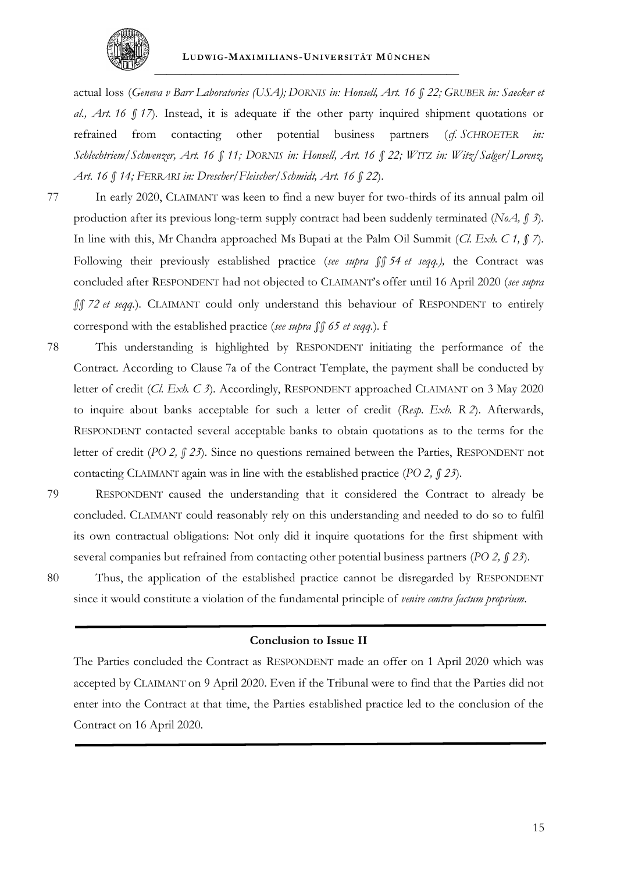

actual loss (*Geneva v Barr Laboratories (USA); DORNIS in: Honsell, Art. 16 § 22; GRUBER in: Saecker et al., Art. 16 § 17*). Instead, it is adequate if the other party inquired shipment quotations or refrained from contacting other potential business partners (*cf. SCHROETER in: Schlechtriem/Schwenzer, Art. 16 § 11; DORNIS in: Honsell, Art. 16 § 22; WITZ in: Witz/Salger/Lorenz, Art. 16 § 14; FERRARI in: Drescher/Fleischer/Schmidt, Art. 16 § 22*).

- 77 In early 2020, CLAIMANT was keen to find a new buyer for two-thirds of its annual palm oil production after its previous long-term supply contract had been suddenly terminated (*NoA, § 3*). In line with this, Mr Chandra approached Ms Bupati at the Palm Oil Summit (*Cl. Exh. C 1, § 7*). Following their previously established practice (*see supra §§ [54](#page-53-1) et seqq.),* the Contract was concluded after RESPONDENT had not objected to CLAIMANT's offer until 16 April 2020 (*see supra §§ [72](#page-56-0) et seqq.*). CLAIMANT could only understand this behaviour of RESPONDENT to entirely correspond with the established practice (*see supra §§ [65](#page-55-0) et seqq.*). f
- 78 This understanding is highlighted by RESPONDENT initiating the performance of the Contract. According to Clause 7a of the Contract Template, the payment shall be conducted by letter of credit (*Cl. Exh. C 3*). Accordingly, RESPONDENT approached CLAIMANT on 3 May 2020 to inquire about banks acceptable for such a letter of credit (*Resp. Exh. R 2*). Afterwards, RESPONDENT contacted several acceptable banks to obtain quotations as to the terms for the letter of credit (*PO 2, § 23*). Since no questions remained between the Parties, RESPONDENT not contacting CLAIMANT again was in line with the established practice (*PO 2, § 23*).
- 

79 RESPONDENT caused the understanding that it considered the Contract to already be concluded. CLAIMANT could reasonably rely on this understanding and needed to do so to fulfil its own contractual obligations: Not only did it inquire quotations for the first shipment with several companies but refrained from contacting other potential business partners (*PO 2, § 23*).

80 Thus, the application of the established practice cannot be disregarded by RESPONDENT since it would constitute a violation of the fundamental principle of *venire contra factum proprium*.

### **Conclusion to Issue II**

The Parties concluded the Contract as RESPONDENT made an offer on 1 April 2020 which was accepted by CLAIMANT on 9 April 2020. Even if the Tribunal were to find that the Parties did not enter into the Contract at that time, the Parties established practice led to the conclusion of the Contract on 16 April 2020.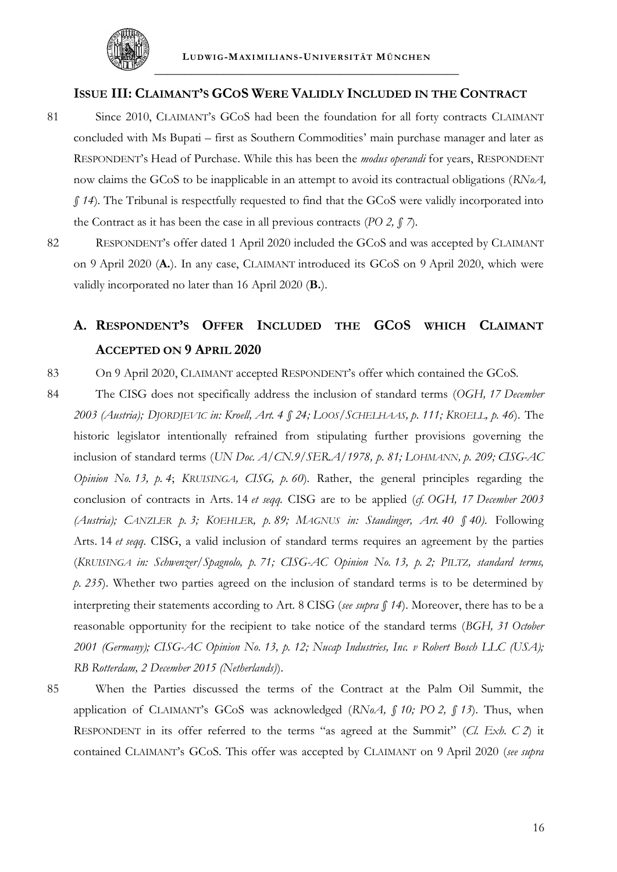

## <span id="page-58-1"></span>**ISSUE III: CLAIMANT'S GCOS WERE VALIDLY INCLUDED IN THE CONTRACT**

- 81 Since 2010, CLAIMANT's GCoS had been the foundation for all forty contracts CLAIMANT concluded with Ms Bupati – first as Southern Commodities' main purchase manager and later as RESPONDENT's Head of Purchase. While this has been the *modus operandi* for years, RESPONDENT now claims the GCoS to be inapplicable in an attempt to avoid its contractual obligations (*RNoA, § 14*). The Tribunal is respectfully requested to find that the GCoS were validly incorporated into the Contract as it has been the case in all previous contracts (*PO 2, § 7*)*.*
- 82 RESPONDENT's offer dated 1 April 2020 included the GCoS and was accepted by CLAIMANT on 9 April 2020 (**A.**). In any case, CLAIMANT introduced its GCoS on 9 April 2020, which were validly incorporated no later than 16 April 2020 (**B.**).

# **A. RESPONDENT'S OFFER INCLUDED THE GCOS WHICH CLAIMANT ACCEPTED ON 9 APRIL 2020**

83 On 9 April 2020, CLAIMANT accepted RESPONDENT's offer which contained the GCoS.

- <span id="page-58-0"></span>84 The CISG does not specifically address the inclusion of standard terms (*OGH, 17 December 2003 (Austria); DJORDJEVIC in: Kroell, Art. 4 § 24; LOOS/SCHELHAAS, p. 111; KROELL, p. 46*). The historic legislator intentionally refrained from stipulating further provisions governing the inclusion of standard terms (*UN Doc. A/CN.9/SER.A/1978, p. 81; LOHMANN, p. 209; CISG-AC Opinion No. 13, p. 4*; *KRUISINGA, CISG, p. 60*). Rather, the general principles regarding the conclusion of contracts in Arts. 14 *et seqq.* CISG are to be applied (*cf. OGH, 17 December 2003 (Austria); CANZLER p. 3; KOEHLER, p. 89; MAGNUS in: Staudinger, Art. 40 § 40)*. Following Arts. 14 *et seqq.* CISG, a valid inclusion of standard terms requires an agreement by the parties (*KRUISINGA in: Schwenzer/Spagnolo, p. 71; CISG-AC Opinion No. 13, p. 2; PILTZ, standard terms, p. 235*). Whether two parties agreed on the inclusion of standard terms is to be determined by interpreting their statements according to Art. 8 CISG (*see supra § [14](#page-47-0)*). Moreover, there has to be a reasonable opportunity for the recipient to take notice of the standard terms (*BGH, 31 October 2001 (Germany); CISG-AC Opinion No. 13, p. 12; Nucap Industries, Inc. v Robert Bosch LLC (USA); RB Rotterdam, 2 December 2015 (Netherlands)*).
- 

85 When the Parties discussed the terms of the Contract at the Palm Oil Summit, the application of CLAIMANT's GCoS was acknowledged (*RNoA, § 10; PO 2, § 13*). Thus, when RESPONDENT in its offer referred to the terms "as agreed at the Summit" (*Cl. Exh. C 2*) it contained CLAIMANT's GCoS. This offer was accepted by CLAIMANT on 9 April 2020 (*see supra*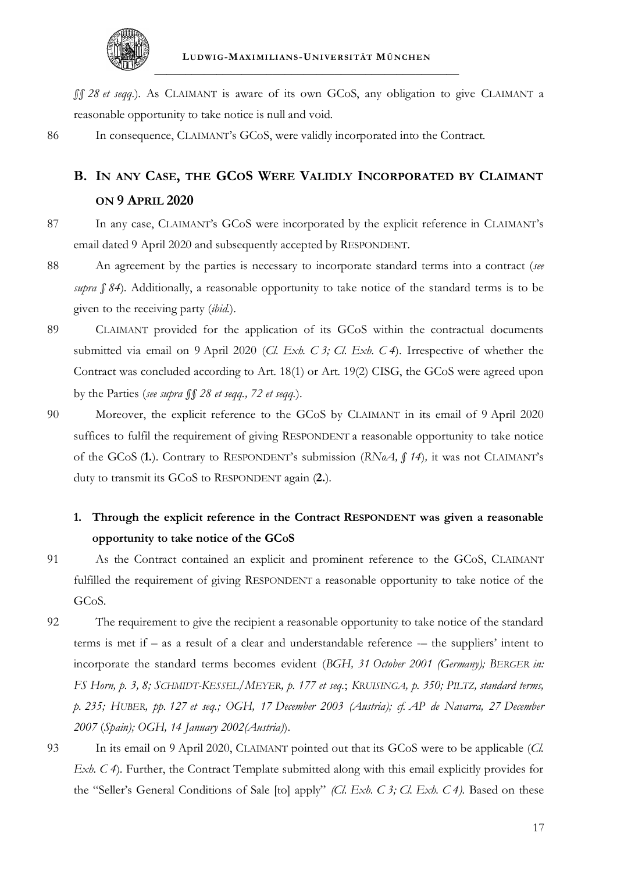

*§§ [28](#page-49-0) et seqq.*). As CLAIMANT is aware of its own GCoS, any obligation to give CLAIMANT a reasonable opportunity to take notice is null and void.

86 In consequence, CLAIMANT's GCoS, were validly incorporated into the Contract.

# **B. IN ANY CASE, THE GCOS WERE VALIDLY INCORPORATED BY CLAIMANT ON 9 APRIL 2020**

- 87 In any case, CLAIMANT's GCoS were incorporated by the explicit reference in CLAIMANT's email dated 9 April 2020 and subsequently accepted by RESPONDENT.
- 88 An agreement by the parties is necessary to incorporate standard terms into a contract (*see supra § [84](#page-58-0)*). Additionally, a reasonable opportunity to take notice of the standard terms is to be given to the receiving party (*ibid.*).
- 89 CLAIMANT provided for the application of its GCoS within the contractual documents submitted via email on 9 April 2020 (*Cl. Exh. C 3; Cl. Exh. C 4*). Irrespective of whether the Contract was concluded according to Art. 18(1) or Art. 19(2) CISG, the GCoS were agreed upon by the Parties (*see supra §§ [28](#page-49-0) et seqq., [72](#page-56-0) et seqq.*).
- 90 Moreover, the explicit reference to the GCoS by CLAIMANT in its email of 9 April 2020 suffices to fulfil the requirement of giving RESPONDENT a reasonable opportunity to take notice of the GCoS (**1.**). Contrary to RESPONDENT's submission (*RNoA, § 14*)*,* it was not CLAIMANT's duty to transmit its GCoS to RESPONDENT again (**2.**).

# **1. Through the explicit reference in the Contract RESPONDENT was given a reasonable opportunity to take notice of the GCoS**

- 91 As the Contract contained an explicit and prominent reference to the GCoS, CLAIMANT fulfilled the requirement of giving RESPONDENT a reasonable opportunity to take notice of the GCoS.
- 92 The requirement to give the recipient a reasonable opportunity to take notice of the standard terms is met if – as a result of a clear and understandable reference -– the suppliers' intent to incorporate the standard terms becomes evident (*BGH, 31 October 2001 (Germany); BERGER in:*  FS Horn, p. 3, 8; SCHMIDT-KESSEL/MEYER, p. 177 et seq.; KRUISINGA, p. 350; PILTZ, standard terms, *p. 235; HUBER, pp. 127 et seq.; OGH, 17 December 2003 (Austria); cf. AP de Navarra, 27 December 2007* (*Spain); OGH, 14 January 2002(Austria)*).
- 93 In its email on 9 April 2020, CLAIMANT pointed out that its GCoS were to be applicable (*Cl. Exh. C* 4). Further, the Contract Template submitted along with this email explicitly provides for the "Seller's General Conditions of Sale [to] apply" *(Cl. Exh. C 3; Cl. Exh. C 4).* Based on these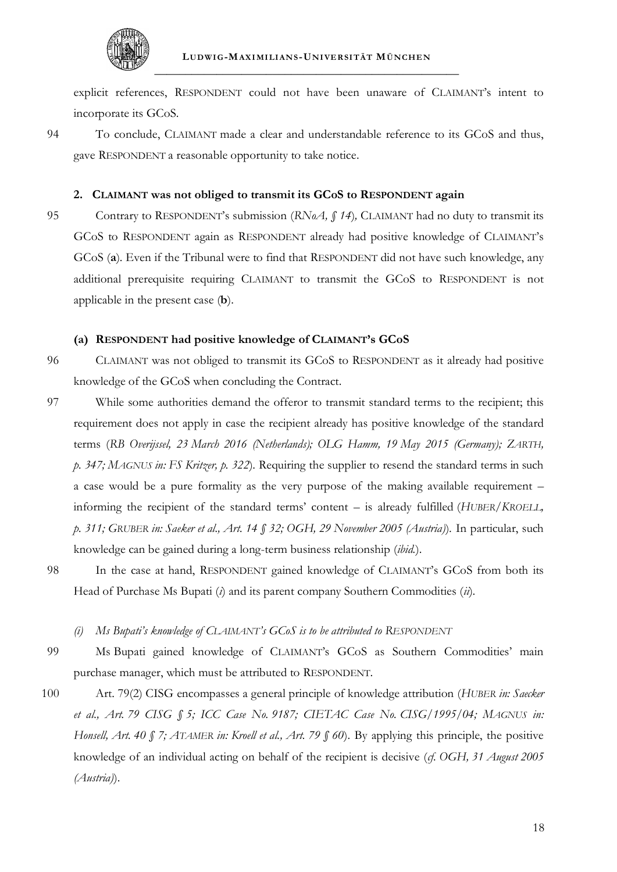

explicit references, RESPONDENT could not have been unaware of CLAIMANT's intent to incorporate its GCoS.

94 To conclude, CLAIMANT made a clear and understandable reference to its GCoS and thus, gave RESPONDENT a reasonable opportunity to take notice.

# **2. CLAIMANT was not obliged to transmit its GCoS to RESPONDENT again**

95 Contrary to RESPONDENT's submission (*RNoA*, *§ 14*), CLAIMANT had no duty to transmit its GCoS to RESPONDENT again as RESPONDENT already had positive knowledge of CLAIMANT's GCoS (**a**). Even if the Tribunal were to find that RESPONDENT did not have such knowledge, any additional prerequisite requiring CLAIMANT to transmit the GCoS to RESPONDENT is not applicable in the present case (**b**).

## **(a) RESPONDENT had positive knowledge of CLAIMANT's GCoS**

- 96 CLAIMANT was not obliged to transmit its GCoS to RESPONDENT as it already had positive knowledge of the GCoS when concluding the Contract.
- 97 While some authorities demand the offeror to transmit standard terms to the recipient; this requirement does not apply in case the recipient already has positive knowledge of the standard terms (*RB Overijssel, 23 March 2016 (Netherlands); OLG Hamm, 19 May 2015 (Germany); ZARTH, p. 347; MAGNUS in: FS Kritzer, p. 322*). Requiring the supplier to resend the standard terms in such a case would be a pure formality as the very purpose of the making available requirement – informing the recipient of the standard terms' content – is already fulfilled (*HUBER/KROELL, p. 311; GRUBER in: Saeker et al., Art. 14 § 32; OGH, 29 November 2005 (Austria)*). In particular, such knowledge can be gained during a long-term business relationship (*ibid.*).
- 98 In the case at hand, RESPONDENT gained knowledge of CLAIMANT's GCoS from both its Head of Purchase Ms Bupati (*i*) and its parent company Southern Commodities (*ii*).
	- *(i) Ms Bupati's knowledge of CLAIMANT's GCoS is to be attributed to RESPONDENT*
- <span id="page-60-0"></span>99 Ms Bupati gained knowledge of CLAIMANT's GCoS as Southern Commodities' main purchase manager, which must be attributed to RESPONDENT.
- 100 Art. 79(2) CISG encompasses a general principle of knowledge attribution (*HUBER in: Saecker et al., Art. 79 CISG § 5; ICC Case No. 9187; CIETAC Case No. CISG/1995/04; MAGNUS in: Honsell, Art. 40 § 7; ATAMER in: Kroell et al., Art. 79 § 60*). By applying this principle, the positive knowledge of an individual acting on behalf of the recipient is decisive (*cf. OGH, 31 August 2005 (Austria)*).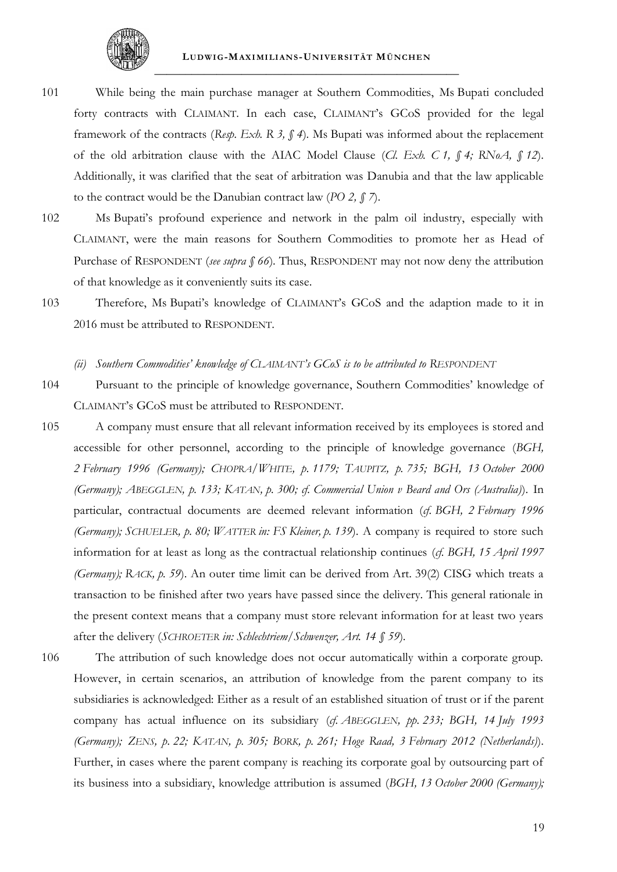

- 101 While being the main purchase manager at Southern Commodities, Ms Bupati concluded forty contracts with CLAIMANT. In each case, CLAIMANT's GCoS provided for the legal framework of the contracts (*Resp. Exh. R 3, § 4*). Ms Bupati was informed about the replacement of the old arbitration clause with the AIAC Model Clause (*Cl. Exh. C 1, § 4; RNoA, § 12*). Additionally, it was clarified that the seat of arbitration was Danubia and that the law applicable to the contract would be the Danubian contract law (*PO 2, § 7*).
- 102 Ms Bupati's profound experience and network in the palm oil industry, especially with CLAIMANT, were the main reasons for Southern Commodities to promote her as Head of Purchase of RESPONDENT (*see supra § [66](#page-55-1)*). Thus, RESPONDENT may not now deny the attribution of that knowledge as it conveniently suits its case.
- 103 Therefore, Ms Bupati's knowledge of CLAIMANT's GCoS and the adaption made to it in 2016 must be attributed to RESPONDENT.
	- *(ii) Southern Commodities' knowledge of CLAIMANT's GCoS is to be attributed to RESPONDENT*
- 104 Pursuant to the principle of knowledge governance, Southern Commodities' knowledge of CLAIMANT's GCoS must be attributed to RESPONDENT.
- 105 A company must ensure that all relevant information received by its employees is stored and accessible for other personnel, according to the principle of knowledge governance (*BGH, 2 February 1996 (Germany); CHOPRA/WHITE, p. 1179; TAUPITZ, p. 735; BGH, 13 October 2000 (Germany); ABEGGLEN, p. 133; KATAN, p. 300; cf. Commercial Union v Beard and Ors (Australia)*). In particular, contractual documents are deemed relevant information (*cf. BGH, 2 February 1996 (Germany); SCHUELER, p. 80; WATTER in: FS Kleiner, p. 139*). A company is required to store such information for at least as long as the contractual relationship continues (*cf. BGH, 15 April 1997 (Germany); RACK, p. 59*). An outer time limit can be derived from Art. 39(2) CISG which treats a transaction to be finished after two years have passed since the delivery. This general rationale in the present context means that a company must store relevant information for at least two years after the delivery (*SCHROETER in: Schlechtriem/Schwenzer, Art. 14 § 59*).
- 106 The attribution of such knowledge does not occur automatically within a corporate group. However, in certain scenarios, an attribution of knowledge from the parent company to its subsidiaries is acknowledged: Either as a result of an established situation of trust or if the parent company has actual influence on its subsidiary (*cf. ABEGGLEN, pp. 233; BGH, 14 July 1993 (Germany); ZENS, p. 22; KATAN, p. 305; BORK, p. 261; Hoge Raad, 3 February 2012 (Netherlands)*). Further, in cases where the parent company is reaching its corporate goal by outsourcing part of its business into a subsidiary, knowledge attribution is assumed (*BGH, 13 October 2000 (Germany);*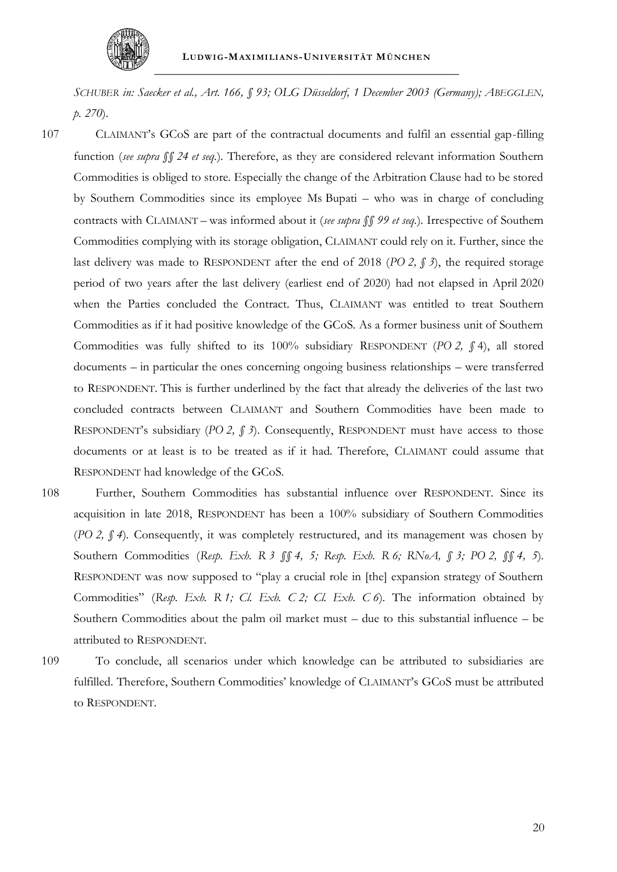

*SCHUBER in: Saecker et al., Art. 166, § 93; OLG Düsseldorf, 1 December 2003 (Germany); ABEGGLEN, p. 270*).

107 CLAIMANT's GCoS are part of the contractual documents and fulfil an essential gap-filling function (*see supra §§ [24](#page-48-0) et seq.*). Therefore, as they are considered relevant information Southern Commodities is obliged to store. Especially the change of the Arbitration Clause had to be stored by Southern Commodities since its employee Ms Bupati – who was in charge of concluding contracts with CLAIMANT – was informed about it (*see supra §§ [99](#page-60-0) et seq.*). Irrespective of Southern Commodities complying with its storage obligation, CLAIMANT could rely on it. Further, since the last delivery was made to RESPONDENT after the end of 2018 (*PO 2, § 3*), the required storage period of two years after the last delivery (earliest end of 2020) had not elapsed in April 2020 when the Parties concluded the Contract. Thus, CLAIMANT was entitled to treat Southern Commodities as if it had positive knowledge of the GCoS. As a former business unit of Southern Commodities was fully shifted to its 100% subsidiary RESPONDENT (*PO 2, §* 4), all stored documents – in particular the ones concerning ongoing business relationships – were transferred to RESPONDENT. This is further underlined by the fact that already the deliveries of the last two concluded contracts between CLAIMANT and Southern Commodities have been made to RESPONDENT's subsidiary (*PO 2, § 3*). Consequently, RESPONDENT must have access to those documents or at least is to be treated as if it had. Therefore, CLAIMANT could assume that RESPONDENT had knowledge of the GCoS.

- 108 Further, Southern Commodities has substantial influence over RESPONDENT. Since its acquisition in late 2018, RESPONDENT has been a 100% subsidiary of Southern Commodities (*PO 2, § 4*). Consequently, it was completely restructured, and its management was chosen by Southern Commodities (*Resp. Exh. R 3 §§ 4, 5; Resp. Exh. R 6; RNoA, § 3; PO 2, §§ 4, 5*). RESPONDENT was now supposed to "play a crucial role in [the] expansion strategy of Southern Commodities" (*Resp. Exh. R 1; Cl. Exh. C 2; Cl. Exh. C 6*). The information obtained by Southern Commodities about the palm oil market must – due to this substantial influence – be attributed to RESPONDENT.
- 109 To conclude, all scenarios under which knowledge can be attributed to subsidiaries are fulfilled. Therefore, Southern Commodities' knowledge of CLAIMANT's GCoS must be attributed to RESPONDENT.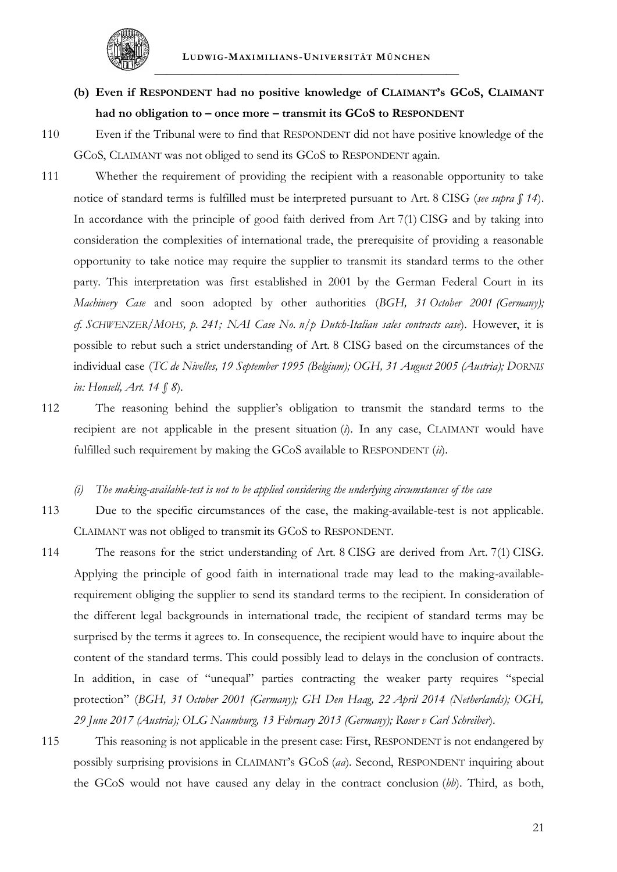

- **(b) Even if RESPONDENT had no positive knowledge of CLAIMANT's GCoS, CLAIMANT had no obligation to – once more – transmit its GCoS to RESPONDENT**
- 110 Even if the Tribunal were to find that RESPONDENT did not have positive knowledge of the GCoS, CLAIMANT was not obliged to send its GCoS to RESPONDENT again.
- 111 Whether the requirement of providing the recipient with a reasonable opportunity to take notice of standard terms is fulfilled must be interpreted pursuant to Art. 8 CISG (*see supra § [14](#page-47-0)*). In accordance with the principle of good faith derived from Art 7(1) CISG and by taking into consideration the complexities of international trade, the prerequisite of providing a reasonable opportunity to take notice may require the supplier to transmit its standard terms to the other party. This interpretation was first established in 2001 by the German Federal Court in its *Machinery Case* and soon adopted by other authorities (*BGH, 31 October 2001 (Germany); cf. SCHWENZER/MOHS, p. 241; NAI Case No. n/p Dutch-Italian sales contracts case*). However, it is possible to rebut such a strict understanding of Art. 8 CISG based on the circumstances of the individual case (*TC de Nivelles, 19 September 1995 (Belgium); OGH, 31 August 2005 (Austria); DORNIS in: Honsell, Art. 14 § 8*).
- 112 The reasoning behind the supplier's obligation to transmit the standard terms to the recipient are not applicable in the present situation (*i*). In any case, CLAIMANT would have fulfilled such requirement by making the GCoS available to RESPONDENT (*ii*).
	- *(i) The making-available-test is not to be applied considering the underlying circumstances of the case*
- 113 Due to the specific circumstances of the case, the making-available-test is not applicable. CLAIMANT was not obliged to transmit its GCoS to RESPONDENT.
- 114 The reasons for the strict understanding of Art. 8 CISG are derived from Art. 7(1) CISG. Applying the principle of good faith in international trade may lead to the making-availablerequirement obliging the supplier to send its standard terms to the recipient. In consideration of the different legal backgrounds in international trade, the recipient of standard terms may be surprised by the terms it agrees to. In consequence, the recipient would have to inquire about the content of the standard terms. This could possibly lead to delays in the conclusion of contracts. In addition, in case of "unequal" parties contracting the weaker party requires "special protection" (*BGH, 31 October 2001 (Germany); GH Den Haag, 22 April 2014 (Netherlands); OGH, 29 June 2017 (Austria); OLG Naumburg, 13 February 2013 (Germany); Roser v Carl Schreiber*).
- 115 This reasoning is not applicable in the present case: First, RESPONDENT is not endangered by possibly surprising provisions in CLAIMANT's GCoS (*aa*). Second, RESPONDENT inquiring about the GCoS would not have caused any delay in the contract conclusion (*bb*). Third, as both,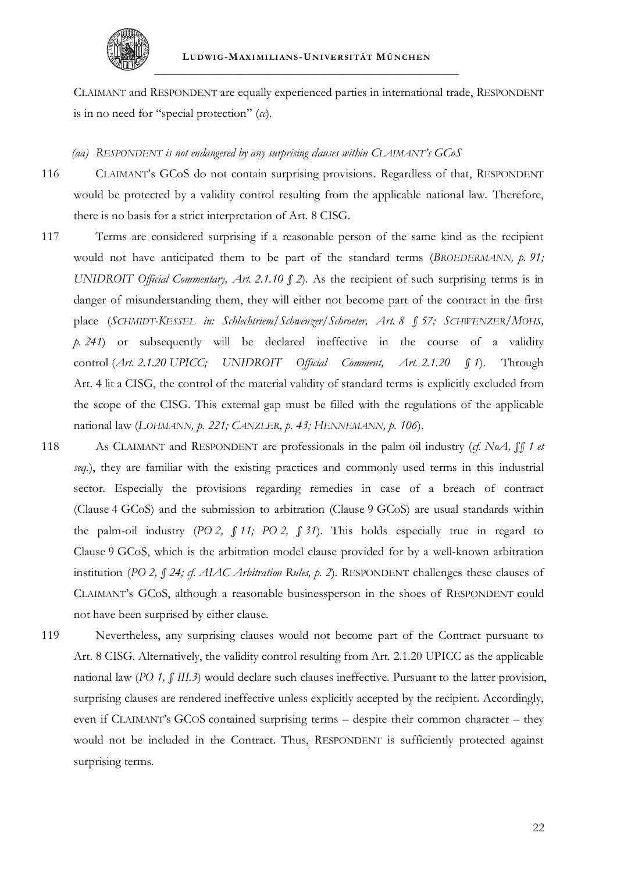

CLAIMANT and RESPONDENT are equally experienced parties in international trade, RESPONDENT is in no need for "special protection" (*cc*).

#### *(aa) RESPONDENT is not endangered by any surprising clauses within CLAIMANT's GCoS*

116 CLAIMANT's GCoS do not contain surprising provisions. Regardless of that, RESPONDENT would be protected by a validity control resulting from the applicable national law. Therefore, there is no basis for a strict interpretation of Art. 8 CISG.

- 117 Terms are considered surprising if a reasonable person of the same kind as the recipient would not have anticipated them to be part of the standard terms (*BROEDERMANN, p. 91; UNIDROIT Official Commentary, Art. 2.1.10 § 2*). As the recipient of such surprising terms is in danger of misunderstanding them, they will either not become part of the contract in the first place (*SCHMIDT-KESSEL in: Schlechtriem/Schwenzer/Schroeter, Art. 8 § 57; SCHWENZER/MOHS, p. 241*) or subsequently will be declared ineffective in the course of a validity control (*Art. 2.1.20 UPICC; UNIDROIT Official Comment, Art. 2.1.20 § 1*). Through Art. 4 lit a CISG, the control of the material validity of standard terms is explicitly excluded from the scope of the CISG. This external gap must be filled with the regulations of the applicable national law (*LOHMANN, p. 221; CANZLER, p. 43; HENNEMANN, p. 106*).
- <span id="page-64-0"></span>118 As CLAIMANT and RESPONDENT are professionals in the palm oil industry (*cf. NoA, §§ 1 et seq.*), they are familiar with the existing practices and commonly used terms in this industrial sector. Especially the provisions regarding remedies in case of a breach of contract (Clause 4 GCoS) and the submission to arbitration (Clause 9 GCoS) are usual standards within the palm-oil industry (*PO 2, § 11; PO 2, § 31*). This holds especially true in regard to Clause 9 GCoS, which is the arbitration model clause provided for by a well-known arbitration institution (*PO 2, § 24; cf. AIAC Arbitration Rules, p. 2*). RESPONDENT challenges these clauses of CLAIMANT's GCoS, although a reasonable businessperson in the shoes of RESPONDENT could not have been surprised by either clause.
- 119 Nevertheless, any surprising clauses would not become part of the Contract pursuant to Art. 8 CISG. Alternatively, the validity control resulting from Art. 2.1.20 UPICC as the applicable national law (*PO 1, § III.3*) would declare such clauses ineffective. Pursuant to the latter provision, surprising clauses are rendered ineffective unless explicitly accepted by the recipient. Accordingly, even if CLAIMANT's GCOS contained surprising terms – despite their common character – they would not be included in the Contract. Thus, RESPONDENT is sufficiently protected against surprising terms.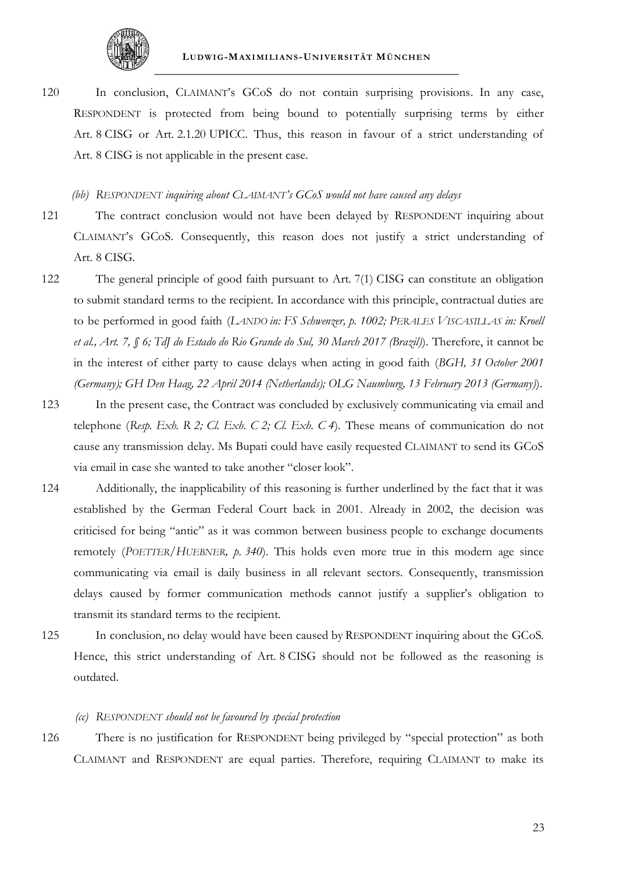

120 In conclusion, CLAIMANT's GCoS do not contain surprising provisions. In any case, RESPONDENT is protected from being bound to potentially surprising terms by either Art. 8 CISG or Art. 2.1.20 UPICC. Thus, this reason in favour of a strict understanding of Art. 8 CISG is not applicable in the present case.

#### *(bb) RESPONDENT inquiring about CLAIMANT's GCoS would not have caused any delays*

- 121 The contract conclusion would not have been delayed by RESPONDENT inquiring about CLAIMANT's GCoS. Consequently, this reason does not justify a strict understanding of Art. 8 CISG.
- 122 The general principle of good faith pursuant to Art. 7(1) CISG can constitute an obligation to submit standard terms to the recipient. In accordance with this principle, contractual duties are to be performed in good faith (*LANDO in: FS Schwenzer, p. 1002; PERALES VISCASILLAS in: Kroell et al., Art. 7, § 6; TdJ do Estado do Rio Grande do Sul, 30 March 2017 (Brazil)*). Therefore, it cannot be in the interest of either party to cause delays when acting in good faith (*BGH, 31 October 2001 (Germany); GH Den Haag, 22 April 2014 (Netherlands); OLG Naumburg, 13 February 2013 (Germany)*).
- 123 In the present case, the Contract was concluded by exclusively communicating via email and telephone (*Resp. Exh. R 2; Cl. Exh. C 2; Cl. Exh. C 4*). These means of communication do not cause any transmission delay. Ms Bupati could have easily requested CLAIMANT to send its GCoS via email in case she wanted to take another "closer look".
- 124 Additionally, the inapplicability of this reasoning is further underlined by the fact that it was established by the German Federal Court back in 2001. Already in 2002, the decision was criticised for being "antic" as it was common between business people to exchange documents remotely (*POETTER/HUEBNER, p. 340*). This holds even more true in this modern age since communicating via email is daily business in all relevant sectors. Consequently, transmission delays caused by former communication methods cannot justify a supplier's obligation to transmit its standard terms to the recipient.
- 125 In conclusion, no delay would have been caused by RESPONDENT inquiring about the GCoS. Hence, this strict understanding of Art. 8 CISG should not be followed as the reasoning is outdated.

#### *(cc) RESPONDENT should not be favoured by special protection*

126 There is no justification for RESPONDENT being privileged by "special protection" as both CLAIMANT and RESPONDENT are equal parties. Therefore, requiring CLAIMANT to make its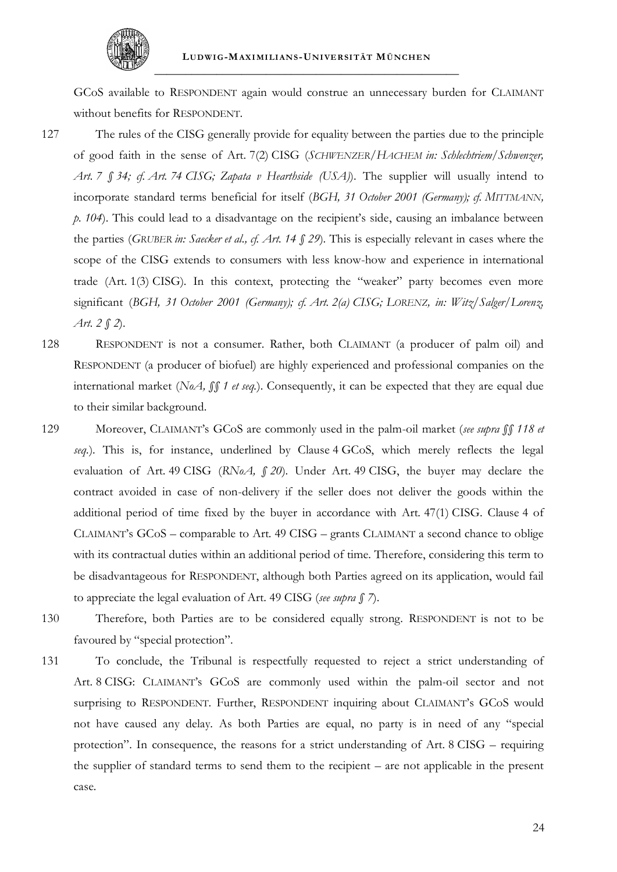

GCoS available to RESPONDENT again would construe an unnecessary burden for CLAIMANT without benefits for RESPONDENT.

- 127 The rules of the CISG generally provide for equality between the parties due to the principle of good faith in the sense of Art. 7(2) CISG (*SCHWENZER/HACHEM in: Schlechtriem/Schwenzer, Art. 7 § 34; cf. Art. 74 CISG; Zapata v Hearthside (USA)*). The supplier will usually intend to incorporate standard terms beneficial for itself (*BGH, 31 October 2001 (Germany); cf. MITTMANN, p. 104*). This could lead to a disadvantage on the recipient's side, causing an imbalance between the parties (*GRUBER in: Saecker et al., cf. Art. 14 § 29*). This is especially relevant in cases where the scope of the CISG extends to consumers with less know-how and experience in international trade (Art. 1(3) CISG). In this context, protecting the "weaker" party becomes even more significant (*BGH, 31 October 2001 (Germany); cf. Art. 2(a) CISG; LORENZ, in: Witz/Salger/Lorenz, Art. 2 § 2*).
- 128 RESPONDENT is not a consumer. Rather, both CLAIMANT (a producer of palm oil) and RESPONDENT (a producer of biofuel) are highly experienced and professional companies on the international market (*NoA, §§ 1 et seq.*). Consequently, it can be expected that they are equal due to their similar background.
- 129 Moreover, CLAIMANT's GCoS are commonly used in the palm-oil market (*see supra §§ [118](#page-64-0) et seq.*). This is, for instance, underlined by Clause 4 GCoS, which merely reflects the legal evaluation of Art. 49 CISG (*RNoA, § 20*). Under Art. 49 CISG, the buyer may declare the contract avoided in case of non-delivery if the seller does not deliver the goods within the additional period of time fixed by the buyer in accordance with Art. 47(1) CISG. Clause 4 of CLAIMANT's GCoS – comparable to Art. 49 CISG – grants CLAIMANT a second chance to oblige with its contractual duties within an additional period of time. Therefore, considering this term to be disadvantageous for RESPONDENT, although both Parties agreed on its application, would fail to appreciate the legal evaluation of Art. 49 CISG (*see supra § [7](#page-46-0)*).
- 130 Therefore, both Parties are to be considered equally strong. RESPONDENT is not to be favoured by "special protection".
- 131 To conclude, the Tribunal is respectfully requested to reject a strict understanding of Art. 8 CISG: CLAIMANT's GCoS are commonly used within the palm-oil sector and not surprising to RESPONDENT. Further, RESPONDENT inquiring about CLAIMANT's GCoS would not have caused any delay. As both Parties are equal, no party is in need of any "special protection". In consequence, the reasons for a strict understanding of Art. 8 CISG – requiring the supplier of standard terms to send them to the recipient – are not applicable in the present case.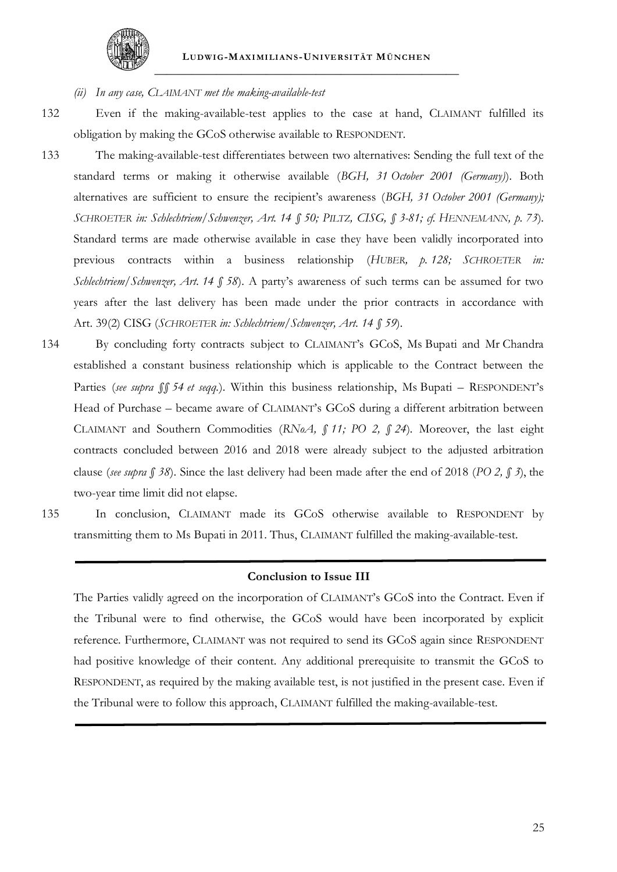

- *(ii) In any case, CLAIMANT met the making-available-test*
- 

132 Even if the making-available-test applies to the case at hand, CLAIMANT fulfilled its obligation by making the GCoS otherwise available to RESPONDENT.

- 133 The making-available-test differentiates between two alternatives: Sending the full text of the standard terms or making it otherwise available (*BGH, 31 October 2001 (Germany)*). Both alternatives are sufficient to ensure the recipient's awareness (*BGH, 31 October 2001 (Germany); SCHROETER in: Schlechtriem/Schwenzer, Art. 14 § 50; PILTZ, CISG, § 3-81; cf. HENNEMANN, p. 73*). Standard terms are made otherwise available in case they have been validly incorporated into previous contracts within a business relationship (*HUBER, p. 128; SCHROETER in: Schlechtriem/Schwenzer, Art. 14 § 58*). A party's awareness of such terms can be assumed for two years after the last delivery has been made under the prior contracts in accordance with Art. 39(2) CISG (*SCHROETER in: Schlechtriem/Schwenzer, Art. 14 § 59*).
- 134 By concluding forty contracts subject to CLAIMANT's GCoS, Ms Bupati and Mr Chandra established a constant business relationship which is applicable to the Contract between the Parties (*see supra §§ [54](#page-53-1) et seqq.*). Within this business relationship, Ms Bupati – RESPONDENT's Head of Purchase – became aware of CLAIMANT's GCoS during a different arbitration between CLAIMANT and Southern Commodities (*RNoA, § 11; PO 2, § 24*). Moreover, the last eight contracts concluded between 2016 and 2018 were already subject to the adjusted arbitration clause (*see supra § [38](#page-51-0)*). Since the last delivery had been made after the end of 2018 (*PO 2, § 3*), the two-year time limit did not elapse.
- 135 In conclusion, CLAIMANT made its GCoS otherwise available to RESPONDENT by transmitting them to Ms Bupati in 2011. Thus, CLAIMANT fulfilled the making-available-test.

#### **Conclusion to Issue III**

The Parties validly agreed on the incorporation of CLAIMANT's GCoS into the Contract. Even if the Tribunal were to find otherwise, the GCoS would have been incorporated by explicit reference. Furthermore, CLAIMANT was not required to send its GCoS again since RESPONDENT had positive knowledge of their content. Any additional prerequisite to transmit the GCoS to RESPONDENT, as required by the making available test, is not justified in the present case. Even if the Tribunal were to follow this approach, CLAIMANT fulfilled the making-available-test.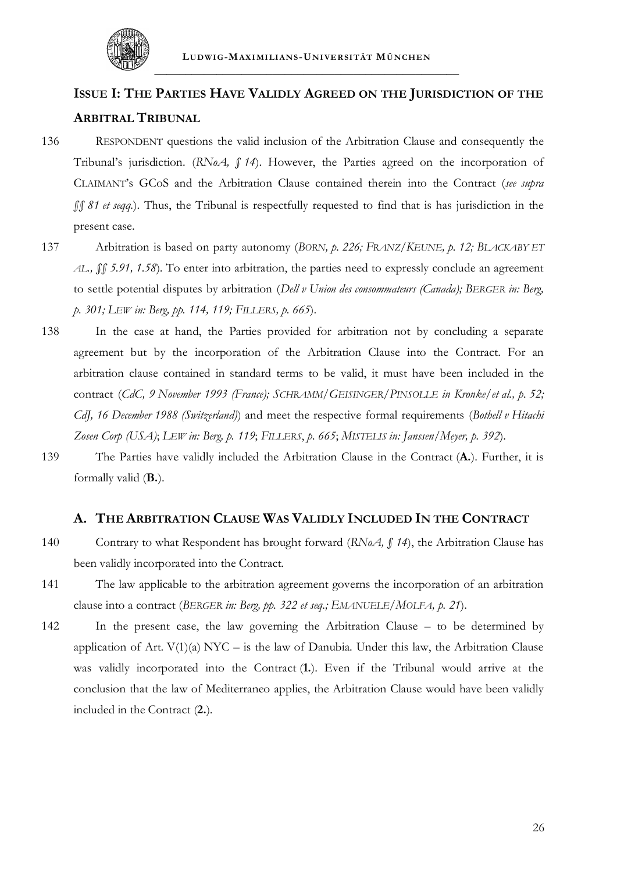

# **ISSUE I: THE PARTIES HAVE VALIDLY AGREED ON THE JURISDICTION OF THE ARBITRAL TRIBUNAL**

- 136 RESPONDENT questions the valid inclusion of the Arbitration Clause and consequently the Tribunal's jurisdiction. (*RNoA, § 14*). However, the Parties agreed on the incorporation of CLAIMANT's GCoS and the Arbitration Clause contained therein into the Contract (*see supra §§ [81](#page-58-1) et seqq.*). Thus, the Tribunal is respectfully requested to find that is has jurisdiction in the present case.
- 137 Arbitration is based on party autonomy (*BORN, p. 226; FRANZ/KEUNE, p. 12; BLACKABY ET AL., §§ 5.91, 1.58*). To enter into arbitration, the parties need to expressly conclude an agreement to settle potential disputes by arbitration (*Dell v Union des consommateurs (Canada); BERGER in: Berg, p. 301; LEW in: Berg, pp. 114, 119; FILLERS, p. 665*).
- 138 In the case at hand, the Parties provided for arbitration not by concluding a separate agreement but by the incorporation of the Arbitration Clause into the Contract. For an arbitration clause contained in standard terms to be valid, it must have been included in the contract (*CdC, 9 November 1993 (France); SCHRAMM/GEISINGER/PINSOLLE in Kronke/et al., p. 52; CdJ, 16 December 1988 (Switzerland)*) and meet the respective formal requirements (*Bothell v Hitachi Zosen Corp (USA)*; *LEW in: Berg, p. 119*; *FILLERS*, *p. 665*; *MISTELIS in: Janssen/Meyer, p. 392*).
- 139 The Parties have validly included the Arbitration Clause in the Contract (**A.**). Further, it is formally valid (**B.**).

# **A. THE ARBITRATION CLAUSE WAS VALIDLY INCLUDED IN THE CONTRACT**

- 140 Contrary to what Respondent has brought forward (*RNoA, § 14*), the Arbitration Clause has been validly incorporated into the Contract.
- 141 The law applicable to the arbitration agreement governs the incorporation of an arbitration clause into a contract (*BERGER in: Berg, pp. 322 et seq.; EMANUELE/MOLFA, p. 21*).
- 142 In the present case, the law governing the Arbitration Clause to be determined by application of Art.  $V(1)(a) NYC - is the law of Danubia. Under this law, the Arbitration Clause$ was validly incorporated into the Contract (**1.**). Even if the Tribunal would arrive at the conclusion that the law of Mediterraneo applies, the Arbitration Clause would have been validly included in the Contract (**2.**).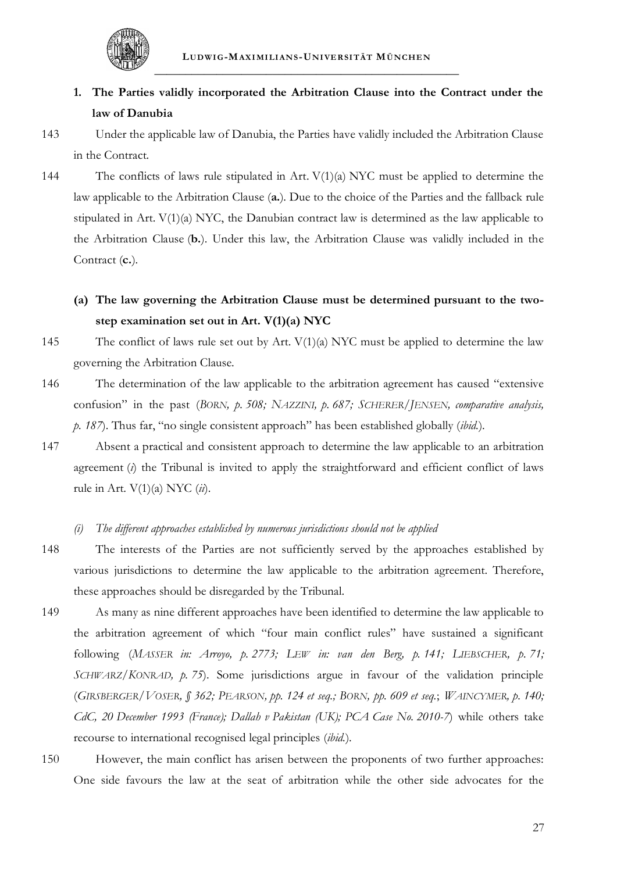

# **1. The Parties validly incorporated the Arbitration Clause into the Contract under the law of Danubia**

- 143 Under the applicable law of Danubia, the Parties have validly included the Arbitration Clause in the Contract.
- 144 The conflicts of laws rule stipulated in Art. V(1)(a) NYC must be applied to determine the law applicable to the Arbitration Clause (**a.**). Due to the choice of the Parties and the fallback rule stipulated in Art. V(1)(a) NYC, the Danubian contract law is determined as the law applicable to the Arbitration Clause (**b.**). Under this law, the Arbitration Clause was validly included in the Contract (**c.**).
	- **(a) The law governing the Arbitration Clause must be determined pursuant to the twostep examination set out in Art. V(1)(a) NYC**
- 145 The conflict of laws rule set out by Art. V(1)(a) NYC must be applied to determine the law governing the Arbitration Clause.
- 146 The determination of the law applicable to the arbitration agreement has caused "extensive confusion" in the past (*BORN, p. 508; NAZZINI, p. 687; SCHERER/JENSEN, comparative analysis, p. 187*). Thus far, "no single consistent approach" has been established globally (*ibid.*).
- 147 Absent a practical and consistent approach to determine the law applicable to an arbitration agreement (*i*) the Tribunal is invited to apply the straightforward and efficient conflict of laws rule in Art. V(1)(a) NYC (*ii*).
	- *(i) The different approaches established by numerous jurisdictions should not be applied*
- 148 The interests of the Parties are not sufficiently served by the approaches established by various jurisdictions to determine the law applicable to the arbitration agreement. Therefore, these approaches should be disregarded by the Tribunal.
- 149 As many as nine different approaches have been identified to determine the law applicable to the arbitration agreement of which "four main conflict rules" have sustained a significant following (*MASSER in: Arroyo, p. 2773; LEW in: van den Berg, p. 141; LIEBSCHER, p. 71; SCHWARZ/KONRAD, p. 75*). Some jurisdictions argue in favour of the validation principle (GIRSBERGER/VOSER, § 362; PEARSON, pp. 124 et seq.; BORN, pp. 609 et seq.; WAINCYMER, p. 140; *CdC, 20 December 1993 (France); Dallah v Pakistan (UK); PCA Case No. 2010-7*) while others take recourse to international recognised legal principles (*ibid.*).
- 150 However, the main conflict has arisen between the proponents of two further approaches: One side favours the law at the seat of arbitration while the other side advocates for the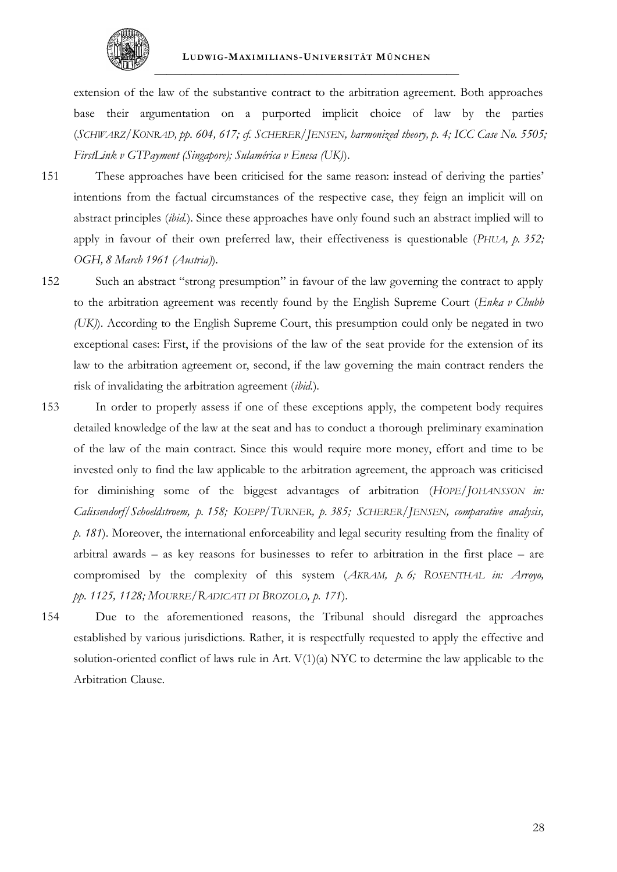

extension of the law of the substantive contract to the arbitration agreement. Both approaches base their argumentation on a purported implicit choice of law by the parties (*SCHWARZ/KONRAD, pp. 604, 617; cf. SCHERER/JENSEN, harmonized theory, p. 4; ICC Case No. 5505; FirstLink v GTPayment (Singapore); Sulamérica v Enesa (UK)*).

151 These approaches have been criticised for the same reason: instead of deriving the parties' intentions from the factual circumstances of the respective case, they feign an implicit will on abstract principles (*ibid.*). Since these approaches have only found such an abstract implied will to apply in favour of their own preferred law, their effectiveness is questionable (*PHUA, p. 352; OGH, 8 March 1961 (Austria)*).

- 152 Such an abstract "strong presumption" in favour of the law governing the contract to apply to the arbitration agreement was recently found by the English Supreme Court (*Enka v Chubb (UK)*). According to the English Supreme Court, this presumption could only be negated in two exceptional cases: First, if the provisions of the law of the seat provide for the extension of its law to the arbitration agreement or, second, if the law governing the main contract renders the risk of invalidating the arbitration agreement (*ibid.*).
- 153 In order to properly assess if one of these exceptions apply, the competent body requires detailed knowledge of the law at the seat and has to conduct a thorough preliminary examination of the law of the main contract. Since this would require more money, effort and time to be invested only to find the law applicable to the arbitration agreement, the approach was criticised for diminishing some of the biggest advantages of arbitration (*HOPE/JOHANSSON in: Calissendorf/Schoeldstroem, p. 158; KOEPP/TURNER, p. 385; SCHERER/JENSEN, comparative analysis, p. 181*). Moreover, the international enforceability and legal security resulting from the finality of arbitral awards – as key reasons for businesses to refer to arbitration in the first place – are compromised by the complexity of this system (*AKRAM, p. 6; ROSENTHAL in: Arroyo, pp. 1125, 1128; MOURRE/RADICATI DI BROZOLO, p. 171*).
- 154 Due to the aforementioned reasons, the Tribunal should disregard the approaches established by various jurisdictions. Rather, it is respectfully requested to apply the effective and solution-oriented conflict of laws rule in Art. V(1)(a) NYC to determine the law applicable to the Arbitration Clause.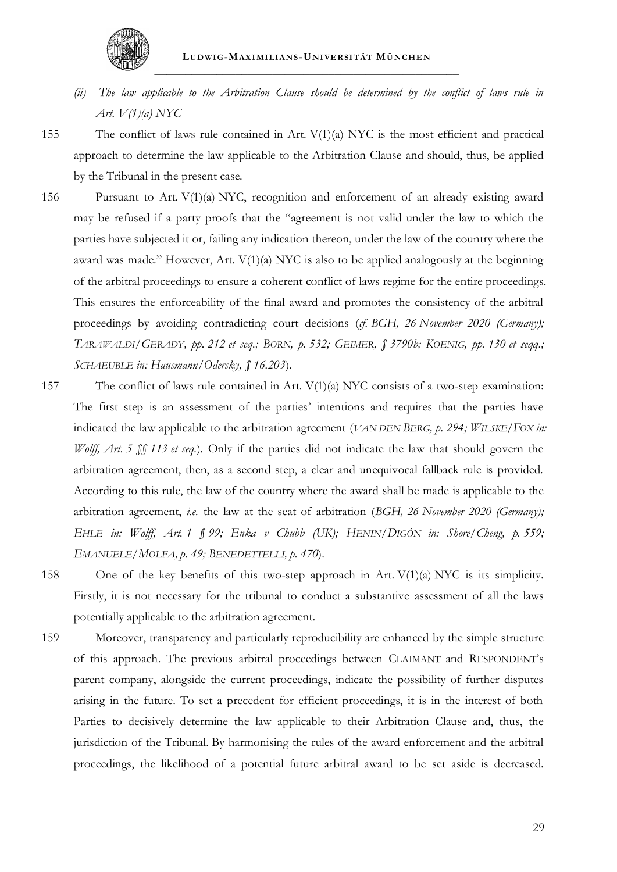

- *(ii) The law applicable to the Arbitration Clause should be determined by the conflict of laws rule in Art. V(1)(a) NYC*
- 
- 155 The conflict of laws rule contained in Art. V(1)(a) NYC is the most efficient and practical approach to determine the law applicable to the Arbitration Clause and should, thus, be applied by the Tribunal in the present case.
- 156 Pursuant to Art. V(1)(a) NYC, recognition and enforcement of an already existing award may be refused if a party proofs that the "agreement is not valid under the law to which the parties have subjected it or, failing any indication thereon, under the law of the country where the award was made." However, Art. V(1)(a) NYC is also to be applied analogously at the beginning of the arbitral proceedings to ensure a coherent conflict of laws regime for the entire proceedings. This ensures the enforceability of the final award and promotes the consistency of the arbitral proceedings by avoiding contradicting court decisions (*cf. BGH, 26 November 2020 (Germany*); TARAWALDI/GERADY, pp. 212 et seq.; BORN, p. 532; GEIMER, § 3790b; KOENIG, pp. 130 et seqq.; *SCHAEUBLE in: Hausmann/Odersky, § 16.203*).
- 157 The conflict of laws rule contained in Art. V(1)(a) NYC consists of a two-step examination: The first step is an assessment of the parties' intentions and requires that the parties have indicated the law applicable to the arbitration agreement (*VAN DEN BERG, p. 294; WILSKE*/*FOX in: Wolff, Art. 5 §§ 113 et seq.*). Only if the parties did not indicate the law that should govern the arbitration agreement, then, as a second step, a clear and unequivocal fallback rule is provided. According to this rule, the law of the country where the award shall be made is applicable to the arbitration agreement, *i.e.* the law at the seat of arbitration (*BGH, 26 November 2020 (Germany); EHLE in: Wolff, Art. 1 § 99; Enka v Chubb (UK); HENIN/DIGÓN in: Shore/Cheng, p. 559; EMANUELE/MOLFA, p. 49; BENEDETTELLI, p. 470*).
- 158 One of the key benefits of this two-step approach in Art. V(1)(a) NYC is its simplicity. Firstly, it is not necessary for the tribunal to conduct a substantive assessment of all the laws potentially applicable to the arbitration agreement.
- 159 Moreover, transparency and particularly reproducibility are enhanced by the simple structure of this approach. The previous arbitral proceedings between CLAIMANT and RESPONDENT's parent company, alongside the current proceedings, indicate the possibility of further disputes arising in the future. To set a precedent for efficient proceedings, it is in the interest of both Parties to decisively determine the law applicable to their Arbitration Clause and, thus, the jurisdiction of the Tribunal. By harmonising the rules of the award enforcement and the arbitral proceedings, the likelihood of a potential future arbitral award to be set aside is decreased.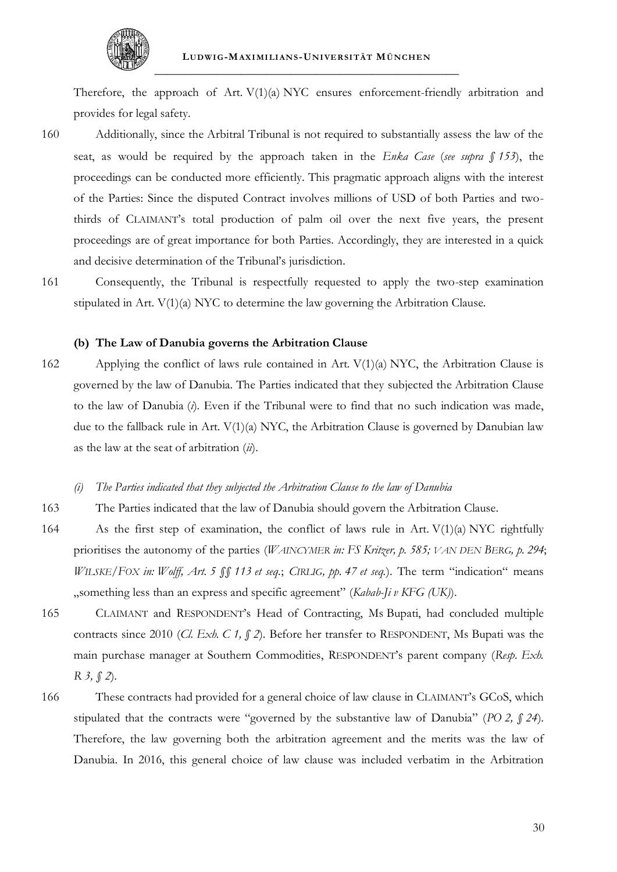

Therefore, the approach of Art. V(1)(a) NYC ensures enforcement-friendly arbitration and provides for legal safety.

- 160 Additionally, since the Arbitral Tribunal is not required to substantially assess the law of the seat, as would be required by the approach taken in the *Enka Case* (*see supra § [153](#page-70-0)*), the proceedings can be conducted more efficiently. This pragmatic approach aligns with the interest of the Parties: Since the disputed Contract involves millions of USD of both Parties and twothirds of CLAIMANT's total production of palm oil over the next five years, the present proceedings are of great importance for both Parties. Accordingly, they are interested in a quick and decisive determination of the Tribunal's jurisdiction.
- 161 Consequently, the Tribunal is respectfully requested to apply the two-step examination stipulated in Art. V(1)(a) NYC to determine the law governing the Arbitration Clause.

#### **(b) The Law of Danubia governs the Arbitration Clause**

- 162 Applying the conflict of laws rule contained in Art. V(1)(a) NYC, the Arbitration Clause is governed by the law of Danubia. The Parties indicated that they subjected the Arbitration Clause to the law of Danubia (*i*). Even if the Tribunal were to find that no such indication was made, due to the fallback rule in Art. V(1)(a) NYC, the Arbitration Clause is governed by Danubian law as the law at the seat of arbitration (*ii*).
	- *(i) The Parties indicated that they subjected the Arbitration Clause to the law of Danubia*
- 163 The Parties indicated that the law of Danubia should govern the Arbitration Clause.
- 164 As the first step of examination, the conflict of laws rule in Art. V(1)(a) NYC rightfully prioritises the autonomy of the parties (*WAINCYMER in: FS Kritzer, p. 585; VAN DEN BERG, p. 294*; *WILSKE/FOX in: Wolff, Art. 5 §§ 113 et seq.*; *CIRLIG, pp. 47 et seq.*). The term "indication" means "something less than an express and specific agreement" (*Kabab-Ji v KFG (UK)*).
- 165 CLAIMANT and RESPONDENT's Head of Contracting, Ms Bupati, had concluded multiple contracts since 2010 (*Cl. Exh. C 1, § 2*). Before her transfer to RESPONDENT, Ms Bupati was the main purchase manager at Southern Commodities, RESPONDENT's parent company (*Resp. Exh. R 3, § 2*).
- 166 These contracts had provided for a general choice of law clause in CLAIMANT's GCoS, which stipulated that the contracts were "governed by the substantive law of Danubia" (*PO 2, § 24*). Therefore, the law governing both the arbitration agreement and the merits was the law of Danubia. In 2016, this general choice of law clause was included verbatim in the Arbitration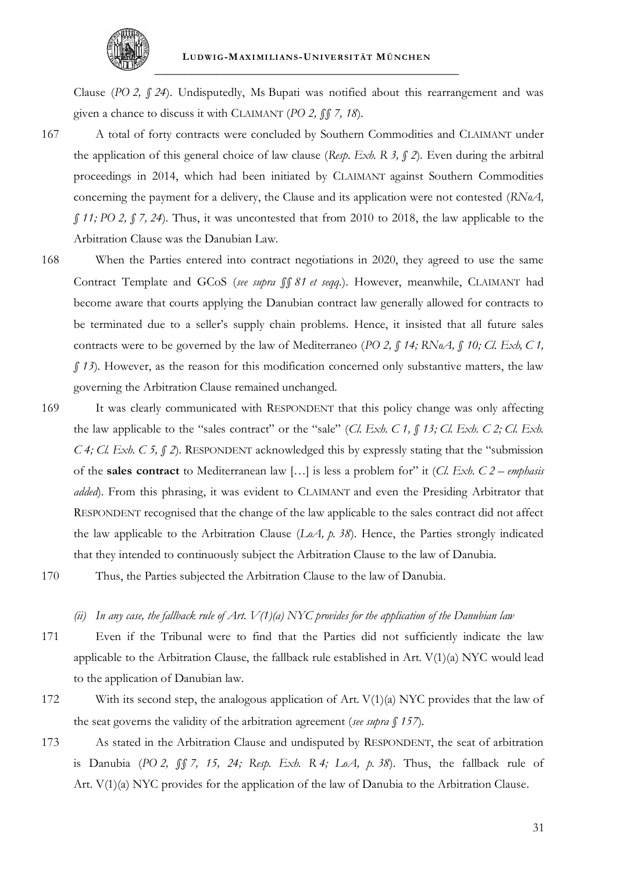

Clause (*PO 2, § 24*). Undisputedly, Ms Bupati was notified about this rearrangement and was given a chance to discuss it with CLAIMANT (*PO 2, §§ 7, 18*).

- 167 A total of forty contracts were concluded by Southern Commodities and CLAIMANT under the application of this general choice of law clause (*Resp. Exh. R 3, § 2*). Even during the arbitral proceedings in 2014, which had been initiated by CLAIMANT against Southern Commodities concerning the payment for a delivery, the Clause and its application were not contested (*RNoA, § 11; PO 2, § 7, 24*). Thus, it was uncontested that from 2010 to 2018, the law applicable to the Arbitration Clause was the Danubian Law.
- 168 When the Parties entered into contract negotiations in 2020, they agreed to use the same Contract Template and GCoS (*see supra §§ [81](#page-58-0) et seqq.*). However, meanwhile, CLAIMANT had become aware that courts applying the Danubian contract law generally allowed for contracts to be terminated due to a seller's supply chain problems. Hence, it insisted that all future sales contracts were to be governed by the law of Mediterraneo (*PO 2, § 14; RNoA, § 10; Cl. Exh, C 1, § 13*). However, as the reason for this modification concerned only substantive matters, the law governing the Arbitration Clause remained unchanged.
- 169 It was clearly communicated with RESPONDENT that this policy change was only affecting the law applicable to the "sales contract" or the "sale" (*Cl. Exh. C 1, § 13; Cl. Exh. C 2; Cl. Exh. C 4; Cl. Exh. C 5, § 2*). RESPONDENT acknowledged this by expressly stating that the "submission of the **sales contract** to Mediterranean law […] is less a problem for" it (*Cl. Exh. C 2 – emphasis added*). From this phrasing, it was evident to CLAIMANT and even the Presiding Arbitrator that RESPONDENT recognised that the change of the law applicable to the sales contract did not affect the law applicable to the Arbitration Clause (*LoA, p. 38*). Hence, the Parties strongly indicated that they intended to continuously subject the Arbitration Clause to the law of Danubia.
- 170 Thus, the Parties subjected the Arbitration Clause to the law of Danubia.

#### *(ii) In any case, the fallback rule of Art. V(1)(a) NYC provides for the application of the Danubian law*

- 171 Even if the Tribunal were to find that the Parties did not sufficiently indicate the law applicable to the Arbitration Clause, the fallback rule established in Art. V(1)(a) NYC would lead to the application of Danubian law.
- 172 With its second step, the analogous application of Art. V(1)(a) NYC provides that the law of the seat governs the validity of the arbitration agreement (*see supra § [157](#page-71-0)*).
- <span id="page-73-0"></span>173 As stated in the Arbitration Clause and undisputed by RESPONDENT, the seat of arbitration is Danubia (*PO 2, §§ 7, 15, 24; Resp. Exh. R 4; LoA, p. 38*). Thus, the fallback rule of Art. V(1)(a) NYC provides for the application of the law of Danubia to the Arbitration Clause.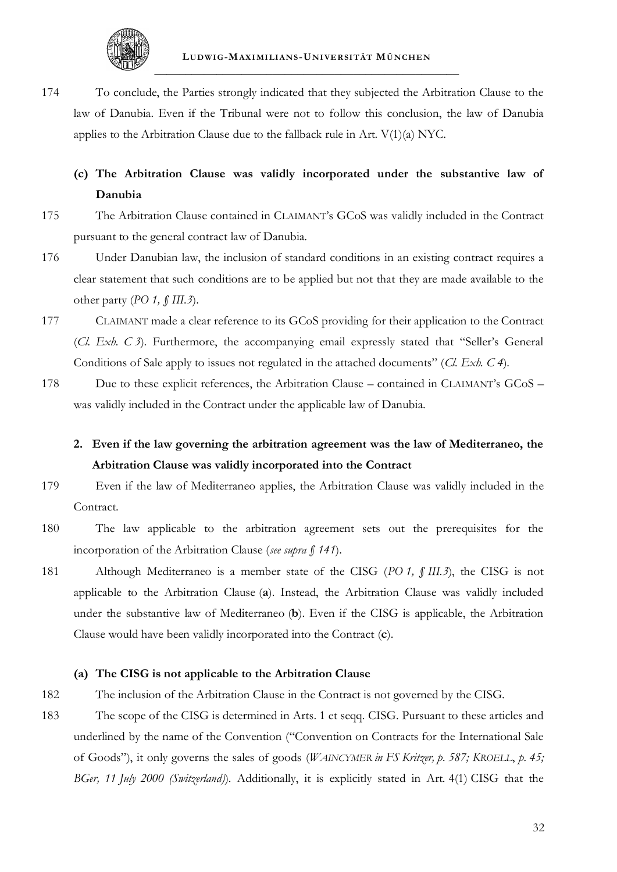

174 To conclude, the Parties strongly indicated that they subjected the Arbitration Clause to the law of Danubia. Even if the Tribunal were not to follow this conclusion, the law of Danubia applies to the Arbitration Clause due to the fallback rule in Art.  $V(1)(a) NYC$ .

## **(c) The Arbitration Clause was validly incorporated under the substantive law of Danubia**

- 175 The Arbitration Clause contained in CLAIMANT's GCoS was validly included in the Contract pursuant to the general contract law of Danubia.
- 176 Under Danubian law, the inclusion of standard conditions in an existing contract requires a clear statement that such conditions are to be applied but not that they are made available to the other party (*PO 1, § III.3*).
- 177 CLAIMANT made a clear reference to its GCoS providing for their application to the Contract (*Cl. Exh. C 3*). Furthermore, the accompanying email expressly stated that "Seller's General Conditions of Sale apply to issues not regulated in the attached documents" (*Cl. Exh. C 4*).
- 178 Due to these explicit references, the Arbitration Clause contained in CLAIMANT's GCoS was validly included in the Contract under the applicable law of Danubia.
	- **2. Even if the law governing the arbitration agreement was the law of Mediterraneo, the Arbitration Clause was validly incorporated into the Contract**
- 179 Even if the law of Mediterraneo applies, the Arbitration Clause was validly included in the Contract.
- 180 The law applicable to the arbitration agreement sets out the prerequisites for the incorporation of the Arbitration Clause (*see supra § [141](#page-68-0)*).
- 181 Although Mediterraneo is a member state of the CISG (*PO 1, § III.3*), the CISG is not applicable to the Arbitration Clause (**a**). Instead, the Arbitration Clause was validly included under the substantive law of Mediterraneo (**b**). Even if the CISG is applicable, the Arbitration Clause would have been validly incorporated into the Contract (**c**).

### **(a) The CISG is not applicable to the Arbitration Clause**

- 182 The inclusion of the Arbitration Clause in the Contract is not governed by the CISG.
- 183 The scope of the CISG is determined in Arts. 1 et seqq. CISG. Pursuant to these articles and underlined by the name of the Convention ("Convention on Contracts for the International Sale of Goods"), it only governs the sales of goods (*WAINCYMER in FS Kritzer, p. 587; KROELL*, *p. 45; BGer, 11 July 2000 (Switzerland)*). Additionally, it is explicitly stated in Art. 4(1) CISG that the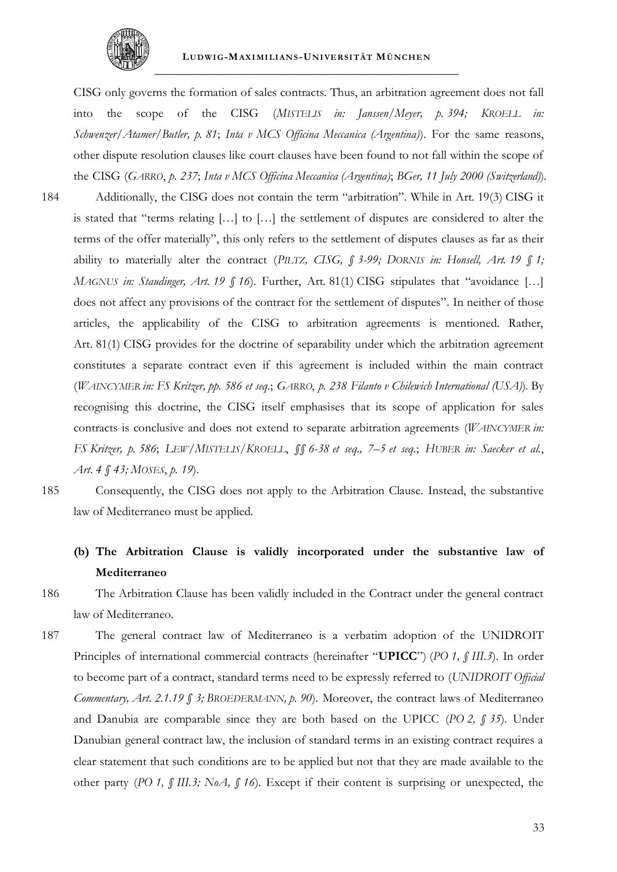

CISG only governs the formation of sales contracts. Thus, an arbitration agreement does not fall into the scope of the CISG (*MISTELIS in: Janssen/Meyer, p. 394; KROELL in: Schwenzer/Atamer/Butler, p. 81*; *Inta v MCS Officina Meccanica (Argentina)*). For the same reasons, other dispute resolution clauses like court clauses have been found to not fall within the scope of the CISG (*GARRO*, *p. 237*; *Inta v MCS Officina Meccanica (Argentina)*; *BGer, 11 July 2000 (Switzerland)*).

184 Additionally, the CISG does not contain the term "arbitration". While in Art. 19(3) CISG it is stated that "terms relating […] to […] the settlement of disputes are considered to alter the terms of the offer materially", this only refers to the settlement of disputes clauses as far as their ability to materially alter the contract (*PILTZ, CISG, § 3-99; DORNIS in: Honsell, Art. 19 § 1; MAGNUS in: Staudinger, Art. 19 § 16*). Further, Art. 81(1) CISG stipulates that "avoidance […] does not affect any provisions of the contract for the settlement of disputes". In neither of those articles, the applicability of the CISG to arbitration agreements is mentioned. Rather, Art. 81(1) CISG provides for the doctrine of separability under which the arbitration agreement constitutes a separate contract even if this agreement is included within the main contract (*WAINCYMER in: FS Kritzer, pp. 586 et seq.*; *GARRO*, *p. 238 Filanto v Chilewich International (USA)*). By recognising this doctrine, the CISG itself emphasises that its scope of application for sales contracts is conclusive and does not extend to separate arbitration agreements (*WAINCYMER in: FS Kritzer, p. 586*; *LEW/MISTELIS/KROELL*, *§§ 6-38 et seq., 7–5 et seq.*; *HUBER in: Saecker et al.*, *Art*. *4 § 43; MOSES*, *p. 19*).

185 Consequently, the CISG does not apply to the Arbitration Clause. Instead, the substantive law of Mediterraneo must be applied.

# **(b) The Arbitration Clause is validly incorporated under the substantive law of Mediterraneo**

- 186 The Arbitration Clause has been validly included in the Contract under the general contract law of Mediterraneo.
- 187 The general contract law of Mediterraneo is a verbatim adoption of the UNIDROIT Principles of international commercial contracts (hereinafter "**UPICC**") (*PO 1, § III.3*). In order to become part of a contract, standard terms need to be expressly referred to (*UNIDROIT Official Commentary, Art. 2.1.19 § 3; BROEDERMANN, p. 90*). Moreover, the contract laws of Mediterraneo and Danubia are comparable since they are both based on the UPICC (*PO 2, § 35*). Under Danubian general contract law, the inclusion of standard terms in an existing contract requires a clear statement that such conditions are to be applied but not that they are made available to the other party (*PO 1, § III.3; NoA, § 16*). Except if their content is surprising or unexpected, the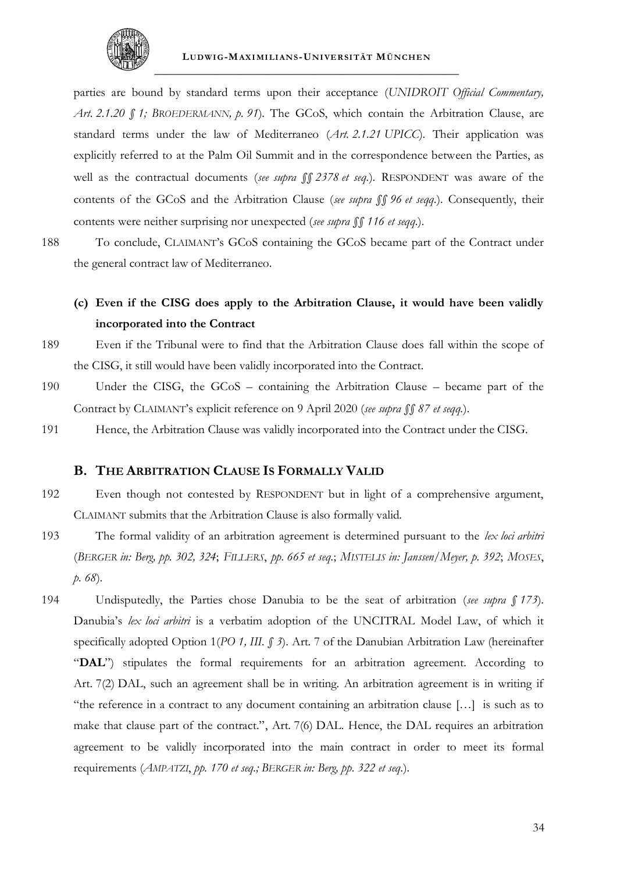

parties are bound by standard terms upon their acceptance (*UNIDROIT Official Commentary, Art. 2.1.20 § 1; BROEDERMANN, p. 91*). The GCoS, which contain the Arbitration Clause, are standard terms under the law of Mediterraneo (*Art. 2.1.21 UPICC*). Their application was explicitly referred to at the Palm Oil Summit and in the correspondence between the Parties, as well as the contractual documents (*see supra §§ [23](#page-48-0)[78](#page-57-0) et seq.*). RESPONDENT was aware of the contents of the GCoS and the Arbitration Clause (*see supra §§ [96](#page-60-0) et seqq.*). Consequently, their contents were neither surprising nor unexpected (*see supra §§ [116](#page-64-0) et seqq.*).

188 To conclude, CLAIMANT's GCoS containing the GCoS became part of the Contract under the general contract law of Mediterraneo.

## **(c) Even if the CISG does apply to the Arbitration Clause, it would have been validly incorporated into the Contract**

- 189 Even if the Tribunal were to find that the Arbitration Clause does fall within the scope of the CISG, it still would have been validly incorporated into the Contract.
- 190 Under the CISG, the GCoS containing the Arbitration Clause became part of the Contract by CLAIMANT's explicit reference on 9 April 2020 (*see supra §§ [87](#page-59-0) et seqq.*).
- 191 Hence, the Arbitration Clause was validly incorporated into the Contract under the CISG.

### **B. THE ARBITRATION CLAUSE IS FORMALLY VALID**

- 192 Even though not contested by RESPONDENT but in light of a comprehensive argument, CLAIMANT submits that the Arbitration Clause is also formally valid.
- 193 The formal validity of an arbitration agreement is determined pursuant to the *lex loci arbitri* (*BERGER in: Berg, pp. 302, 324*; *FILLERS*, *pp. 665 et seq.*; *MISTELIS in: Janssen/Meyer, p. 392*; *MOSES*, *p. 68*).
- 194 Undisputedly, the Parties chose Danubia to be the seat of arbitration (*see supra § [173](#page-73-0)*). Danubia's *lex loci arbitri* is a verbatim adoption of the UNCITRAL Model Law, of which it specifically adopted Option 1(*PO 1, III. § 3*). Art. 7 of the Danubian Arbitration Law (hereinafter "**DAL**") stipulates the formal requirements for an arbitration agreement. According to Art. 7(2) DAL, such an agreement shall be in writing. An arbitration agreement is in writing if "the reference in a contract to any document containing an arbitration clause […] is such as to make that clause part of the contract.", Art. 7(6) DAL. Hence, the DAL requires an arbitration agreement to be validly incorporated into the main contract in order to meet its formal requirements (*AMPATZI*, *pp. 170 et seq.; BERGER in: Berg, pp. 322 et seq.*).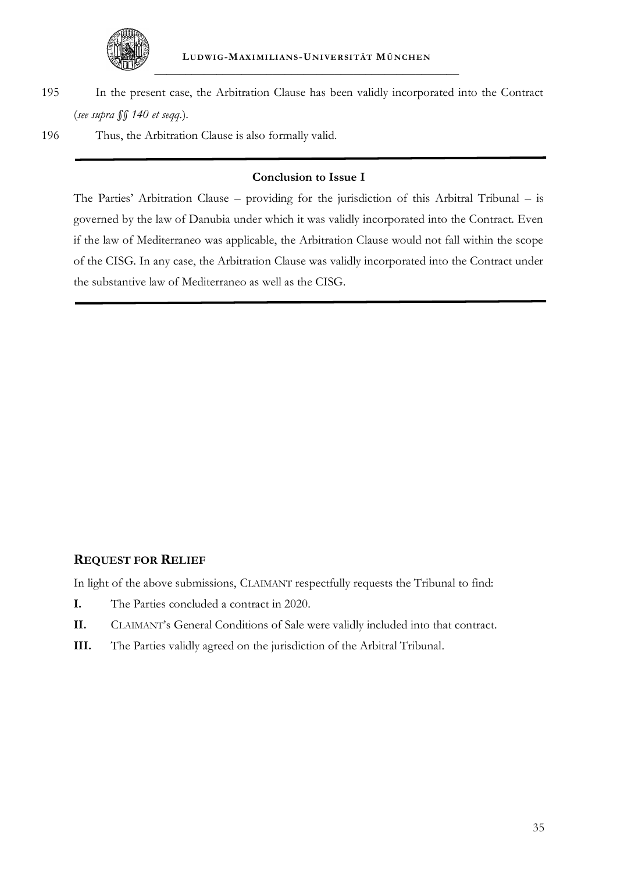

195 In the present case, the Arbitration Clause has been validly incorporated into the Contract (*see supra §§ [140](#page-68-1) et seqq.*).

196 Thus, the Arbitration Clause is also formally valid.

### **Conclusion to Issue I**

The Parties' Arbitration Clause – providing for the jurisdiction of this Arbitral Tribunal – is governed by the law of Danubia under which it was validly incorporated into the Contract. Even if the law of Mediterraneo was applicable, the Arbitration Clause would not fall within the scope of the CISG. In any case, the Arbitration Clause was validly incorporated into the Contract under the substantive law of Mediterraneo as well as the CISG.

### **REQUEST FOR RELIEF**

In light of the above submissions, CLAIMANT respectfully requests the Tribunal to find:

- **I.** The Parties concluded a contract in 2020.
- **II.** CLAIMANT's General Conditions of Sale were validly included into that contract.
- **III.** The Parties validly agreed on the jurisdiction of the Arbitral Tribunal.